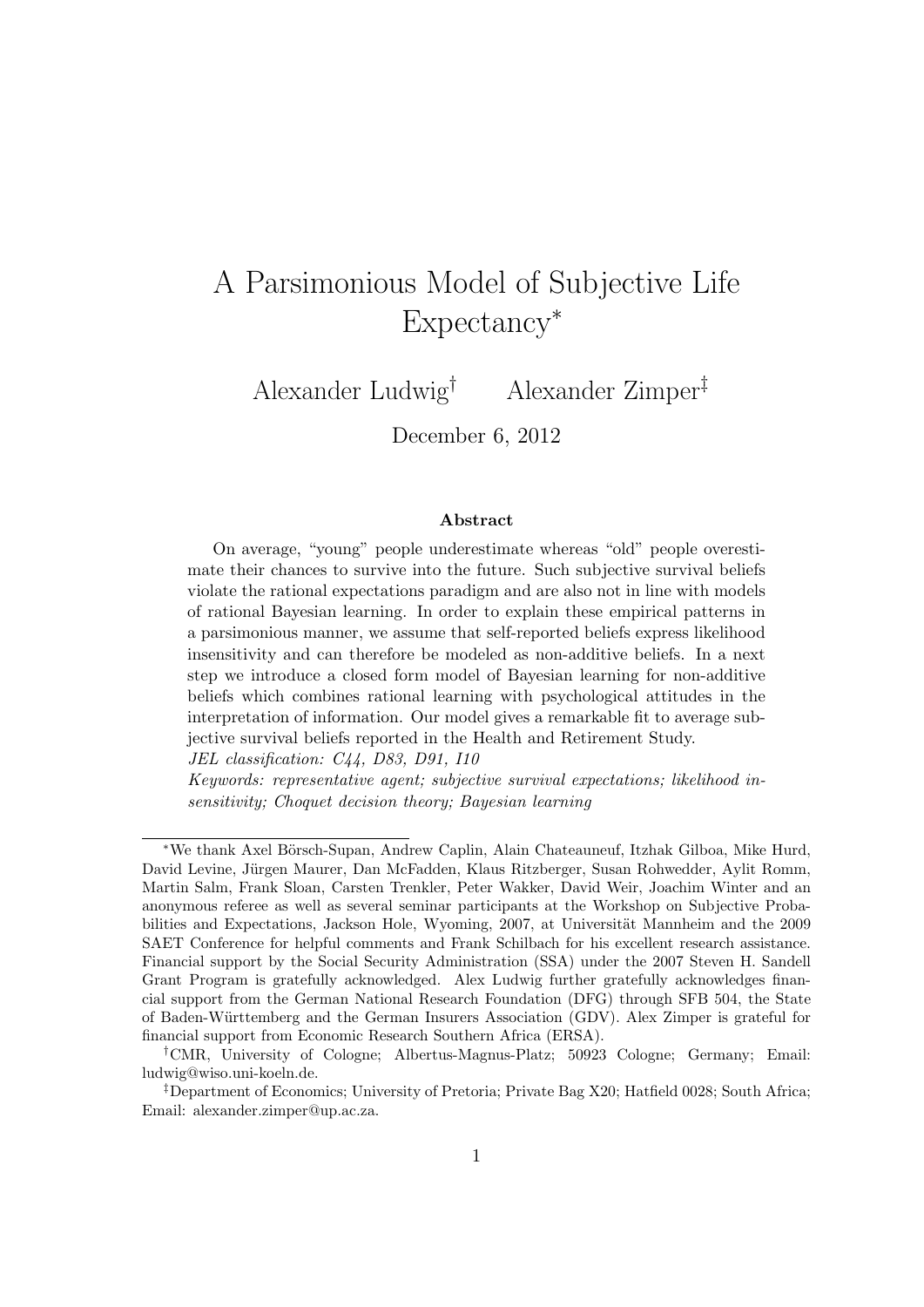# A Parsimonious Model of Subjective Life Expectancy*<sup>∗</sup>*

Alexander Ludwig*†* Alexander Zimper*‡*

December 6, 2012

#### **Abstract**

On average, "young" people underestimate whereas "old" people overestimate their chances to survive into the future. Such subjective survival beliefs violate the rational expectations paradigm and are also not in line with models of rational Bayesian learning. In order to explain these empirical patterns in a parsimonious manner, we assume that self-reported beliefs express likelihood insensitivity and can therefore be modeled as non-additive beliefs. In a next step we introduce a closed form model of Bayesian learning for non-additive beliefs which combines rational learning with psychological attitudes in the interpretation of information. Our model gives a remarkable fit to average subjective survival beliefs reported in the Health and Retirement Study. *JEL classification: C44, D83, D91, I10*

*Keywords: representative agent; subjective survival expectations; likelihood insensitivity; Choquet decision theory; Bayesian learning*

*<sup>\*</sup>*We thank Axel Börsch-Supan, Andrew Caplin, Alain Chateauneuf, Itzhak Gilboa, Mike Hurd, David Levine, Jürgen Maurer, Dan McFadden, Klaus Ritzberger, Susan Rohwedder, Aylit Romm, Martin Salm, Frank Sloan, Carsten Trenkler, Peter Wakker, David Weir, Joachim Winter and an anonymous referee as well as several seminar participants at the Workshop on Subjective Probabilities and Expectations, Jackson Hole, Wyoming, 2007, at Universität Mannheim and the 2009 SAET Conference for helpful comments and Frank Schilbach for his excellent research assistance. Financial support by the Social Security Administration (SSA) under the 2007 Steven H. Sandell Grant Program is gratefully acknowledged. Alex Ludwig further gratefully acknowledges financial support from the German National Research Foundation (DFG) through SFB 504, the State of Baden-W¨urttemberg and the German Insurers Association (GDV). Alex Zimper is grateful for financial support from Economic Research Southern Africa (ERSA).

*<sup>†</sup>*CMR, University of Cologne; Albertus-Magnus-Platz; 50923 Cologne; Germany; Email: ludwig@wiso.uni-koeln.de.

*<sup>‡</sup>*Department of Economics; University of Pretoria; Private Bag X20; Hatfield 0028; South Africa; Email: alexander.zimper@up.ac.za.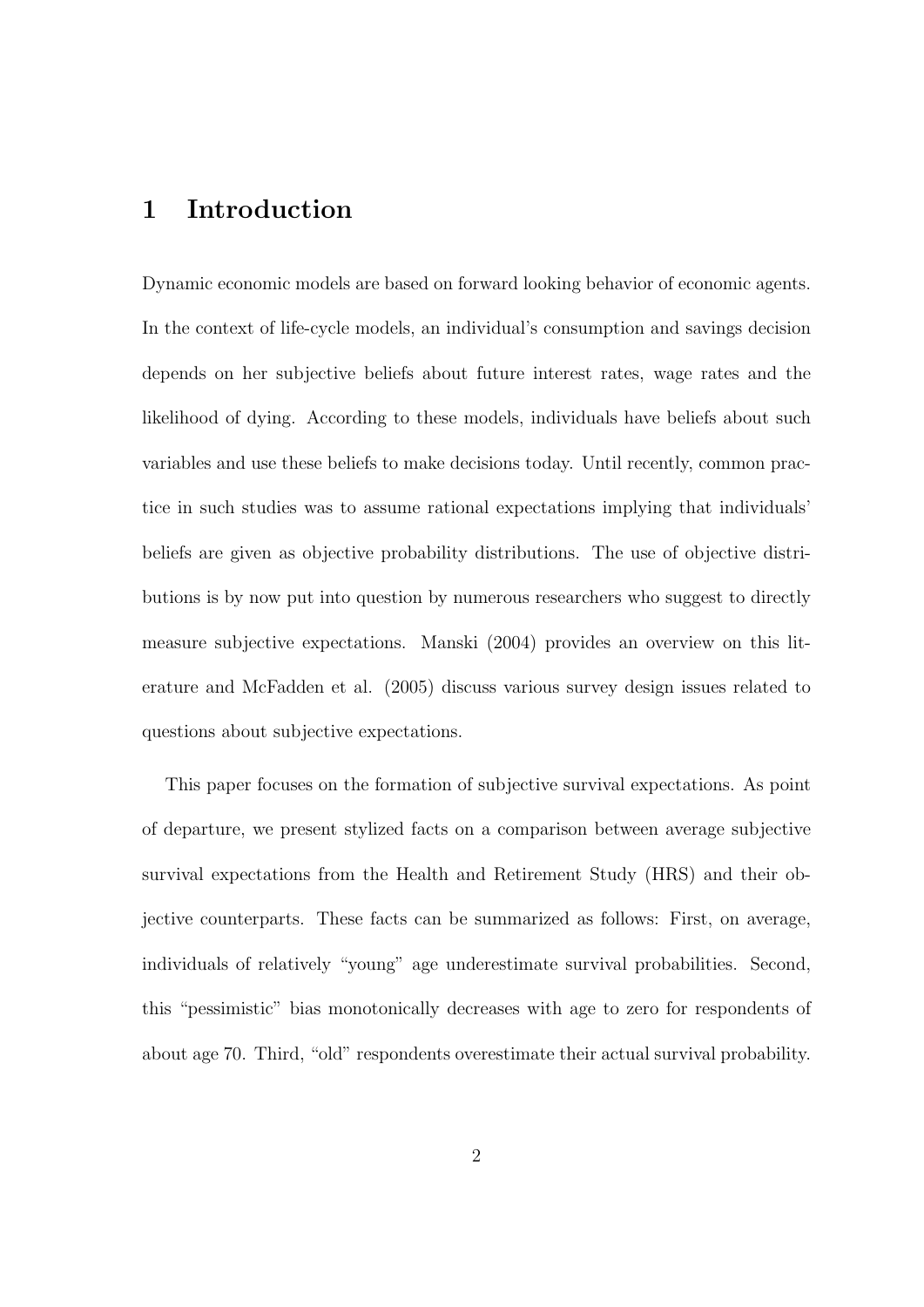## **1 Introduction**

Dynamic economic models are based on forward looking behavior of economic agents. In the context of life-cycle models, an individual's consumption and savings decision depends on her subjective beliefs about future interest rates, wage rates and the likelihood of dying. According to these models, individuals have beliefs about such variables and use these beliefs to make decisions today. Until recently, common practice in such studies was to assume rational expectations implying that individuals' beliefs are given as objective probability distributions. The use of objective distributions is by now put into question by numerous researchers who suggest to directly measure subjective expectations. Manski (2004) provides an overview on this literature and McFadden et al. (2005) discuss various survey design issues related to questions about subjective expectations.

This paper focuses on the formation of subjective survival expectations. As point of departure, we present stylized facts on a comparison between average subjective survival expectations from the Health and Retirement Study (HRS) and their objective counterparts. These facts can be summarized as follows: First, on average, individuals of relatively "young" age underestimate survival probabilities. Second, this "pessimistic" bias monotonically decreases with age to zero for respondents of about age 70. Third, "old" respondents overestimate their actual survival probability.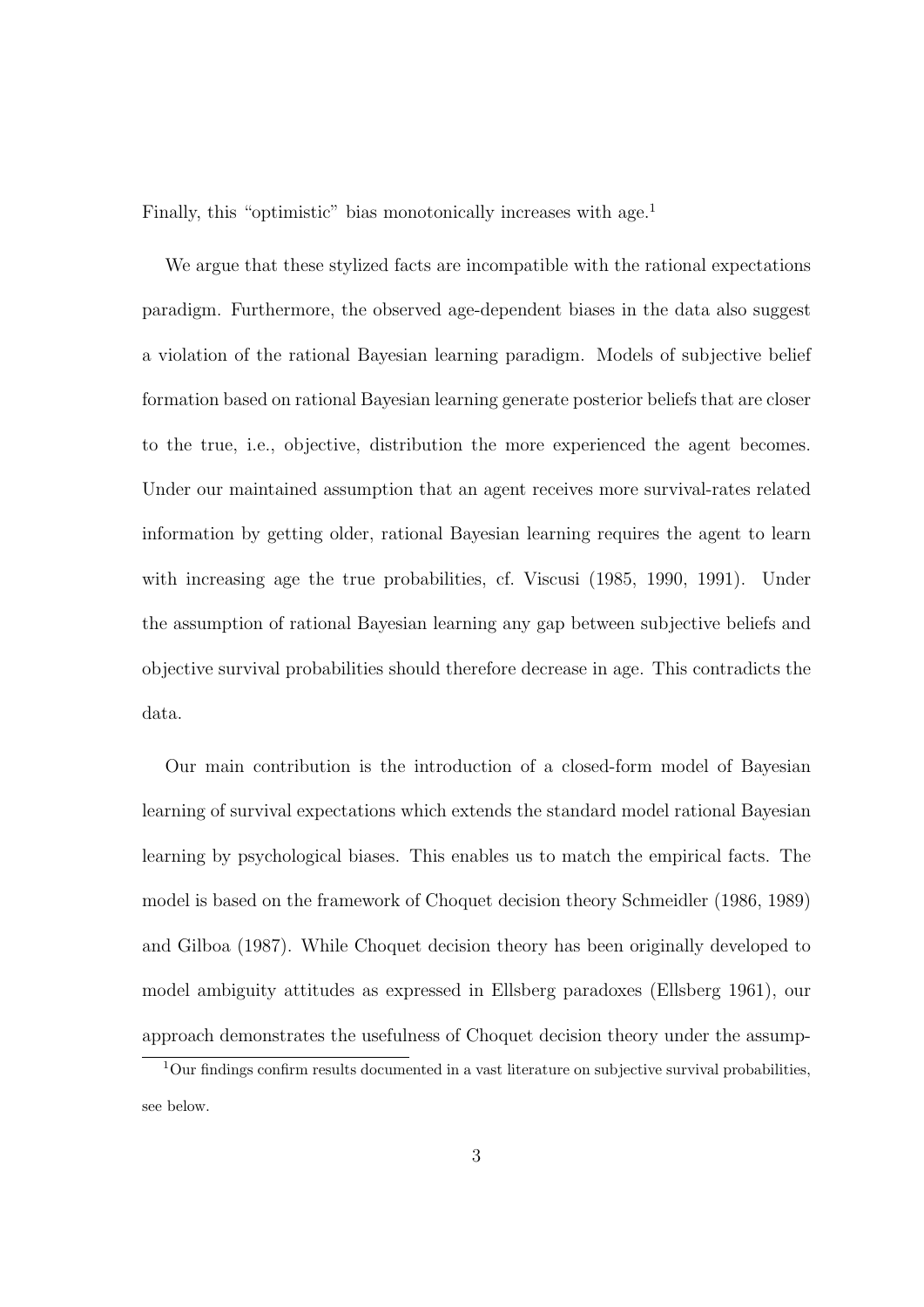Finally, this "optimistic" bias monotonically increases with age.<sup>1</sup>

We argue that these stylized facts are incompatible with the rational expectations paradigm. Furthermore, the observed age-dependent biases in the data also suggest a violation of the rational Bayesian learning paradigm. Models of subjective belief formation based on rational Bayesian learning generate posterior beliefs that are closer to the true, i.e., objective, distribution the more experienced the agent becomes. Under our maintained assumption that an agent receives more survival-rates related information by getting older, rational Bayesian learning requires the agent to learn with increasing age the true probabilities, cf. Viscusi (1985, 1990, 1991). Under the assumption of rational Bayesian learning any gap between subjective beliefs and objective survival probabilities should therefore decrease in age. This contradicts the data.

Our main contribution is the introduction of a closed-form model of Bayesian learning of survival expectations which extends the standard model rational Bayesian learning by psychological biases. This enables us to match the empirical facts. The model is based on the framework of Choquet decision theory Schmeidler (1986, 1989) and Gilboa (1987). While Choquet decision theory has been originally developed to model ambiguity attitudes as expressed in Ellsberg paradoxes (Ellsberg 1961), our approach demonstrates the usefulness of Choquet decision theory under the assump-

 $1$ Our findings confirm results documented in a vast literature on subjective survival probabilities, see below.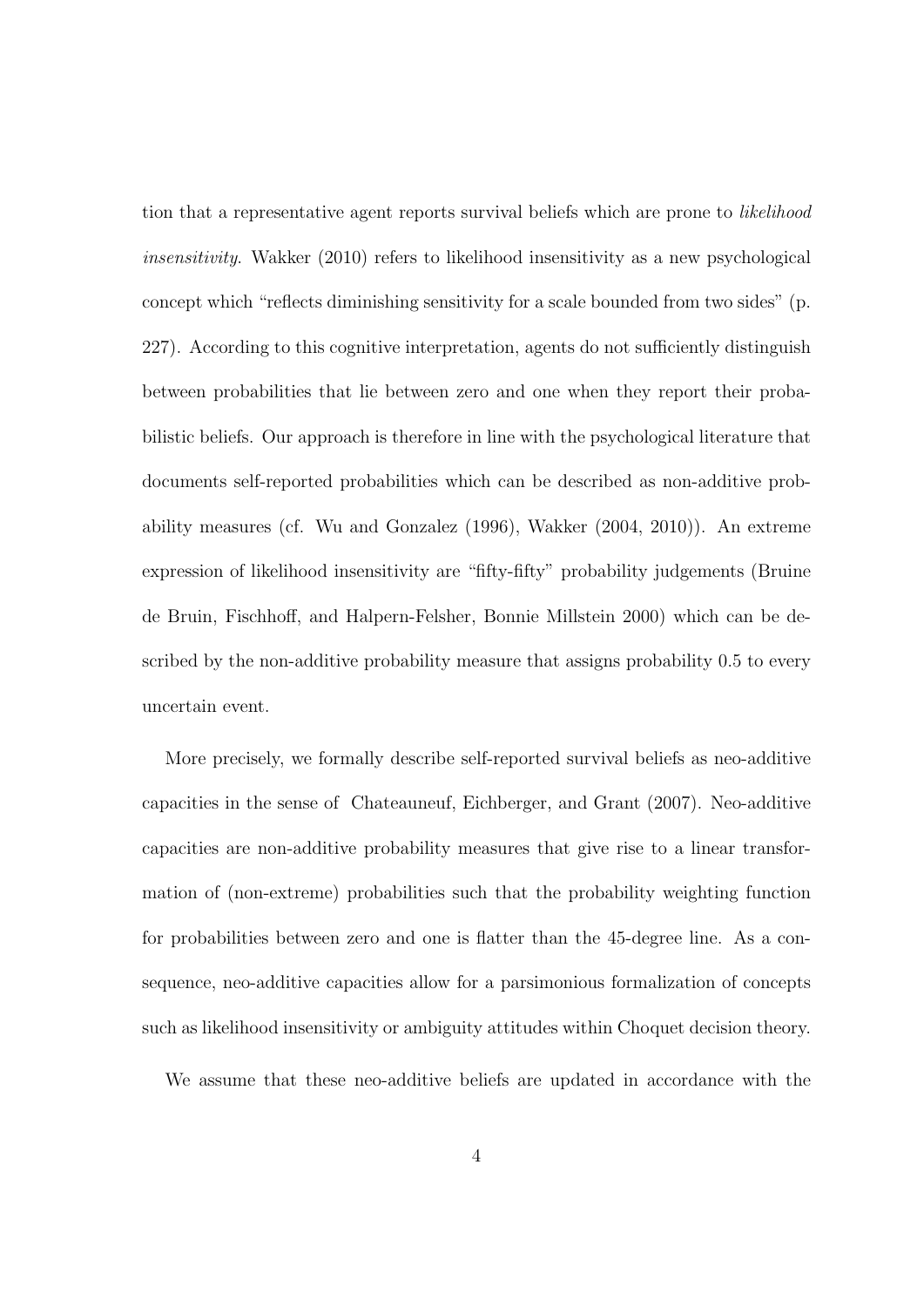tion that a representative agent reports survival beliefs which are prone to *likelihood insensitivity*. Wakker (2010) refers to likelihood insensitivity as a new psychological concept which "reflects diminishing sensitivity for a scale bounded from two sides" (p. 227). According to this cognitive interpretation, agents do not sufficiently distinguish between probabilities that lie between zero and one when they report their probabilistic beliefs. Our approach is therefore in line with the psychological literature that documents self-reported probabilities which can be described as non-additive probability measures (cf. Wu and Gonzalez (1996), Wakker (2004, 2010)). An extreme expression of likelihood insensitivity are "fifty-fifty" probability judgements (Bruine de Bruin, Fischhoff, and Halpern-Felsher, Bonnie Millstein 2000) which can be described by the non-additive probability measure that assigns probability 0*.*5 to every uncertain event.

More precisely, we formally describe self-reported survival beliefs as neo-additive capacities in the sense of Chateauneuf, Eichberger, and Grant (2007). Neo-additive capacities are non-additive probability measures that give rise to a linear transformation of (non-extreme) probabilities such that the probability weighting function for probabilities between zero and one is flatter than the 45-degree line. As a consequence, neo-additive capacities allow for a parsimonious formalization of concepts such as likelihood insensitivity or ambiguity attitudes within Choquet decision theory.

We assume that these neo-additive beliefs are updated in accordance with the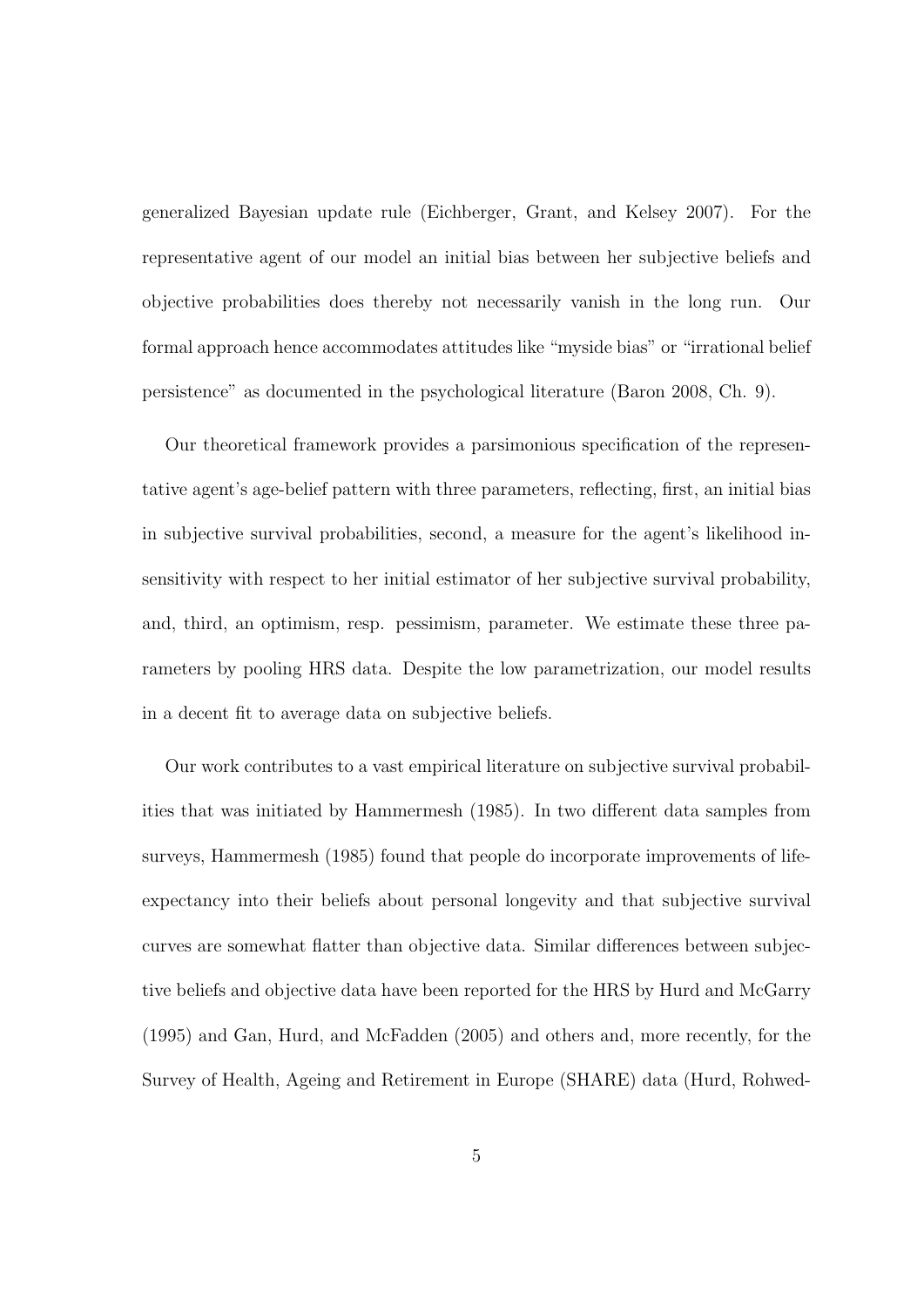generalized Bayesian update rule (Eichberger, Grant, and Kelsey 2007). For the representative agent of our model an initial bias between her subjective beliefs and objective probabilities does thereby not necessarily vanish in the long run. Our formal approach hence accommodates attitudes like "myside bias" or "irrational belief persistence" as documented in the psychological literature (Baron 2008, Ch. 9).

Our theoretical framework provides a parsimonious specification of the representative agent's age-belief pattern with three parameters, reflecting, first, an initial bias in subjective survival probabilities, second, a measure for the agent's likelihood insensitivity with respect to her initial estimator of her subjective survival probability, and, third, an optimism, resp. pessimism, parameter. We estimate these three parameters by pooling HRS data. Despite the low parametrization, our model results in a decent fit to average data on subjective beliefs.

Our work contributes to a vast empirical literature on subjective survival probabilities that was initiated by Hammermesh (1985). In two different data samples from surveys, Hammermesh (1985) found that people do incorporate improvements of lifeexpectancy into their beliefs about personal longevity and that subjective survival curves are somewhat flatter than objective data. Similar differences between subjective beliefs and objective data have been reported for the HRS by Hurd and McGarry (1995) and Gan, Hurd, and McFadden (2005) and others and, more recently, for the Survey of Health, Ageing and Retirement in Europe (SHARE) data (Hurd, Rohwed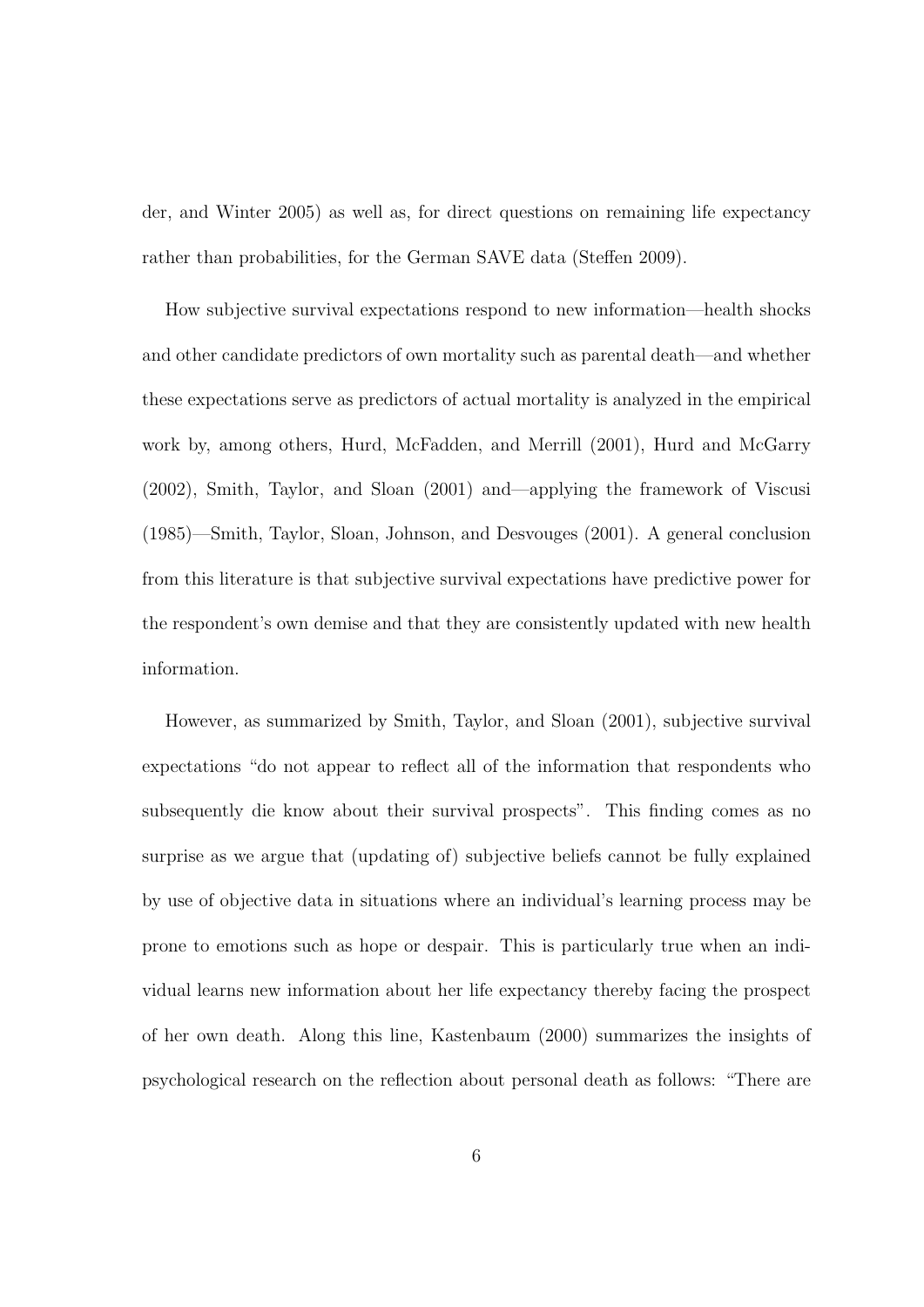der, and Winter 2005) as well as, for direct questions on remaining life expectancy rather than probabilities, for the German SAVE data (Steffen 2009).

How subjective survival expectations respond to new information—health shocks and other candidate predictors of own mortality such as parental death—and whether these expectations serve as predictors of actual mortality is analyzed in the empirical work by, among others, Hurd, McFadden, and Merrill (2001), Hurd and McGarry (2002), Smith, Taylor, and Sloan (2001) and—applying the framework of Viscusi (1985)—Smith, Taylor, Sloan, Johnson, and Desvouges (2001). A general conclusion from this literature is that subjective survival expectations have predictive power for the respondent's own demise and that they are consistently updated with new health information.

However, as summarized by Smith, Taylor, and Sloan (2001), subjective survival expectations "do not appear to reflect all of the information that respondents who subsequently die know about their survival prospects". This finding comes as no surprise as we argue that (updating of) subjective beliefs cannot be fully explained by use of objective data in situations where an individual's learning process may be prone to emotions such as hope or despair. This is particularly true when an individual learns new information about her life expectancy thereby facing the prospect of her own death. Along this line, Kastenbaum (2000) summarizes the insights of psychological research on the reflection about personal death as follows: "There are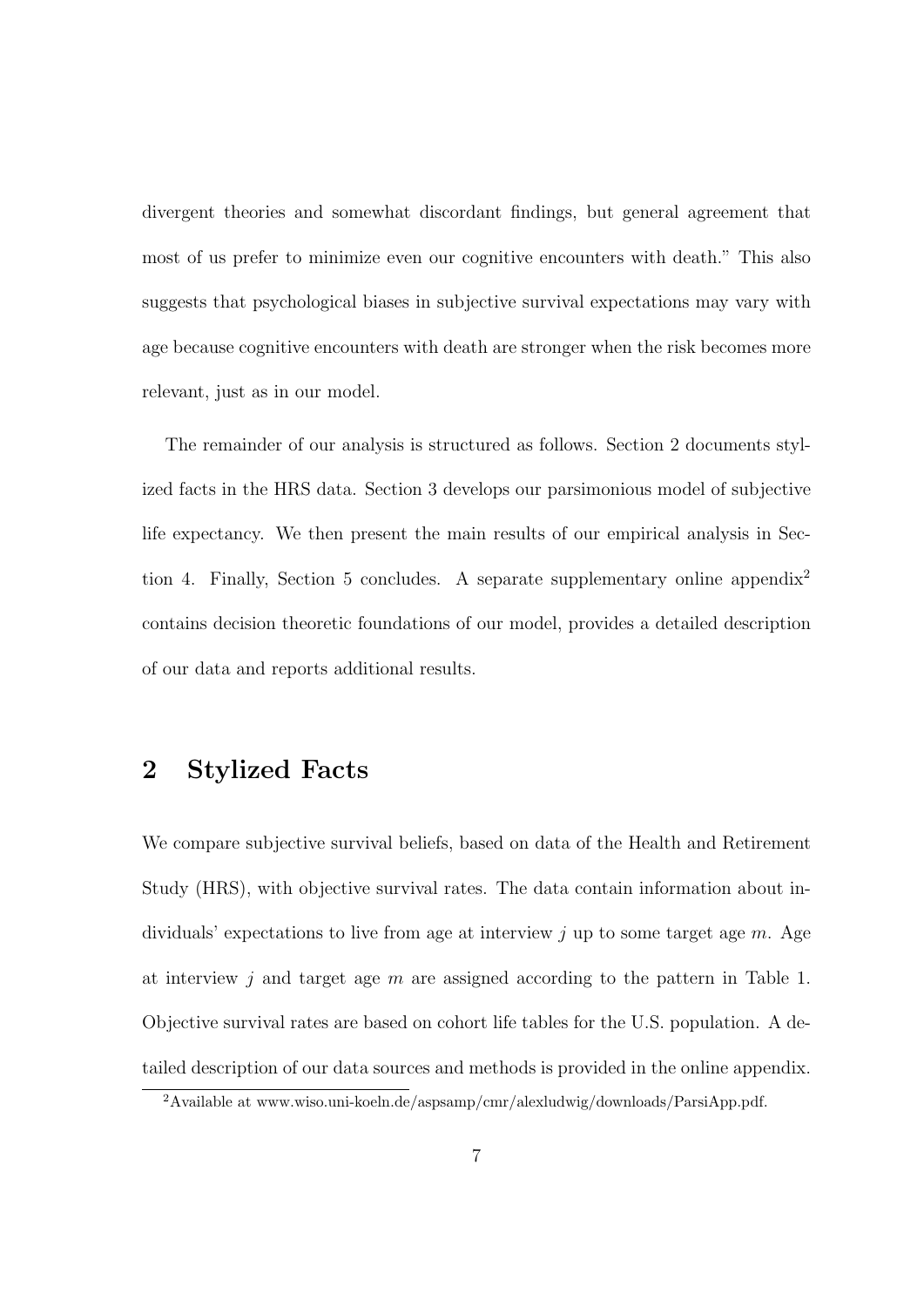divergent theories and somewhat discordant findings, but general agreement that most of us prefer to minimize even our cognitive encounters with death." This also suggests that psychological biases in subjective survival expectations may vary with age because cognitive encounters with death are stronger when the risk becomes more relevant, just as in our model.

The remainder of our analysis is structured as follows. Section 2 documents stylized facts in the HRS data. Section 3 develops our parsimonious model of subjective life expectancy. We then present the main results of our empirical analysis in Section 4. Finally, Section 5 concludes. A separate supplementary online appendix<sup>2</sup> contains decision theoretic foundations of our model, provides a detailed description of our data and reports additional results.

## **2 Stylized Facts**

We compare subjective survival beliefs, based on data of the Health and Retirement Study (HRS), with objective survival rates. The data contain information about individuals' expectations to live from age at interview *j* up to some target age *m*. Age at interview *j* and target age *m* are assigned according to the pattern in Table 1. Objective survival rates are based on cohort life tables for the U.S. population. A detailed description of our data sources and methods is provided in the online appendix.

<sup>2</sup>Available at www.wiso.uni-koeln.de/aspsamp/cmr/alexludwig/downloads/ParsiApp.pdf.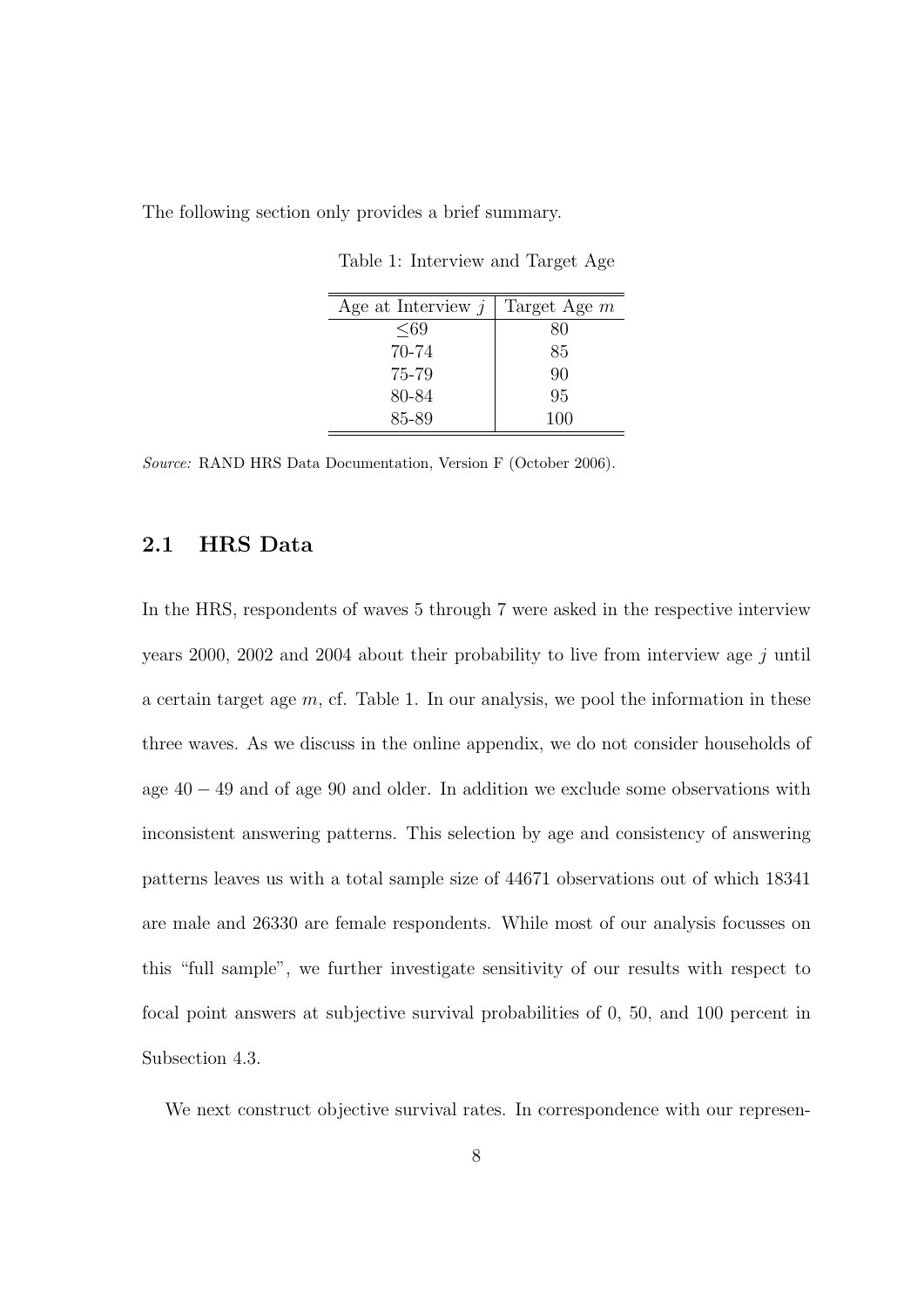The following section only provides a brief summary.

Age at Interview *j* Target Age *m ≤*69 80 70-74 85 75-79 90 80-84 95 85-89 100

Table 1: Interview and Target Age

*Source:* RAND HRS Data Documentation, Version F (October 2006).

#### **2.1 HRS Data**

In the HRS, respondents of waves 5 through 7 were asked in the respective interview years 2000, 2002 and 2004 about their probability to live from interview age *j* until a certain target age *m*, cf. Table 1. In our analysis, we pool the information in these three waves. As we discuss in the online appendix, we do not consider households of age 40 *−* 49 and of age 90 and older. In addition we exclude some observations with inconsistent answering patterns. This selection by age and consistency of answering patterns leaves us with a total sample size of 44671 observations out of which 18341 are male and 26330 are female respondents. While most of our analysis focusses on this "full sample", we further investigate sensitivity of our results with respect to focal point answers at subjective survival probabilities of 0, 50, and 100 percent in Subsection 4.3.

We next construct objective survival rates. In correspondence with our represen-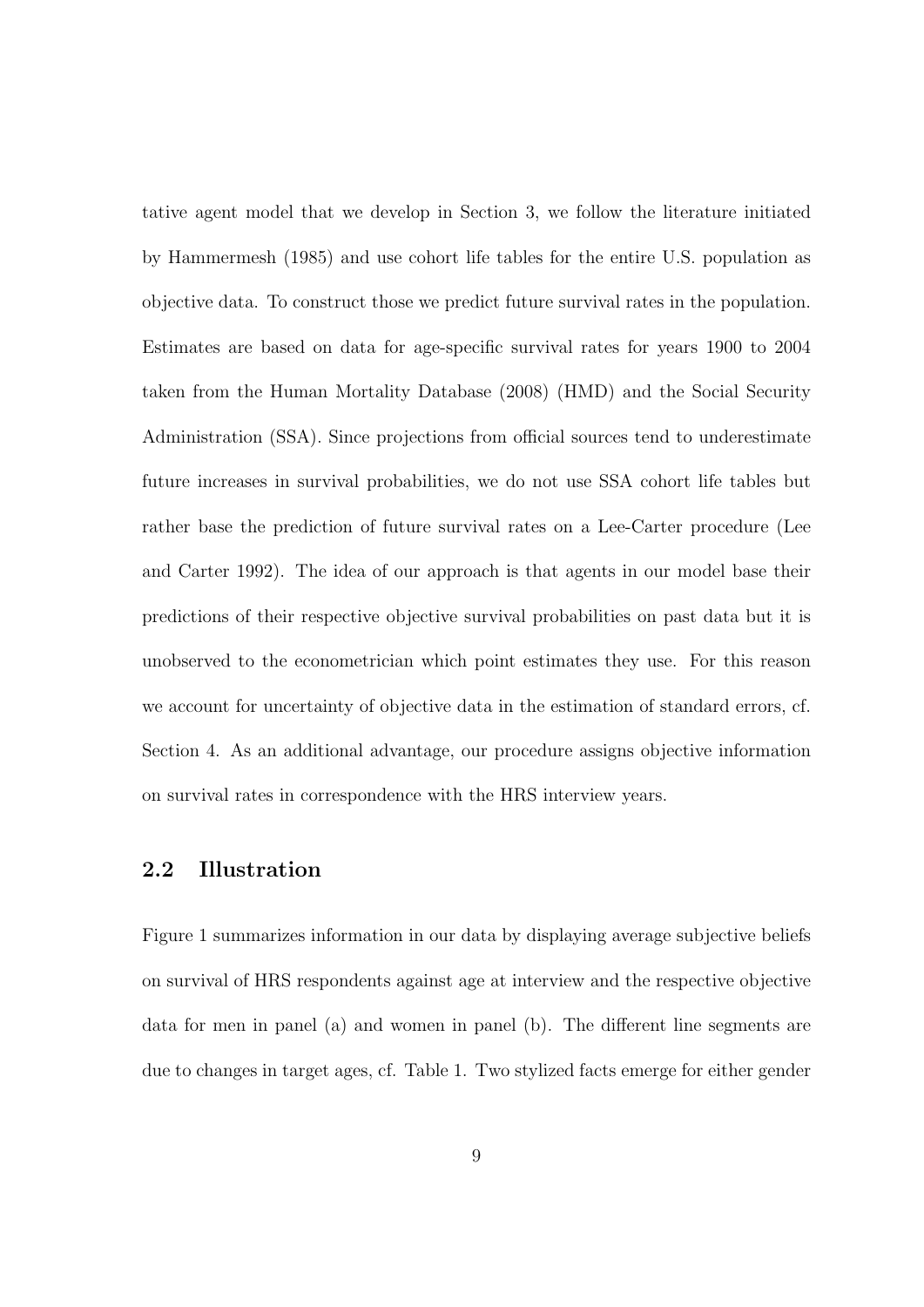tative agent model that we develop in Section 3, we follow the literature initiated by Hammermesh (1985) and use cohort life tables for the entire U.S. population as objective data. To construct those we predict future survival rates in the population. Estimates are based on data for age-specific survival rates for years 1900 to 2004 taken from the Human Mortality Database (2008) (HMD) and the Social Security Administration (SSA). Since projections from official sources tend to underestimate future increases in survival probabilities, we do not use SSA cohort life tables but rather base the prediction of future survival rates on a Lee-Carter procedure (Lee and Carter 1992). The idea of our approach is that agents in our model base their predictions of their respective objective survival probabilities on past data but it is unobserved to the econometrician which point estimates they use. For this reason we account for uncertainty of objective data in the estimation of standard errors, cf. Section 4. As an additional advantage, our procedure assigns objective information on survival rates in correspondence with the HRS interview years.

## **2.2 Illustration**

Figure 1 summarizes information in our data by displaying average subjective beliefs on survival of HRS respondents against age at interview and the respective objective data for men in panel (a) and women in panel (b). The different line segments are due to changes in target ages, cf. Table 1. Two stylized facts emerge for either gender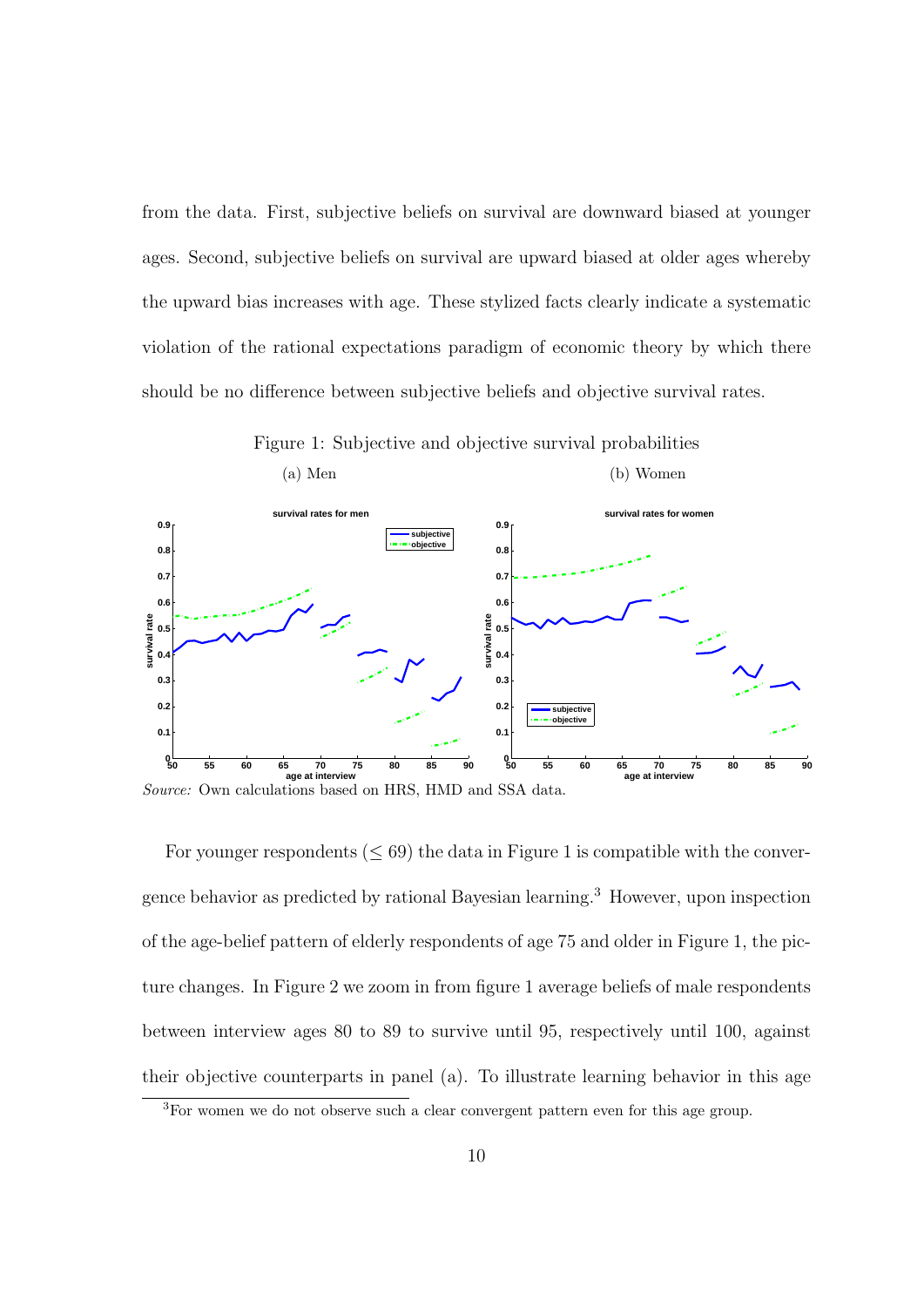from the data. First, subjective beliefs on survival are downward biased at younger ages. Second, subjective beliefs on survival are upward biased at older ages whereby the upward bias increases with age. These stylized facts clearly indicate a systematic violation of the rational expectations paradigm of economic theory by which there should be no difference between subjective beliefs and objective survival rates.





For younger respondents  $(\leq 69)$  the data in Figure 1 is compatible with the convergence behavior as predicted by rational Bayesian learning.<sup>3</sup> However, upon inspection of the age-belief pattern of elderly respondents of age 75 and older in Figure 1, the picture changes. In Figure 2 we zoom in from figure 1 average beliefs of male respondents between interview ages 80 to 89 to survive until 95, respectively until 100, against their objective counterparts in panel (a). To illustrate learning behavior in this age

<sup>3</sup>For women we do not observe such a clear convergent pattern even for this age group.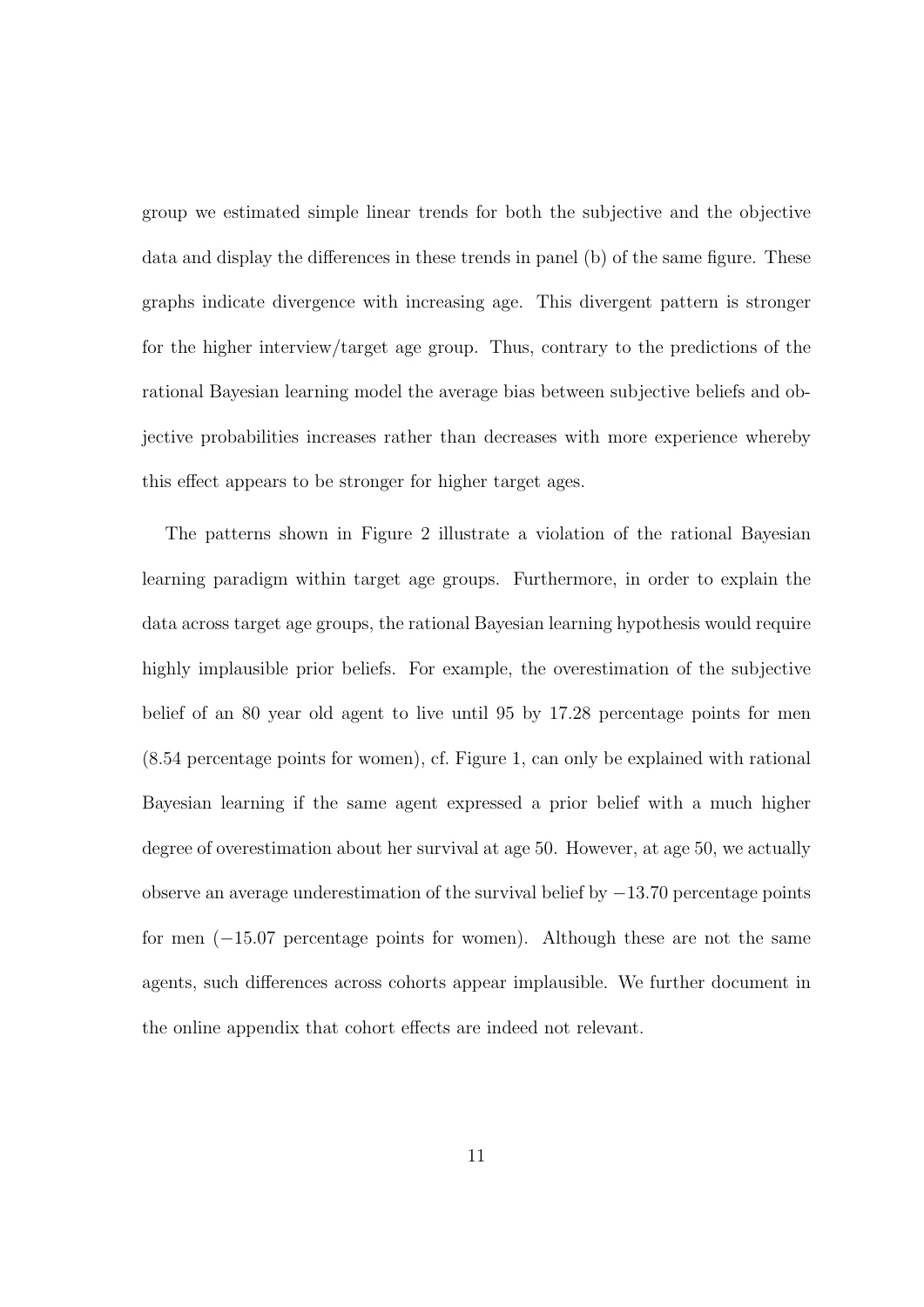group we estimated simple linear trends for both the subjective and the objective data and display the differences in these trends in panel (b) of the same figure. These graphs indicate divergence with increasing age. This divergent pattern is stronger for the higher interview/target age group. Thus, contrary to the predictions of the rational Bayesian learning model the average bias between subjective beliefs and objective probabilities increases rather than decreases with more experience whereby this effect appears to be stronger for higher target ages.

The patterns shown in Figure 2 illustrate a violation of the rational Bayesian learning paradigm within target age groups. Furthermore, in order to explain the data across target age groups, the rational Bayesian learning hypothesis would require highly implausible prior beliefs. For example, the overestimation of the subjective belief of an 80 year old agent to live until 95 by 17*.*28 percentage points for men (8*.*54 percentage points for women), cf. Figure 1, can only be explained with rational Bayesian learning if the same agent expressed a prior belief with a much higher degree of overestimation about her survival at age 50. However, at age 50, we actually observe an average underestimation of the survival belief by *−*13*.*70 percentage points for men (*−*15*.*07 percentage points for women). Although these are not the same agents, such differences across cohorts appear implausible. We further document in the online appendix that cohort effects are indeed not relevant.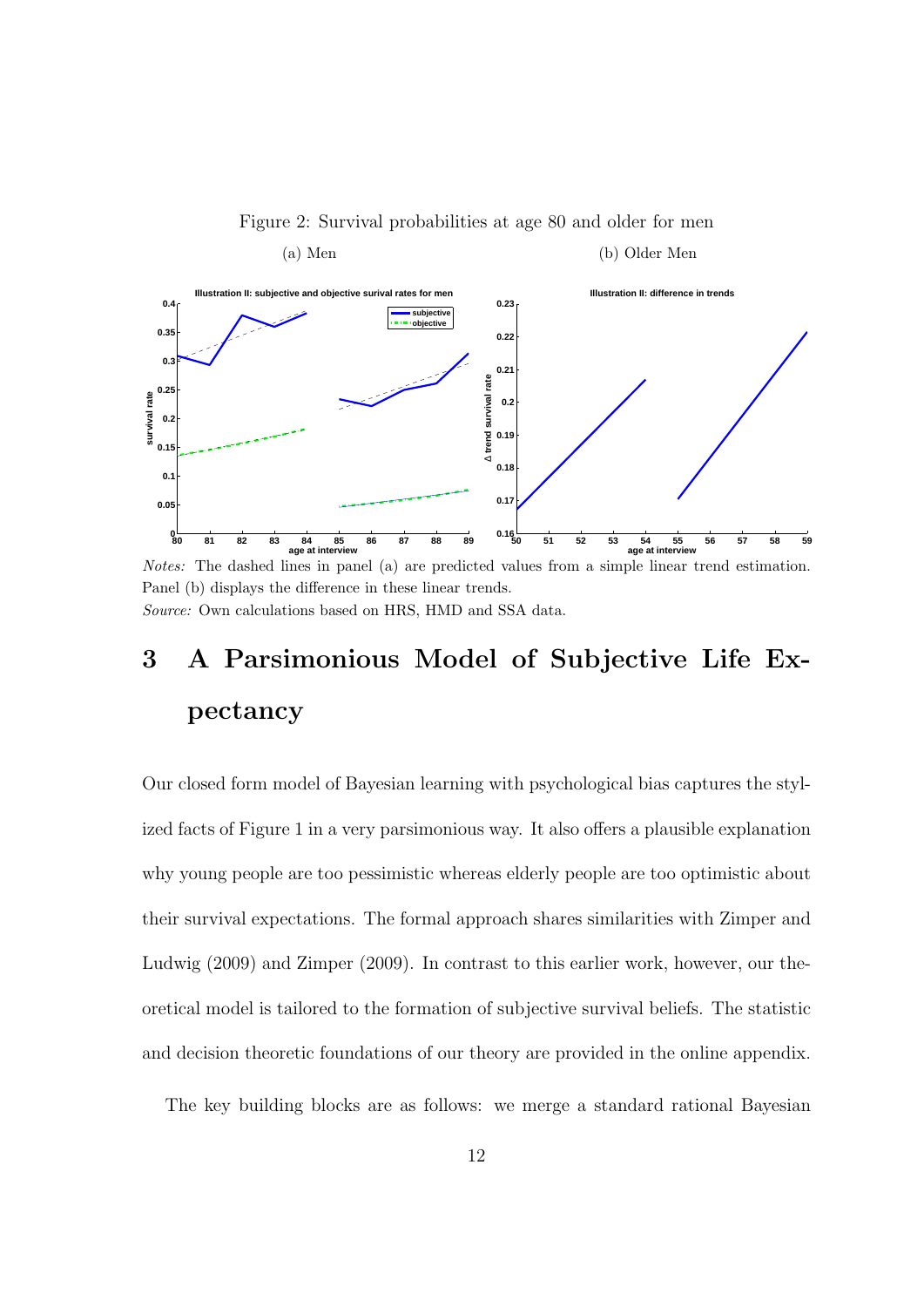

Figure 2: Survival probabilities at age 80 and older for men

*Notes:* The dashed lines in panel (a) are predicted values from a simple linear trend estimation. Panel (b) displays the difference in these linear trends. *Source:* Own calculations based on HRS, HMD and SSA data.

# **3 A Parsimonious Model of Subjective Life Expectancy**

Our closed form model of Bayesian learning with psychological bias captures the stylized facts of Figure 1 in a very parsimonious way. It also offers a plausible explanation why young people are too pessimistic whereas elderly people are too optimistic about their survival expectations. The formal approach shares similarities with Zimper and Ludwig (2009) and Zimper (2009). In contrast to this earlier work, however, our theoretical model is tailored to the formation of subjective survival beliefs. The statistic and decision theoretic foundations of our theory are provided in the online appendix.

The key building blocks are as follows: we merge a standard rational Bayesian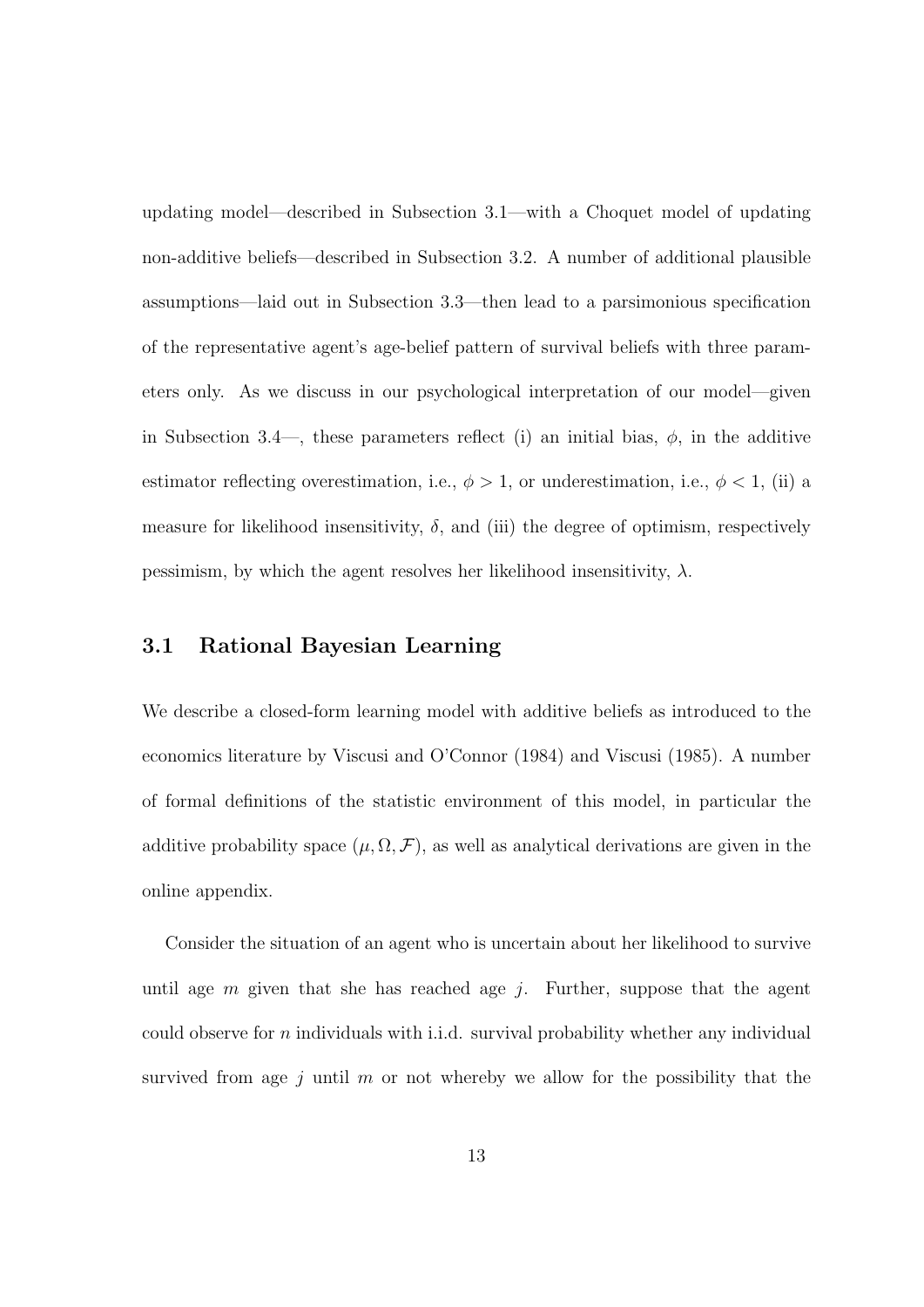updating model—described in Subsection 3.1—with a Choquet model of updating non-additive beliefs—described in Subsection 3.2. A number of additional plausible assumptions—laid out in Subsection 3.3—then lead to a parsimonious specification of the representative agent's age-belief pattern of survival beliefs with three parameters only. As we discuss in our psychological interpretation of our model—given in Subsection 3.4—, these parameters reflect (i) an initial bias,  $\phi$ , in the additive estimator reflecting overestimation, i.e.,  $\phi > 1$ , or underestimation, i.e.,  $\phi < 1$ , (ii) a measure for likelihood insensitivity,  $\delta$ , and (iii) the degree of optimism, respectively pessimism, by which the agent resolves her likelihood insensitivity,  $\lambda$ .

#### **3.1 Rational Bayesian Learning**

We describe a closed-form learning model with additive beliefs as introduced to the economics literature by Viscusi and O'Connor (1984) and Viscusi (1985). A number of formal definitions of the statistic environment of this model, in particular the additive probability space  $(\mu, \Omega, \mathcal{F})$ , as well as analytical derivations are given in the online appendix.

Consider the situation of an agent who is uncertain about her likelihood to survive until age *m* given that she has reached age *j*. Further, suppose that the agent could observe for *n* individuals with i.i.d. survival probability whether any individual survived from age *j* until *m* or not whereby we allow for the possibility that the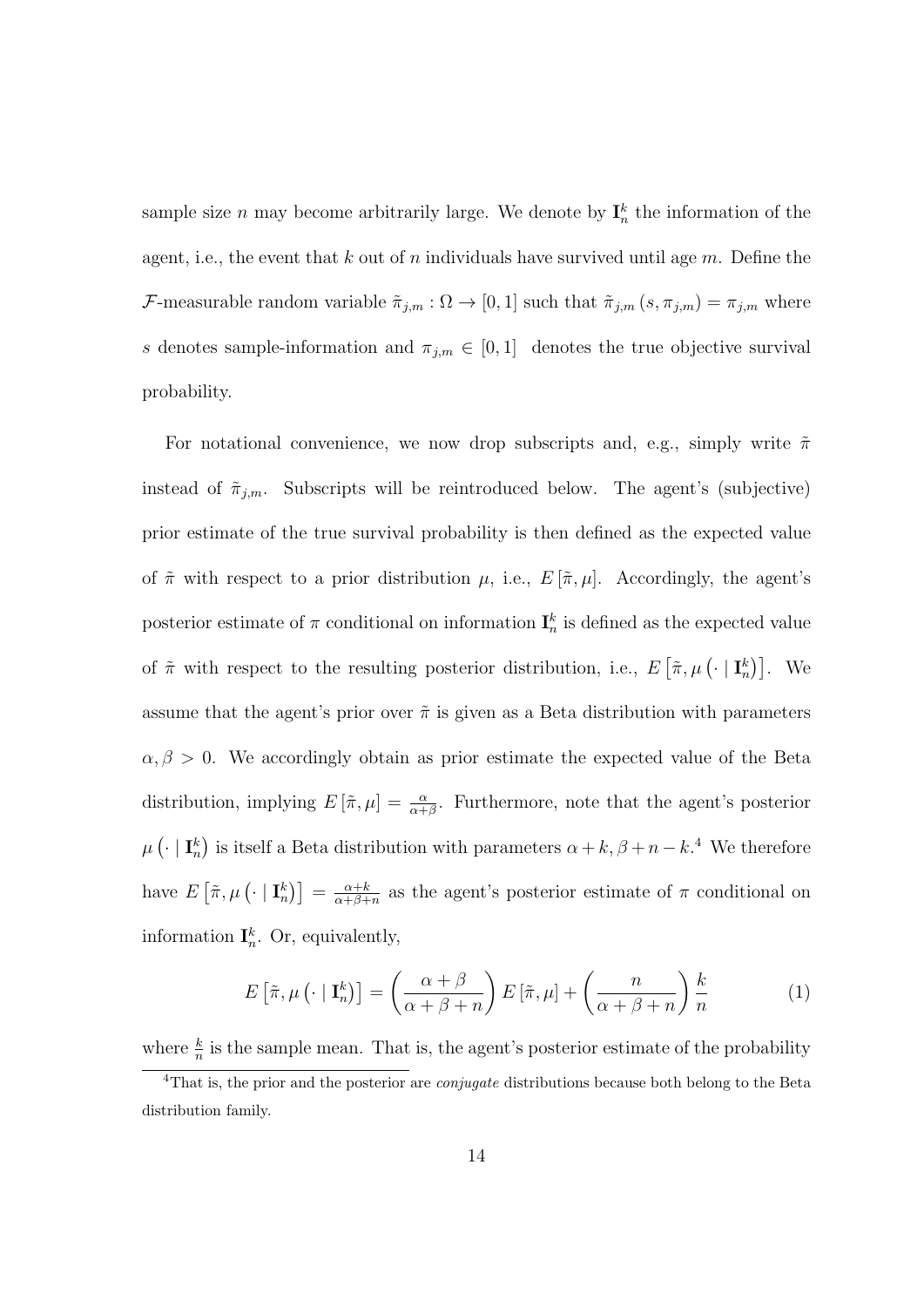sample size *n* may become arbitrarily large. We denote by  $I_n^k$  the information of the agent, i.e., the event that *k* out of *n* individuals have survived until age *m*. Define the *F*-measurable random variable  $\tilde{\pi}_{j,m} : \Omega \to [0,1]$  such that  $\tilde{\pi}_{j,m} (s, \pi_{j,m}) = \pi_{j,m}$  where *s* denotes sample-information and  $\pi_{j,m} \in [0,1]$  denotes the true objective survival probability.

For notational convenience, we now drop subscripts and, e.g., simply write ˜*π* instead of  $\tilde{\pi}_{j,m}$ . Subscripts will be reintroduced below. The agent's (subjective) prior estimate of the true survival probability is then defined as the expected value of  $\tilde{\pi}$  with respect to a prior distribution  $\mu$ , i.e.,  $E[\tilde{\pi}, \mu]$ . Accordingly, the agent's posterior estimate of  $\pi$  conditional on information  $\mathbf{I}_n^k$  is defined as the expected value of  $\tilde{\pi}$  with respect to the resulting posterior distribution, i.e.,  $E\left[\tilde{\pi}, \mu\left(\cdot \mid \mathbf{I}_n^k\right)\right]$ . We assume that the agent's prior over  $\tilde{\pi}$  is given as a Beta distribution with parameters  $\alpha, \beta > 0$ . We accordingly obtain as prior estimate the expected value of the Beta distribution, implying  $E\left[\tilde{\pi},\mu\right] = \frac{\alpha}{\alpha+\beta}$ . Furthermore, note that the agent's posterior  $\mu$  ( $\cdot$  | **I**<sup>*k*</sup><sub>n</sub>) is itself a Beta distribution with parameters  $\alpha + k, \beta + n - k$ <sup>4</sup>. We therefore have  $E\left[\tilde{\pi}, \mu\left(\cdot \mid \mathbf{I}_n^k\right)\right] = \frac{\alpha + k}{\alpha + \beta + k}$  $\frac{\alpha+k}{\alpha+\beta+n}$  as the agent's posterior estimate of  $\pi$  conditional on information  $\mathbf{I}_n^k$ . Or, equivalently,

$$
E\left[\tilde{\pi}, \mu\left(\cdot \mid \mathbf{I}_n^k\right)\right] = \left(\frac{\alpha + \beta}{\alpha + \beta + n}\right) E\left[\tilde{\pi}, \mu\right] + \left(\frac{n}{\alpha + \beta + n}\right) \frac{k}{n} \tag{1}
$$

where  $\frac{k}{n}$  is the sample mean. That is, the agent's posterior estimate of the probability

<sup>4</sup>That is, the prior and the posterior are *conjugate* distributions because both belong to the Beta distribution family.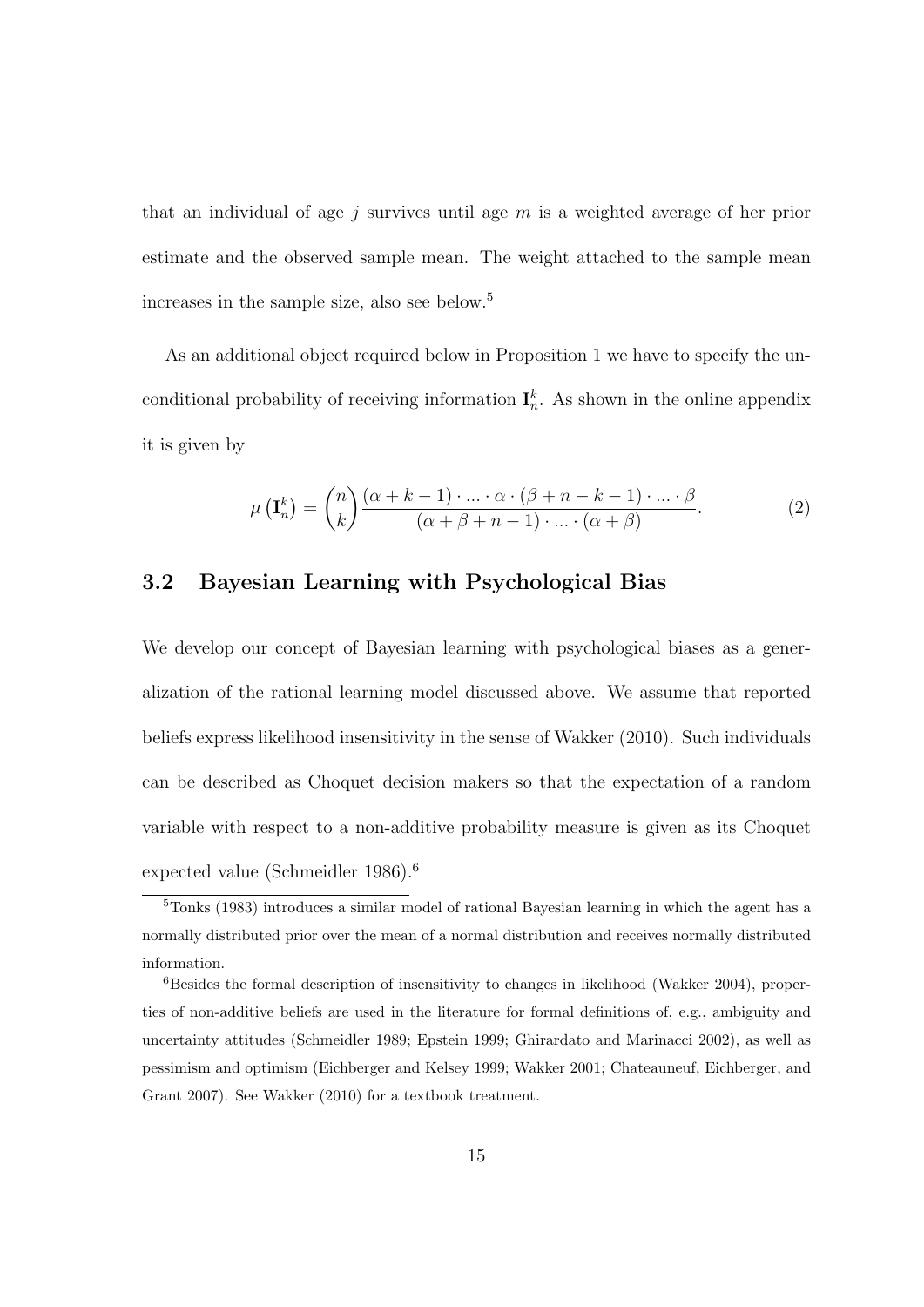that an individual of age *j* survives until age *m* is a weighted average of her prior estimate and the observed sample mean. The weight attached to the sample mean increases in the sample size, also see below.<sup>5</sup>

As an additional object required below in Proposition 1 we have to specify the unconditional probability of receiving information  $\mathbf{I}_n^k$ . As shown in the online appendix it is given by

$$
\mu\left(\mathbf{I}_n^k\right) = \binom{n}{k} \frac{(\alpha + k - 1) \cdot \ldots \cdot \alpha \cdot (\beta + n - k - 1) \cdot \ldots \cdot \beta}{(\alpha + \beta + n - 1) \cdot \ldots \cdot (\alpha + \beta)}.
$$
\n(2)

#### **3.2 Bayesian Learning with Psychological Bias**

We develop our concept of Bayesian learning with psychological biases as a generalization of the rational learning model discussed above. We assume that reported beliefs express likelihood insensitivity in the sense of Wakker (2010). Such individuals can be described as Choquet decision makers so that the expectation of a random variable with respect to a non-additive probability measure is given as its Choquet expected value (Schmeidler 1986).<sup>6</sup>

<sup>5</sup>Tonks (1983) introduces a similar model of rational Bayesian learning in which the agent has a normally distributed prior over the mean of a normal distribution and receives normally distributed information.

 $6$ Besides the formal description of insensitivity to changes in likelihood (Wakker 2004), properties of non-additive beliefs are used in the literature for formal definitions of, e.g., ambiguity and uncertainty attitudes (Schmeidler 1989; Epstein 1999; Ghirardato and Marinacci 2002), as well as pessimism and optimism (Eichberger and Kelsey 1999; Wakker 2001; Chateauneuf, Eichberger, and Grant 2007). See Wakker (2010) for a textbook treatment.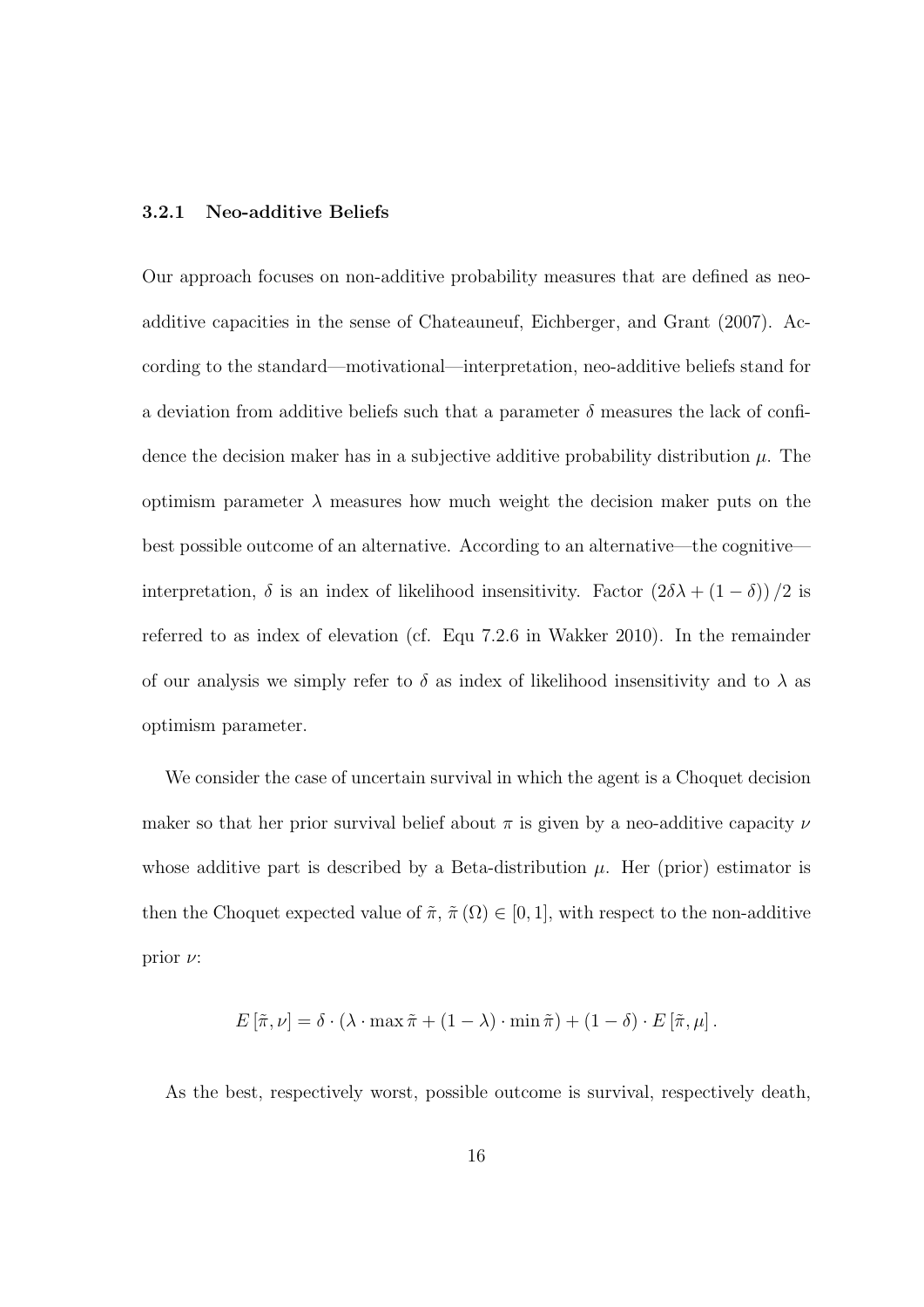#### **3.2.1 Neo-additive Beliefs**

Our approach focuses on non-additive probability measures that are defined as neoadditive capacities in the sense of Chateauneuf, Eichberger, and Grant (2007). According to the standard—motivational—interpretation, neo-additive beliefs stand for a deviation from additive beliefs such that a parameter  $\delta$  measures the lack of confidence the decision maker has in a subjective additive probability distribution *µ*. The optimism parameter  $\lambda$  measures how much weight the decision maker puts on the best possible outcome of an alternative. According to an alternative—the cognitive interpretation,  $\delta$  is an index of likelihood insensitivity. Factor  $(2\delta\lambda + (1-\delta))/2$  is referred to as index of elevation (cf. Equ 7.2.6 in Wakker 2010). In the remainder of our analysis we simply refer to  $\delta$  as index of likelihood insensitivity and to  $\lambda$  as optimism parameter.

We consider the case of uncertain survival in which the agent is a Choquet decision maker so that her prior survival belief about *π* is given by a neo-additive capacity *ν* whose additive part is described by a Beta-distribution  $\mu$ . Her (prior) estimator is then the Choquet expected value of  $\tilde{\pi}$ ,  $\tilde{\pi}(\Omega) \in [0,1]$ , with respect to the non-additive prior *ν*:

$$
E[\tilde{\pi}, \nu] = \delta \cdot (\lambda \cdot \max \tilde{\pi} + (1 - \lambda) \cdot \min \tilde{\pi}) + (1 - \delta) \cdot E[\tilde{\pi}, \mu].
$$

As the best, respectively worst, possible outcome is survival, respectively death,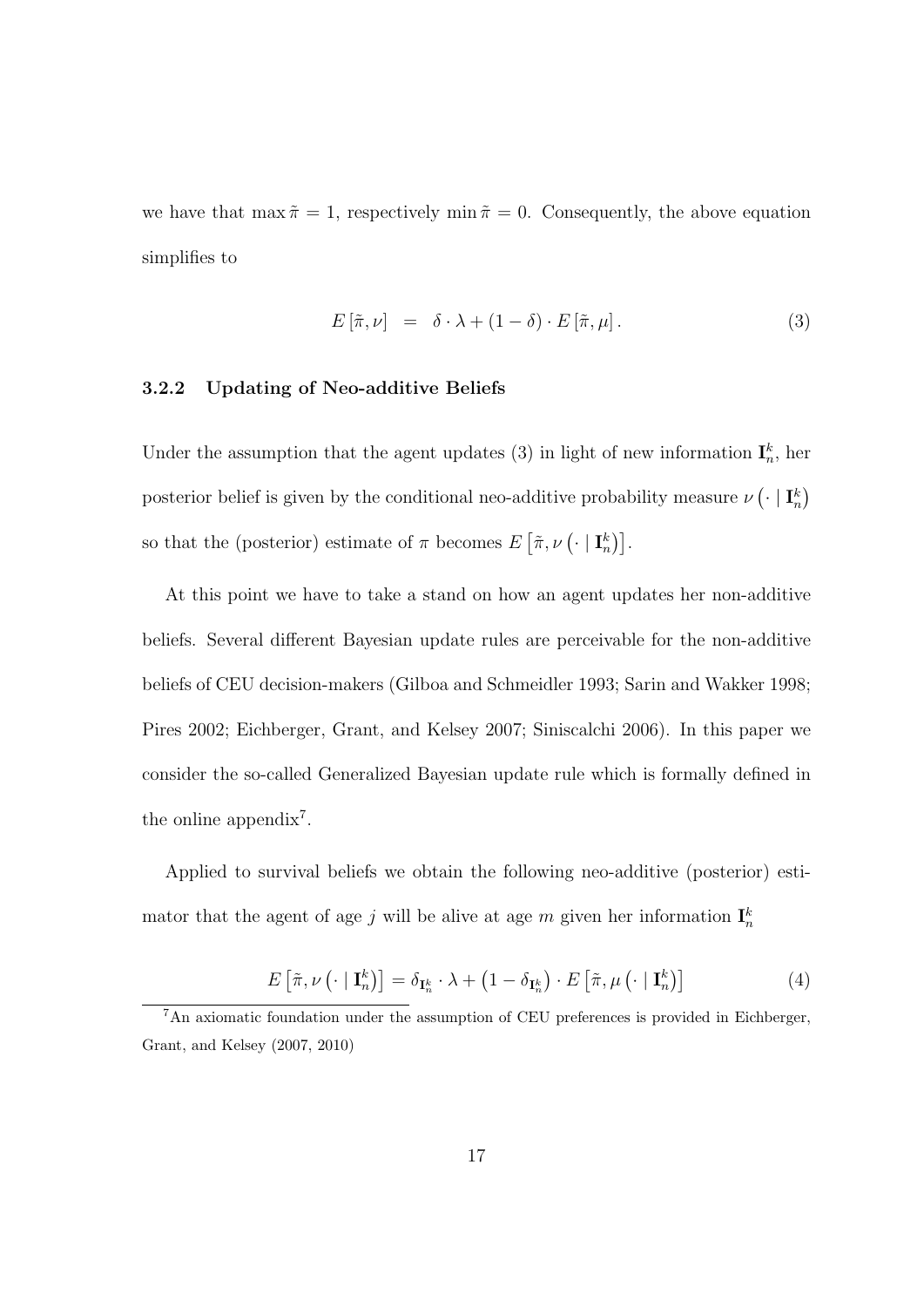we have that  $\max \tilde{\pi} = 1$ , respectively  $\min \tilde{\pi} = 0$ . Consequently, the above equation simplifies to

$$
E\left[\tilde{\pi},\nu\right] = \delta \cdot \lambda + (1-\delta) \cdot E\left[\tilde{\pi},\mu\right].\tag{3}
$$

#### **3.2.2 Updating of Neo-additive Beliefs**

Under the assumption that the agent updates (3) in light of new information  $\mathbf{I}_n^k$ , her posterior belief is given by the conditional neo-additive probability measure  $\nu$   $\left(\cdot \mid \mathbf{I}_n^k\right)$ so that the (posterior) estimate of  $\pi$  becomes  $E\left[\tilde{\pi}, \nu\left(\cdot \mid \mathbf{I}_n^k\right)\right]$ .

At this point we have to take a stand on how an agent updates her non-additive beliefs. Several different Bayesian update rules are perceivable for the non-additive beliefs of CEU decision-makers (Gilboa and Schmeidler 1993; Sarin and Wakker 1998; Pires 2002; Eichberger, Grant, and Kelsey 2007; Siniscalchi 2006). In this paper we consider the so-called Generalized Bayesian update rule which is formally defined in the online appendix<sup>7</sup>.

Applied to survival beliefs we obtain the following neo-additive (posterior) estimator that the agent of age *j* will be alive at age *m* given her information  $\mathbf{I}_n^k$ 

$$
E\left[\tilde{\pi},\nu\left(\cdot\mid\mathbf{I}_{n}^{k}\right)\right]=\delta_{\mathbf{I}_{n}^{k}}\cdot\lambda+\left(1-\delta_{\mathbf{I}_{n}^{k}}\right)\cdot E\left[\tilde{\pi},\mu\left(\cdot\mid\mathbf{I}_{n}^{k}\right)\right]
$$
(4)

<sup>7</sup>An axiomatic foundation under the assumption of CEU preferences is provided in Eichberger, Grant, and Kelsey (2007, 2010)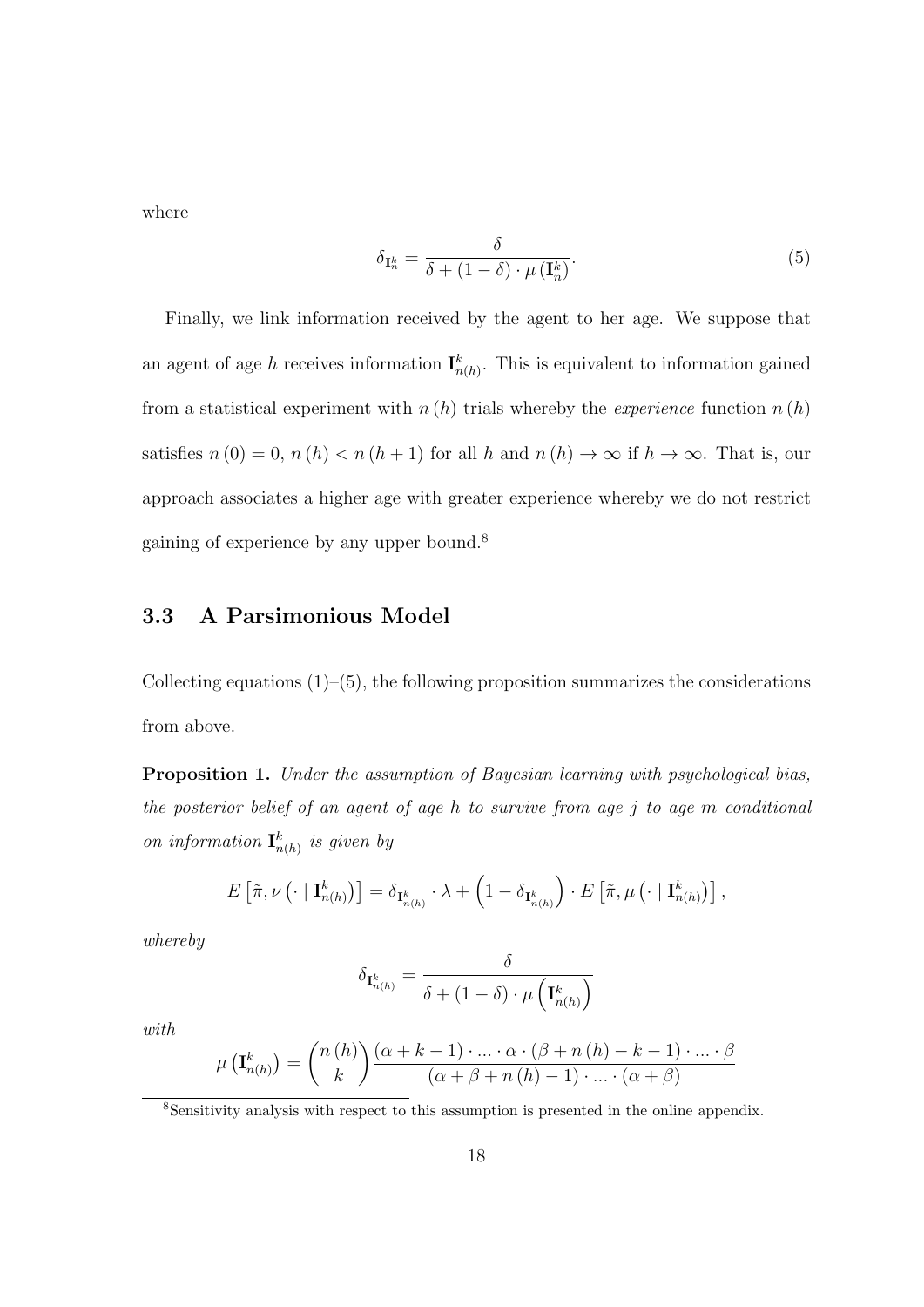where

$$
\delta_{\mathbf{I}_{n}^{k}} = \frac{\delta}{\delta + (1 - \delta) \cdot \mu(\mathbf{I}_{n}^{k})}.
$$
\n
$$
(5)
$$

Finally, we link information received by the agent to her age. We suppose that an agent of age *h* receives information  $\mathbf{I}_{n(h)}^k$ . This is equivalent to information gained from a statistical experiment with  $n(h)$  trials whereby the *experience* function  $n(h)$ satisfies  $n(0) = 0$ ,  $n(h) < n(h+1)$  for all *h* and  $n(h) \to \infty$  if  $h \to \infty$ . That is, our approach associates a higher age with greater experience whereby we do not restrict gaining of experience by any upper bound.<sup>8</sup>

### **3.3 A Parsimonious Model**

Collecting equations  $(1)$ – $(5)$ , the following proposition summarizes the considerations from above.

**Proposition 1.** *Under the assumption of Bayesian learning with psychological bias, the posterior belief of an agent of age h to survive from age j to age m conditional on information*  $\mathbf{I}_{n(h)}^k$  *is given by* 

$$
E\left[\tilde{\pi},\nu\left(\cdot\mid \mathbf{I}_{n(h)}^k\right)\right]=\delta_{\mathbf{I}_{n(h)}^k}\cdot\lambda+\left(1-\delta_{\mathbf{I}_{n(h)}^k}\right)\cdot E\left[\tilde{\pi},\mu\left(\cdot\mid \mathbf{I}_{n(h)}^k\right)\right],
$$

*whereby*

$$
\delta_{{\bf I}_{n(h)}^k}=\frac{\delta}{\delta+(1-\delta)\cdot \mu\left({\bf I}_{n(h)}^k\right)}
$$

*with*

$$
\mu\left(\mathbf{I}_{n(h)}^{k}\right) = {n(h) \choose k} \frac{(\alpha + k - 1) \cdot ... \cdot \alpha \cdot (\beta + n(h) - k - 1) \cdot ... \cdot \beta}{(\alpha + \beta + n(h) - 1) \cdot ... \cdot (\alpha + \beta)}
$$

<sup>8</sup>Sensitivity analysis with respect to this assumption is presented in the online appendix.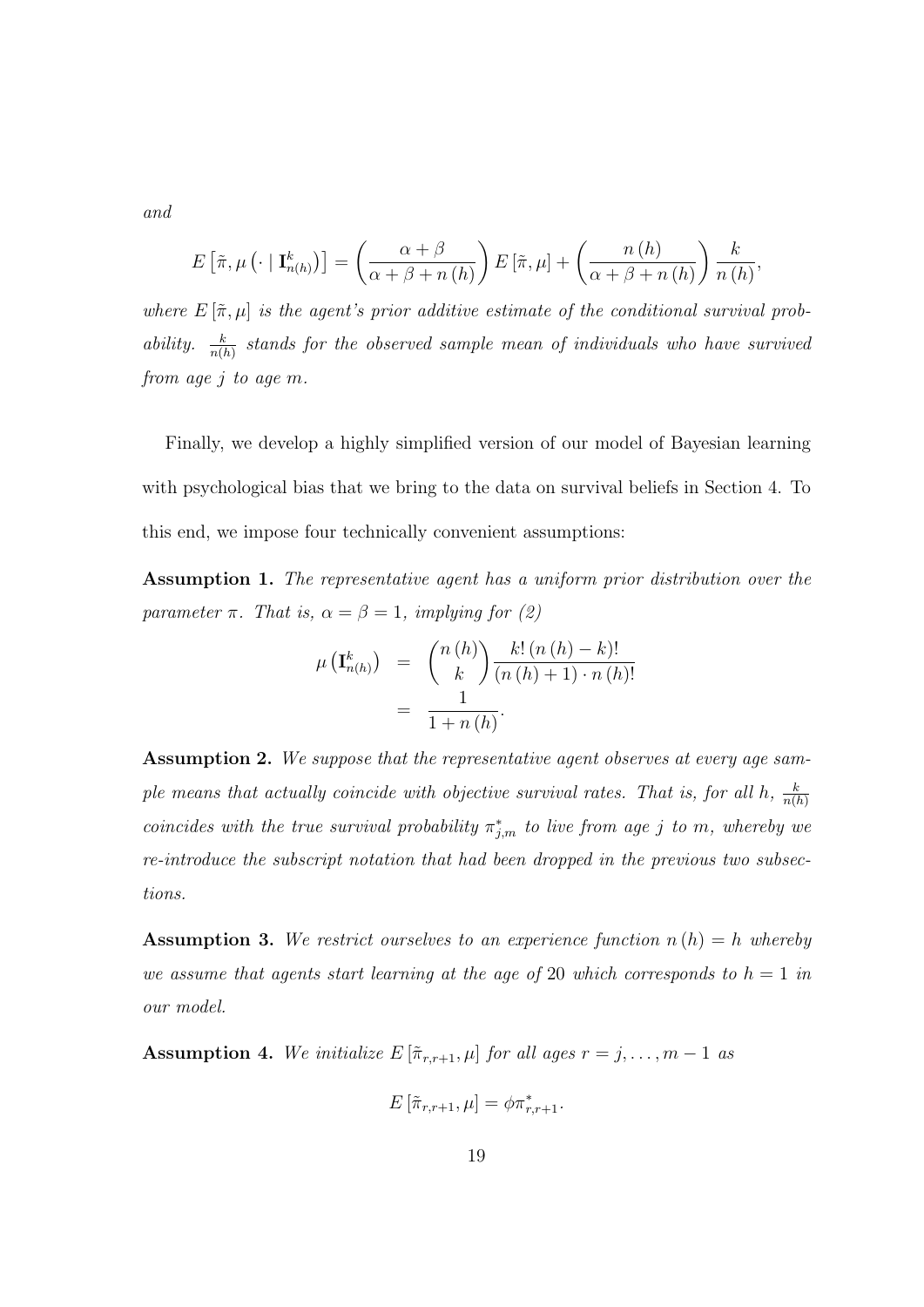*and*

$$
E\left[\tilde{\pi},\mu\left(\cdot\mid \mathbf{I}_{n(h)}^{k}\right)\right] = \left(\frac{\alpha+\beta}{\alpha+\beta+n(h)}\right)E\left[\tilde{\pi},\mu\right] + \left(\frac{n(h)}{\alpha+\beta+n(h)}\right)\frac{k}{n(h)},
$$

*where*  $E[\tilde{\pi}, \mu]$  *is the agent's prior additive estimate of the conditional survival probability.*  $\frac{k}{n(h)}$  stands for the observed sample mean of individuals who have survived *from age j to age m.*

Finally, we develop a highly simplified version of our model of Bayesian learning with psychological bias that we bring to the data on survival beliefs in Section 4. To this end, we impose four technically convenient assumptions:

**Assumption 1.** *The representative agent has a uniform prior distribution over the parameter*  $\pi$ *. That is,*  $\alpha = \beta = 1$ *, implying for (2)* 

$$
\mu\left(\mathbf{I}_{n(h)}^{k}\right) = \binom{n(h)}{k} \frac{k! \left(n(h) - k\right)!}{\left(n(h) + 1\right) \cdot n(h)!}
$$
\n
$$
= \frac{1}{1 + n(h)}.
$$

**Assumption 2.** *We suppose that the representative agent observes at every age sample means that actually coincide with objective survival rates. That is, for all h,*  $\frac{k}{n}$ *n*(*h*) *coincides with the true survival probability*  $\pi^*_{j,m}$  *to live from age j to m, whereby we re-introduce the subscript notation that had been dropped in the previous two subsections.*

**Assumption 3.** *We restrict ourselves to an experience function n* (*h*) = *h whereby we assume that agents start learning at the age of* 20 *which corresponds to*  $h = 1$  *in our model.*

**Assumption 4.** *We initialize*  $E\left[\tilde{\pi}_{r,r+1}, \mu\right]$  *for all ages*  $r = j, \ldots, m-1$  *as* 

$$
E\left[\tilde{\pi}_{r,r+1},\mu\right] = \phi \pi_{r,r+1}^*.
$$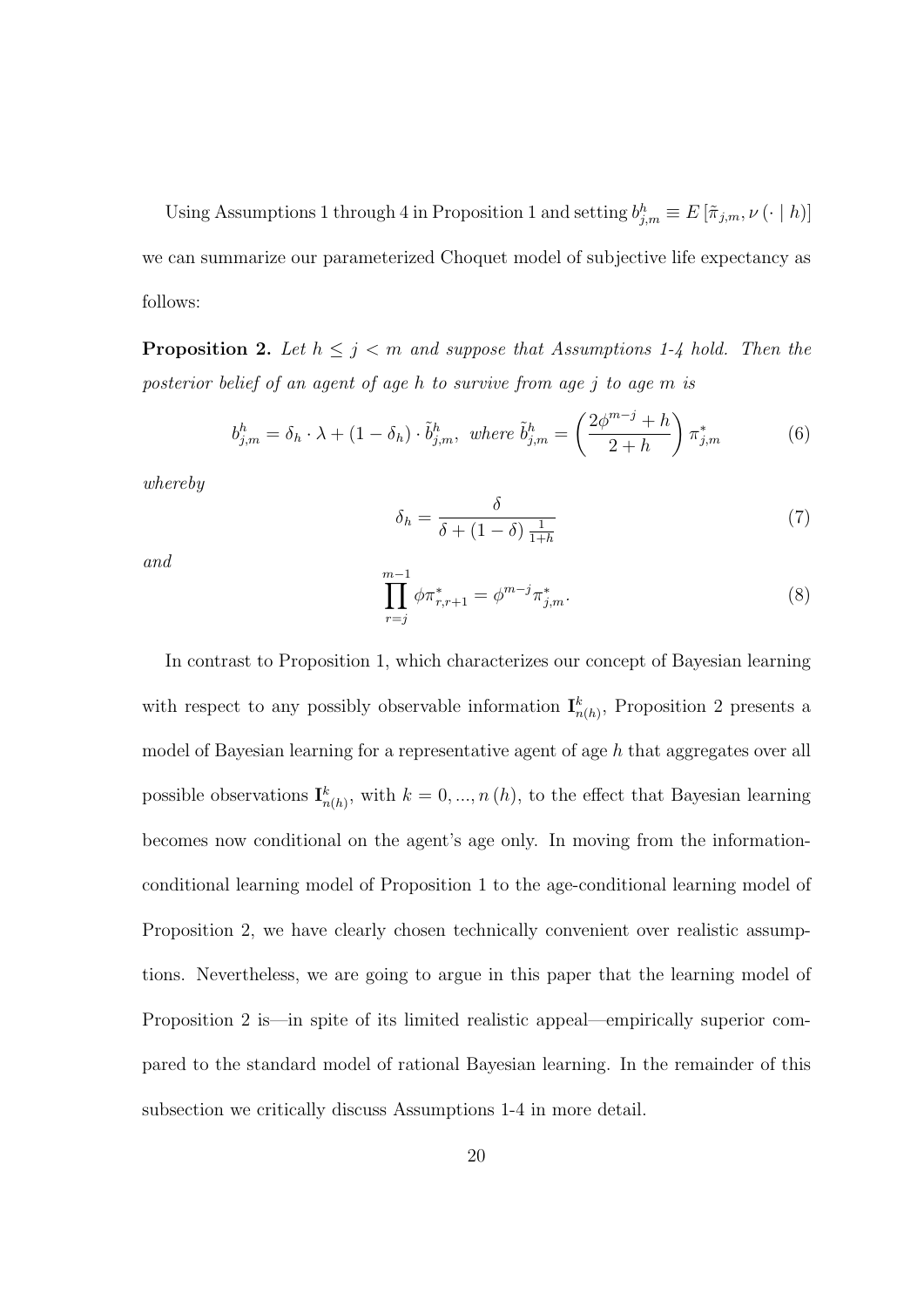Using Assumptions 1 through 4 in Proposition 1 and setting  $b_{j,m}^h \equiv E[\tilde{\pi}_{j,m}, \nu(\cdot | h)]$ we can summarize our parameterized Choquet model of subjective life expectancy as follows:

**Proposition 2.** Let  $h \leq j \leq m$  and suppose that Assumptions 1-4 hold. Then the *posterior belief of an agent of age h to survive from age j to age m is*

$$
b_{j,m}^h = \delta_h \cdot \lambda + (1 - \delta_h) \cdot \tilde{b}_{j,m}^h, \text{ where } \tilde{b}_{j,m}^h = \left(\frac{2\phi^{m-j} + h}{2 + h}\right) \pi_{j,m}^* \tag{6}
$$

*whereby*

$$
\delta_h = \frac{\delta}{\delta + (1 - \delta) \frac{1}{1 + h}}\tag{7}
$$

*and*

$$
\prod_{r=j}^{m-1} \phi \pi_{r,r+1}^* = \phi^{m-j} \pi_{j,m}^*.
$$
\n(8)

In contrast to Proposition 1, which characterizes our concept of Bayesian learning with respect to any possibly observable information  $\mathbf{I}_{n(h)}^k$ , Proposition 2 presents a model of Bayesian learning for a representative agent of age *h* that aggregates over all possible observations  $\mathbf{I}_{n(h)}^k$ , with  $k = 0, ..., n(h)$ , to the effect that Bayesian learning becomes now conditional on the agent's age only. In moving from the informationconditional learning model of Proposition 1 to the age-conditional learning model of Proposition 2, we have clearly chosen technically convenient over realistic assumptions. Nevertheless, we are going to argue in this paper that the learning model of Proposition 2 is—in spite of its limited realistic appeal—empirically superior compared to the standard model of rational Bayesian learning. In the remainder of this subsection we critically discuss Assumptions 1-4 in more detail.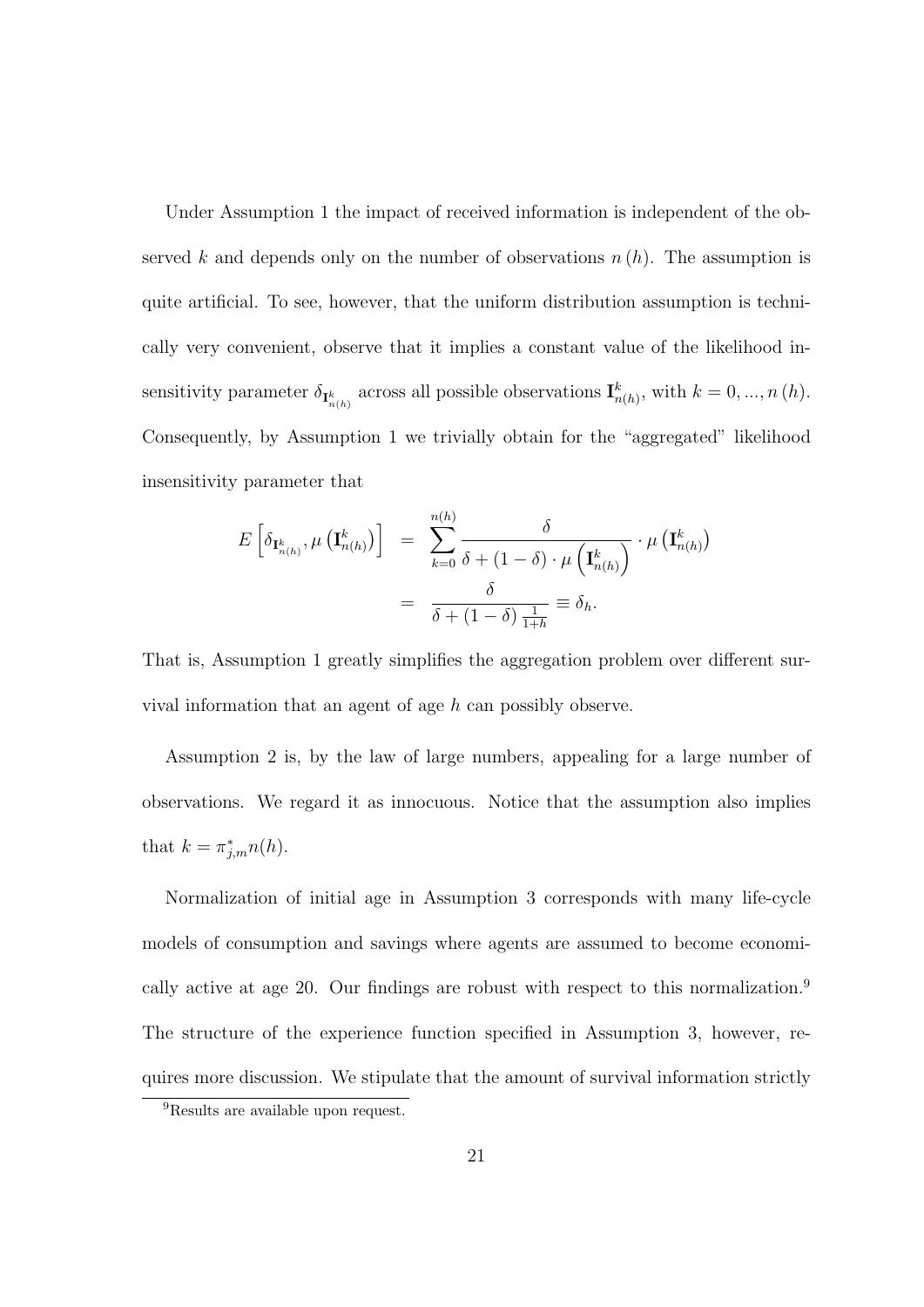Under Assumption 1 the impact of received information is independent of the observed *k* and depends only on the number of observations  $n(h)$ . The assumption is quite artificial. To see, however, that the uniform distribution assumption is technically very convenient, observe that it implies a constant value of the likelihood insensitivity parameter  $\delta_{\mathbf{I}_{n(h)}^k}$  across all possible observations  $\mathbf{I}_{n(h)}^k$ , with  $k = 0, ..., n(h)$ . Consequently, by Assumption 1 we trivially obtain for the "aggregated" likelihood insensitivity parameter that

$$
E\left[\delta_{\mathbf{I}_{n(h)}^{k}}, \mu\left(\mathbf{I}_{n(h)}^{k}\right)\right] = \sum_{k=0}^{n(h)} \frac{\delta}{\delta + (1-\delta) \cdot \mu\left(\mathbf{I}_{n(h)}^{k}\right)} \cdot \mu\left(\mathbf{I}_{n(h)}^{k}\right)
$$

$$
= \frac{\delta}{\delta + (1-\delta) \frac{1}{1+h}} \equiv \delta_{h}.
$$

That is, Assumption 1 greatly simplifies the aggregation problem over different survival information that an agent of age *h* can possibly observe.

Assumption 2 is, by the law of large numbers, appealing for a large number of observations. We regard it as innocuous. Notice that the assumption also implies that  $k = \pi^*_{j,m} n(h)$ .

Normalization of initial age in Assumption 3 corresponds with many life-cycle models of consumption and savings where agents are assumed to become economically active at age 20. Our findings are robust with respect to this normalization.<sup>9</sup> The structure of the experience function specified in Assumption 3, however, requires more discussion. We stipulate that the amount of survival information strictly

<sup>&</sup>lt;sup>9</sup>Results are available upon request.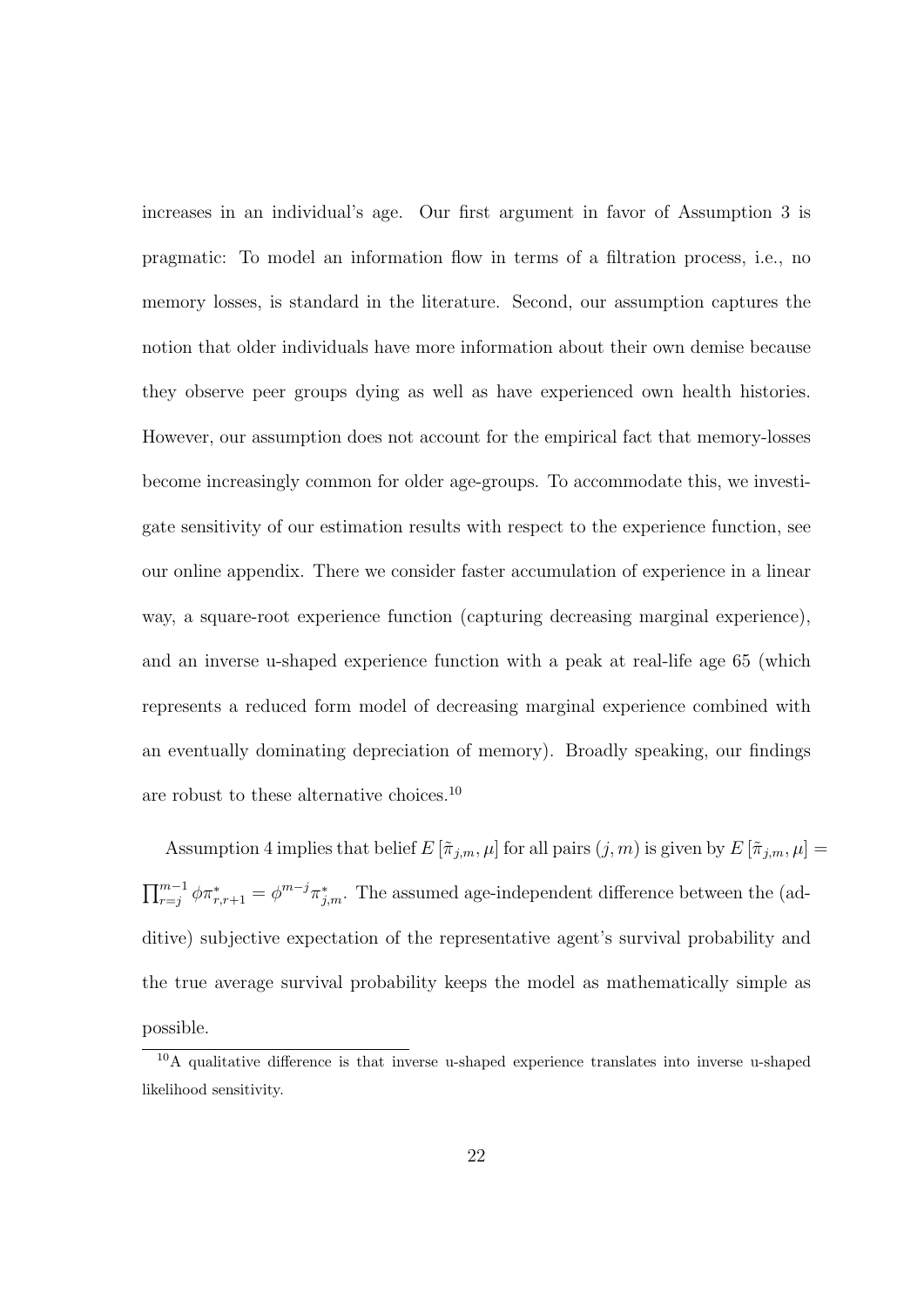increases in an individual's age. Our first argument in favor of Assumption 3 is pragmatic: To model an information flow in terms of a filtration process, i.e., no memory losses, is standard in the literature. Second, our assumption captures the notion that older individuals have more information about their own demise because they observe peer groups dying as well as have experienced own health histories. However, our assumption does not account for the empirical fact that memory-losses become increasingly common for older age-groups. To accommodate this, we investigate sensitivity of our estimation results with respect to the experience function, see our online appendix. There we consider faster accumulation of experience in a linear way, a square-root experience function (capturing decreasing marginal experience), and an inverse u-shaped experience function with a peak at real-life age 65 (which represents a reduced form model of decreasing marginal experience combined with an eventually dominating depreciation of memory). Broadly speaking, our findings are robust to these alternative choices.<sup>10</sup>

Assumption 4 implies that belief  $E[\tilde{\pi}_{j,m}, \mu]$  for all pairs  $(j, m)$  is given by  $E[\tilde{\pi}_{j,m}, \mu] =$  $\prod_{r=j}^{m-1} \phi \pi^*_{r,r+1} = \phi^{m-j} \pi^*_{j,m}$ . The assumed age-independent difference between the (additive) subjective expectation of the representative agent's survival probability and the true average survival probability keeps the model as mathematically simple as possible.

 $10A$  qualitative difference is that inverse u-shaped experience translates into inverse u-shaped likelihood sensitivity.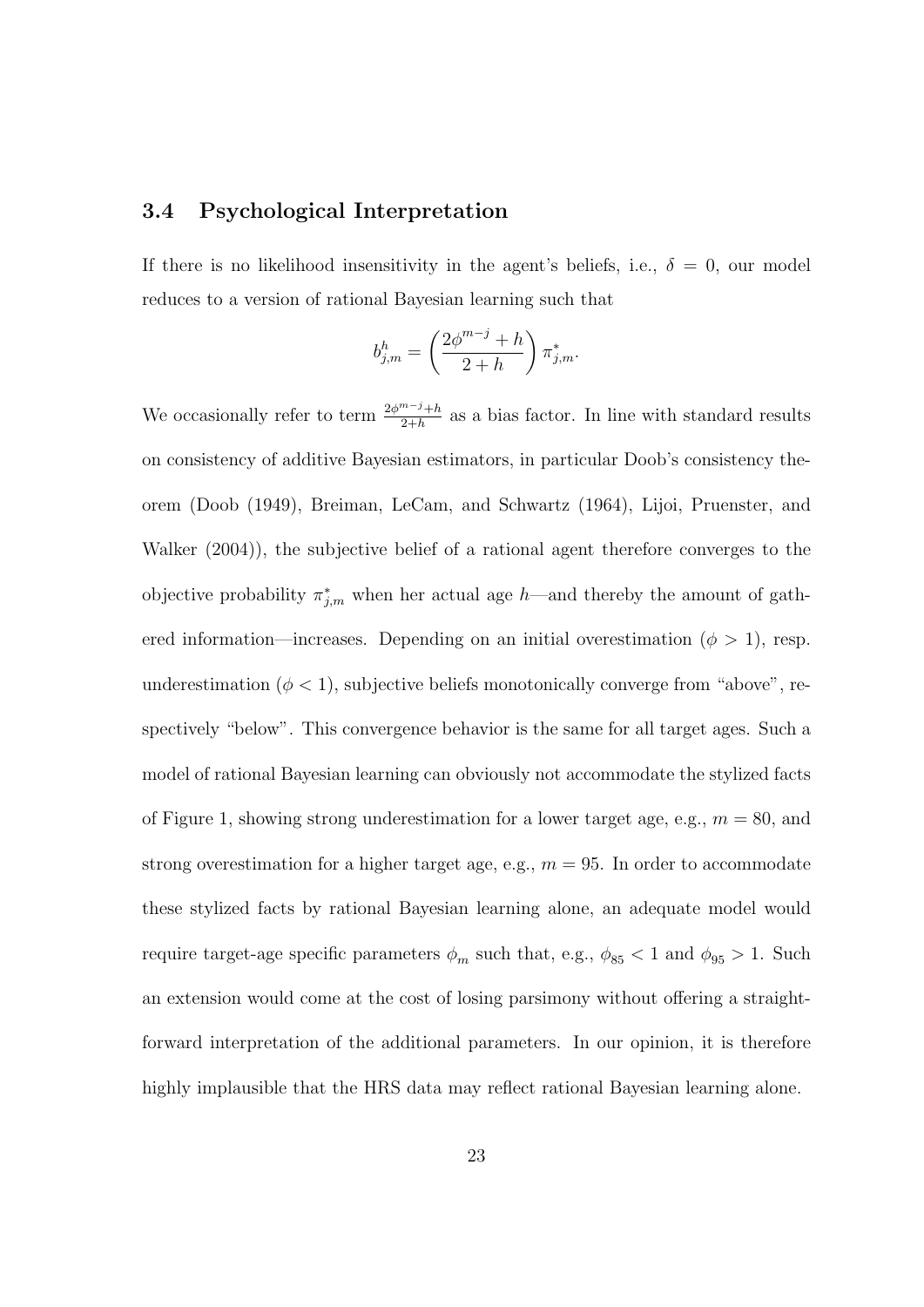#### **3.4 Psychological Interpretation**

If there is no likelihood insensitivity in the agent's beliefs, i.e.,  $\delta = 0$ , our model reduces to a version of rational Bayesian learning such that

$$
b_{j,m}^h=\left(\frac{2\phi^{m-j}+h}{2+h}\right)\pi_{j,m}^*.
$$

We occasionally refer to term  $\frac{2\phi^{m-j}+h}{2+h}$  as a bias factor. In line with standard results on consistency of additive Bayesian estimators, in particular Doob's consistency theorem (Doob (1949), Breiman, LeCam, and Schwartz (1964), Lijoi, Pruenster, and Walker (2004)), the subjective belief of a rational agent therefore converges to the objective probability  $\pi^*_{j,m}$  when her actual age *h*—and thereby the amount of gathered information—increases. Depending on an initial overestimation ( $\phi > 1$ ), resp. underestimation  $(\phi < 1)$ , subjective beliefs monotonically converge from "above", respectively "below". This convergence behavior is the same for all target ages. Such a model of rational Bayesian learning can obviously not accommodate the stylized facts of Figure 1, showing strong underestimation for a lower target age, e.g., *m* = 80, and strong overestimation for a higher target age, e.g.,  $m = 95$ . In order to accommodate these stylized facts by rational Bayesian learning alone, an adequate model would require target-age specific parameters  $\phi_m$  such that, e.g.,  $\phi_{85}$  < 1 and  $\phi_{95}$  > 1. Such an extension would come at the cost of losing parsimony without offering a straightforward interpretation of the additional parameters. In our opinion, it is therefore highly implausible that the HRS data may reflect rational Bayesian learning alone.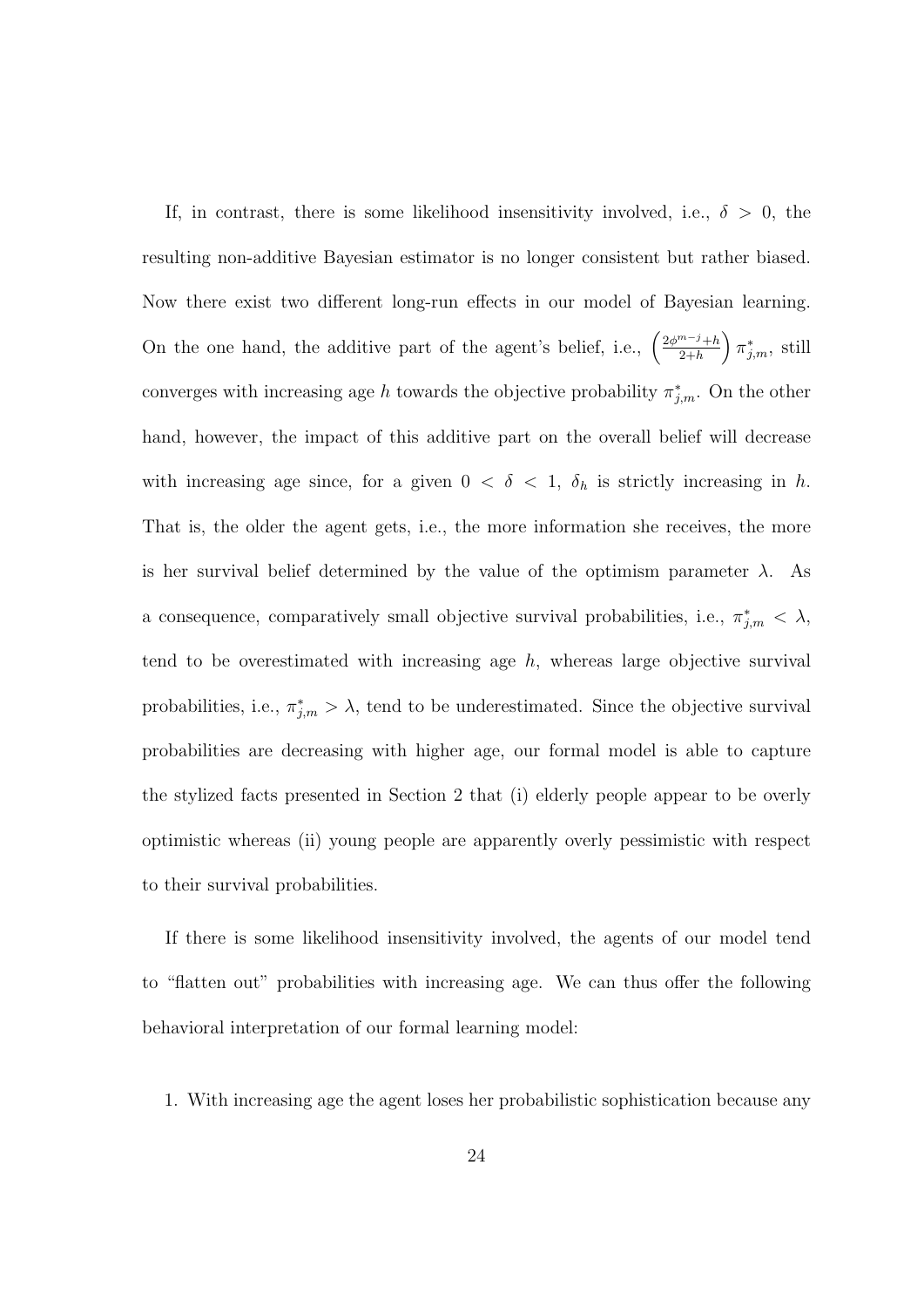If, in contrast, there is some likelihood insensitivity involved, i.e.,  $\delta > 0$ , the resulting non-additive Bayesian estimator is no longer consistent but rather biased. Now there exist two different long-run effects in our model of Bayesian learning. On the one hand, the additive part of the agent's belief, i.e.,  $\left(\frac{2\phi^{m-j}+h}{2+h}\right)$ 2+*h*  $\int \pi^*_{j,m}$ , still converges with increasing age *h* towards the objective probability  $\pi^*_{j,m}$ . On the other hand, however, the impact of this additive part on the overall belief will decrease with increasing age since, for a given  $0 < \delta < 1$ ,  $\delta_h$  is strictly increasing in *h*. That is, the older the agent gets, i.e., the more information she receives, the more is her survival belief determined by the value of the optimism parameter  $\lambda$ . As a consequence, comparatively small objective survival probabilities, i.e.,  $\pi^*_{j,m} < \lambda$ , tend to be overestimated with increasing age  $h$ , whereas large objective survival probabilities, i.e.,  $\pi^*_{j,m} > \lambda$ , tend to be underestimated. Since the objective survival probabilities are decreasing with higher age, our formal model is able to capture the stylized facts presented in Section 2 that (i) elderly people appear to be overly optimistic whereas (ii) young people are apparently overly pessimistic with respect to their survival probabilities.

If there is some likelihood insensitivity involved, the agents of our model tend to "flatten out" probabilities with increasing age. We can thus offer the following behavioral interpretation of our formal learning model:

1. With increasing age the agent loses her probabilistic sophistication because any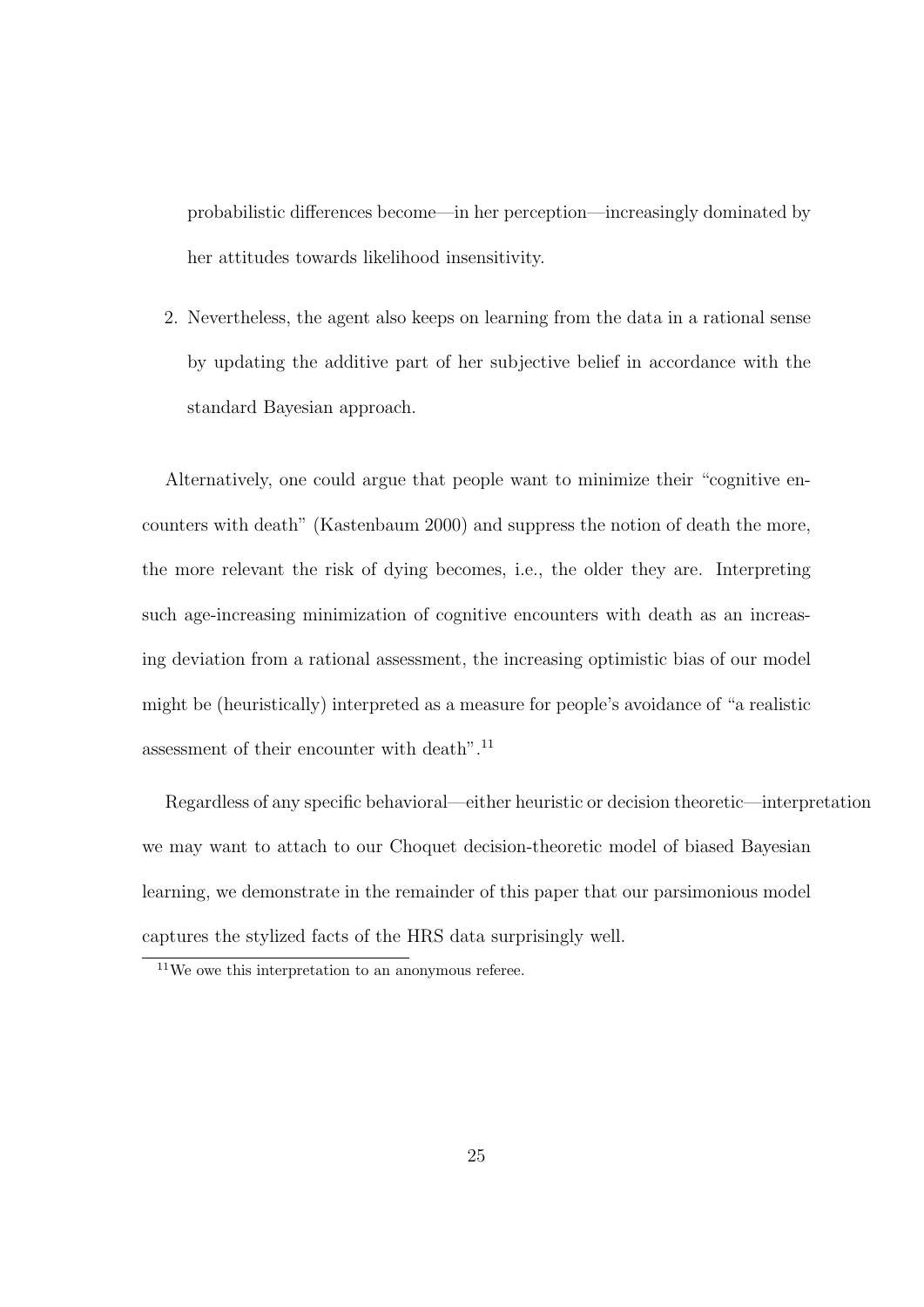probabilistic differences become—in her perception—increasingly dominated by her attitudes towards likelihood insensitivity.

2. Nevertheless, the agent also keeps on learning from the data in a rational sense by updating the additive part of her subjective belief in accordance with the standard Bayesian approach.

Alternatively, one could argue that people want to minimize their "cognitive encounters with death" (Kastenbaum 2000) and suppress the notion of death the more, the more relevant the risk of dying becomes, i.e., the older they are. Interpreting such age-increasing minimization of cognitive encounters with death as an increasing deviation from a rational assessment, the increasing optimistic bias of our model might be (heuristically) interpreted as a measure for people's avoidance of "a realistic assessment of their encounter with death".<sup>11</sup>

Regardless of any specific behavioral—either heuristic or decision theoretic—interpretation we may want to attach to our Choquet decision-theoretic model of biased Bayesian learning, we demonstrate in the remainder of this paper that our parsimonious model captures the stylized facts of the HRS data surprisingly well.

<sup>11</sup>We owe this interpretation to an anonymous referee.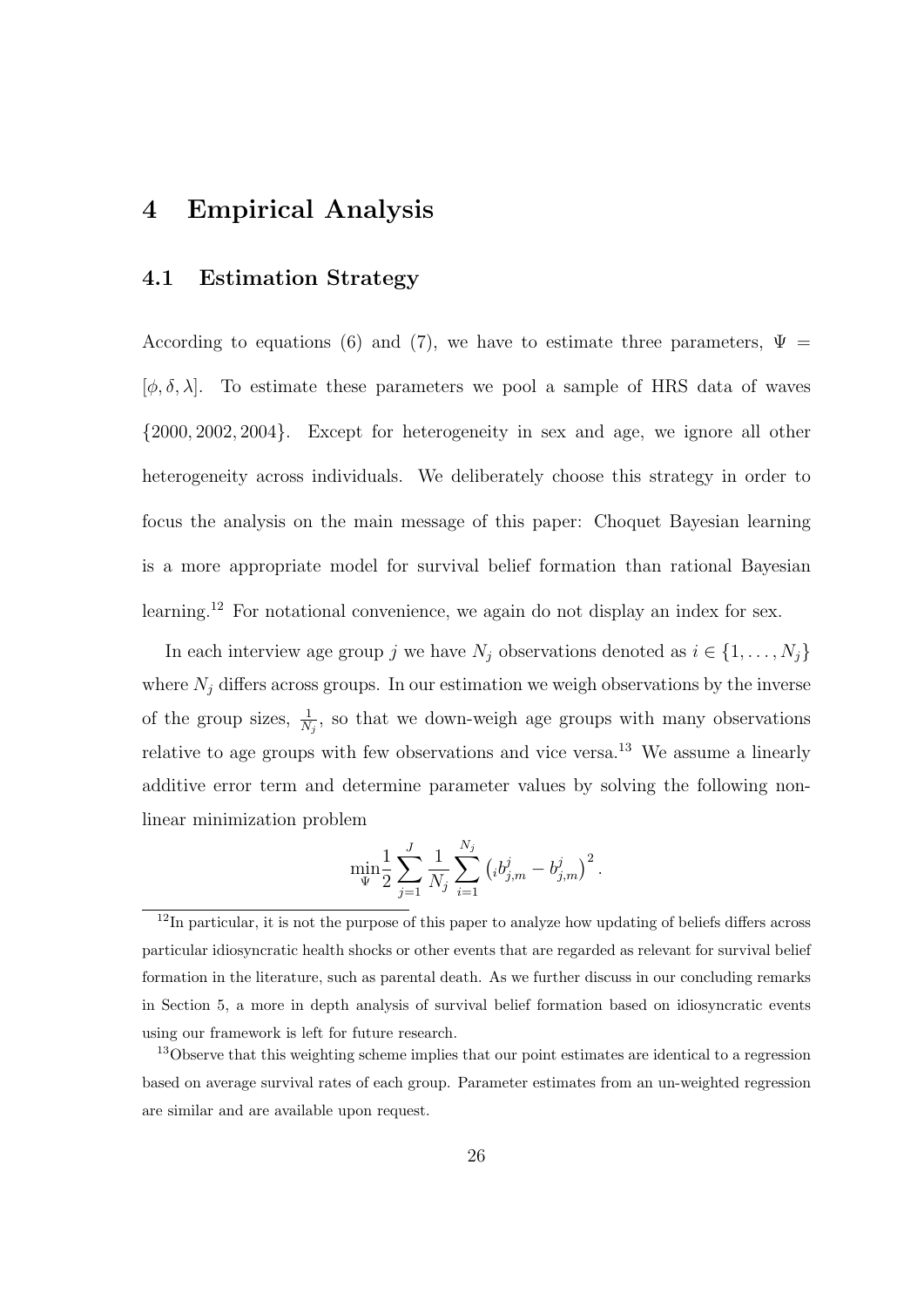## **4 Empirical Analysis**

#### **4.1 Estimation Strategy**

According to equations (6) and (7), we have to estimate three parameters,  $\Psi =$  $[\phi, \delta, \lambda]$ . To estimate these parameters we pool a sample of HRS data of waves *{*2000*,* 2002*,* 2004*}*. Except for heterogeneity in sex and age, we ignore all other heterogeneity across individuals. We deliberately choose this strategy in order to focus the analysis on the main message of this paper: Choquet Bayesian learning is a more appropriate model for survival belief formation than rational Bayesian learning.<sup>12</sup> For notational convenience, we again do not display an index for sex.

In each interview age group *j* we have  $N_j$  observations denoted as  $i \in \{1, \ldots, N_j\}$ where  $N_j$  differs across groups. In our estimation we weigh observations by the inverse of the group sizes,  $\frac{1}{N_j}$ , so that we down-weigh age groups with many observations relative to age groups with few observations and vice versa.<sup>13</sup> We assume a linearly additive error term and determine parameter values by solving the following nonlinear minimization problem

$$
\min_{\Psi} \frac{1}{2} \sum_{j=1}^{J} \frac{1}{N_j} \sum_{i=1}^{N_j} \left( i b_{j,m}^j - b_{j,m}^j \right)^2.
$$

<sup>&</sup>lt;sup>12</sup>In particular, it is not the purpose of this paper to analyze how updating of beliefs differs across particular idiosyncratic health shocks or other events that are regarded as relevant for survival belief formation in the literature, such as parental death. As we further discuss in our concluding remarks in Section 5, a more in depth analysis of survival belief formation based on idiosyncratic events using our framework is left for future research.

<sup>&</sup>lt;sup>13</sup>Observe that this weighting scheme implies that our point estimates are identical to a regression based on average survival rates of each group. Parameter estimates from an un-weighted regression are similar and are available upon request.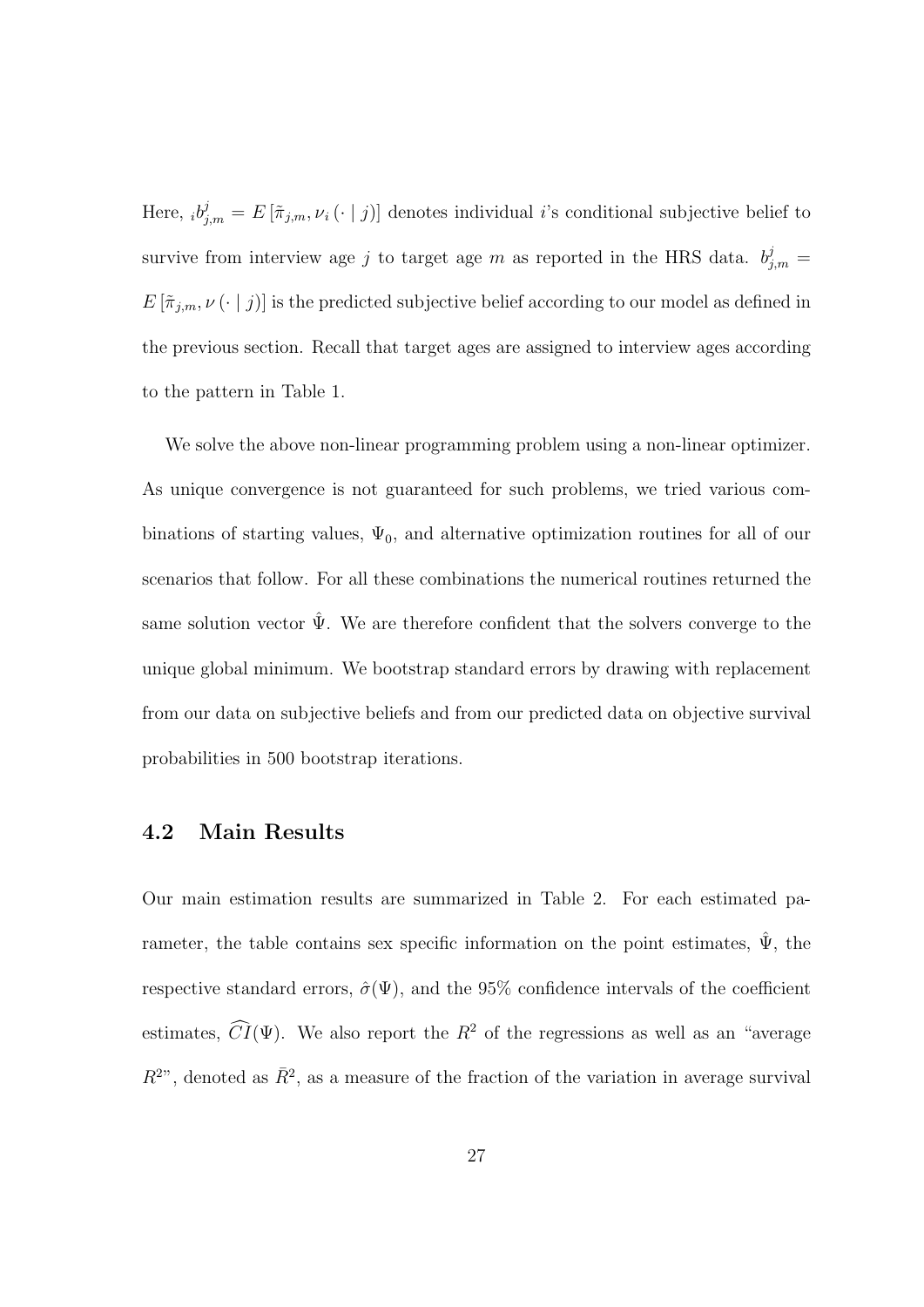Here,  $_i b^j_{j,m} = E[\tilde{\pi}_{j,m}, \nu_i(\cdot | j)]$  denotes individual *i*'s conditional subjective belief to survive from interview age *j* to target age *m* as reported in the HRS data.  $b^j_{j,m}$  =  $E\left[\tilde{\pi}_{j,m},\nu\left(\cdot\mid j\right)\right]$  is the predicted subjective belief according to our model as defined in the previous section. Recall that target ages are assigned to interview ages according to the pattern in Table 1.

We solve the above non-linear programming problem using a non-linear optimizer. As unique convergence is not guaranteed for such problems, we tried various combinations of starting values,  $\Psi_0$ , and alternative optimization routines for all of our scenarios that follow. For all these combinations the numerical routines returned the same solution vector  $\hat{\Psi}$ . We are therefore confident that the solvers converge to the unique global minimum. We bootstrap standard errors by drawing with replacement from our data on subjective beliefs and from our predicted data on objective survival probabilities in 500 bootstrap iterations.

#### **4.2 Main Results**

Our main estimation results are summarized in Table 2. For each estimated parameter, the table contains sex specific information on the point estimates,  $\Psi$ , the respective standard errors,  $\hat{\sigma}(\Psi)$ , and the 95% confidence intervals of the coefficient estimates,  $\widehat{CI}(\Psi)$ . We also report the  $R^2$  of the regressions as well as an "average  $R^{2n}$ , denoted as  $\bar{R}^2$ , as a measure of the fraction of the variation in average survival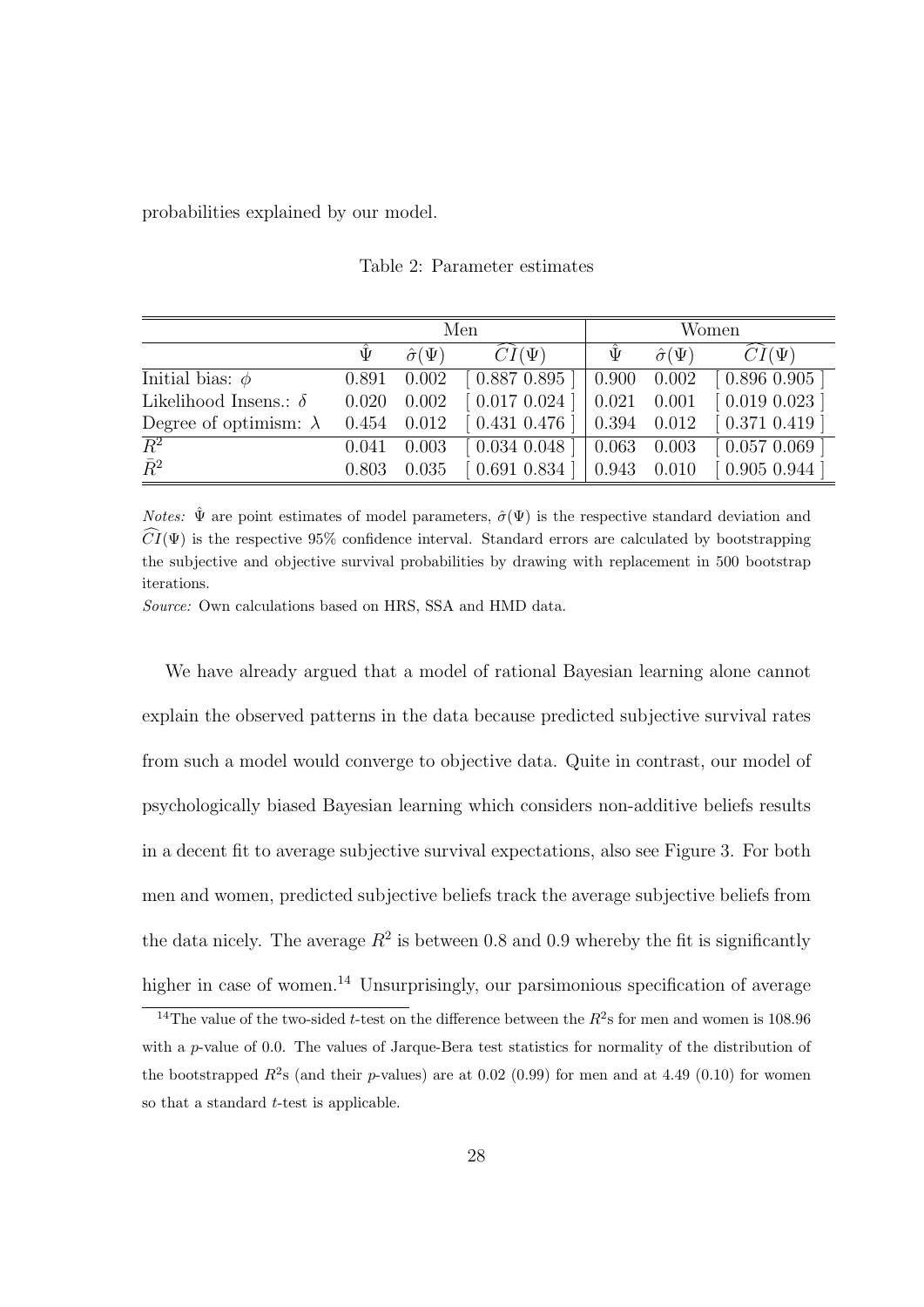probabilities explained by our model.

|                               | Men   |                      |                               | Women               |                      |                               |  |
|-------------------------------|-------|----------------------|-------------------------------|---------------------|----------------------|-------------------------------|--|
|                               | Ψ     | $\hat{\sigma}(\Psi)$ | $CI(\Psi)$                    | Ψ                   | $\hat{\sigma}(\Psi)$ | $CI(\Psi)$                    |  |
| Initial bias: $\phi$          | 0.891 | 0.002                | [0.887 0.895]                 | $0.900 \quad 0.002$ |                      | $\left[0.896\ 0.905\ \right]$ |  |
| Likelihood Insens.: $\delta$  | 0.020 | 0.002                | $\left[0.017\ 0.024\right]$   | $0.021$ $0.001$     |                      | $[0.019\ 0.023]$              |  |
| Degree of optimism: $\lambda$ |       | $0.454$ $0.012$      | $\left[0.431\;0.476\;\right]$ | $0.394$ $0.012$     |                      | [0.371 0.419]                 |  |
| $\overline{R^2}$              | 0.041 | 0.003                |                               | $0.063$ 0.003       |                      | [0.057 0.069]                 |  |
| $\bar{R}^2$                   | 0.803 | 0.035                | [0.691 0.834]                 | $0.943$ $0.010$     |                      | [0.905 0.944]                 |  |

Table 2: Parameter estimates

*Notes:*  $\hat{\Psi}$  are point estimates of model parameters,  $\hat{\sigma}(\Psi)$  is the respective standard deviation and  $\widehat{CI}(\Psi)$  is the respective 95% confidence interval. Standard errors are calculated by bootstrapping the subjective and objective survival probabilities by drawing with replacement in 500 bootstrap iterations.

*Source:* Own calculations based on HRS, SSA and HMD data.

We have already argued that a model of rational Bayesian learning alone cannot explain the observed patterns in the data because predicted subjective survival rates from such a model would converge to objective data. Quite in contrast, our model of psychologically biased Bayesian learning which considers non-additive beliefs results in a decent fit to average subjective survival expectations, also see Figure 3. For both men and women, predicted subjective beliefs track the average subjective beliefs from the data nicely. The average  $R^2$  is between 0.8 and 0.9 whereby the fit is significantly higher in case of women.<sup>14</sup> Unsurprisingly, our parsimonious specification of average

<sup>&</sup>lt;sup>14</sup>The value of the two-sided *t*-test on the difference between the  $R^2$ s for men and women is 108.96 with a *p*-value of 0.0. The values of Jarque-Bera test statistics for normality of the distribution of the bootstrapped  $R^2$ s (and their *p*-values) are at 0.02 (0.99) for men and at 4.49 (0.10) for women so that a standard *t*-test is applicable.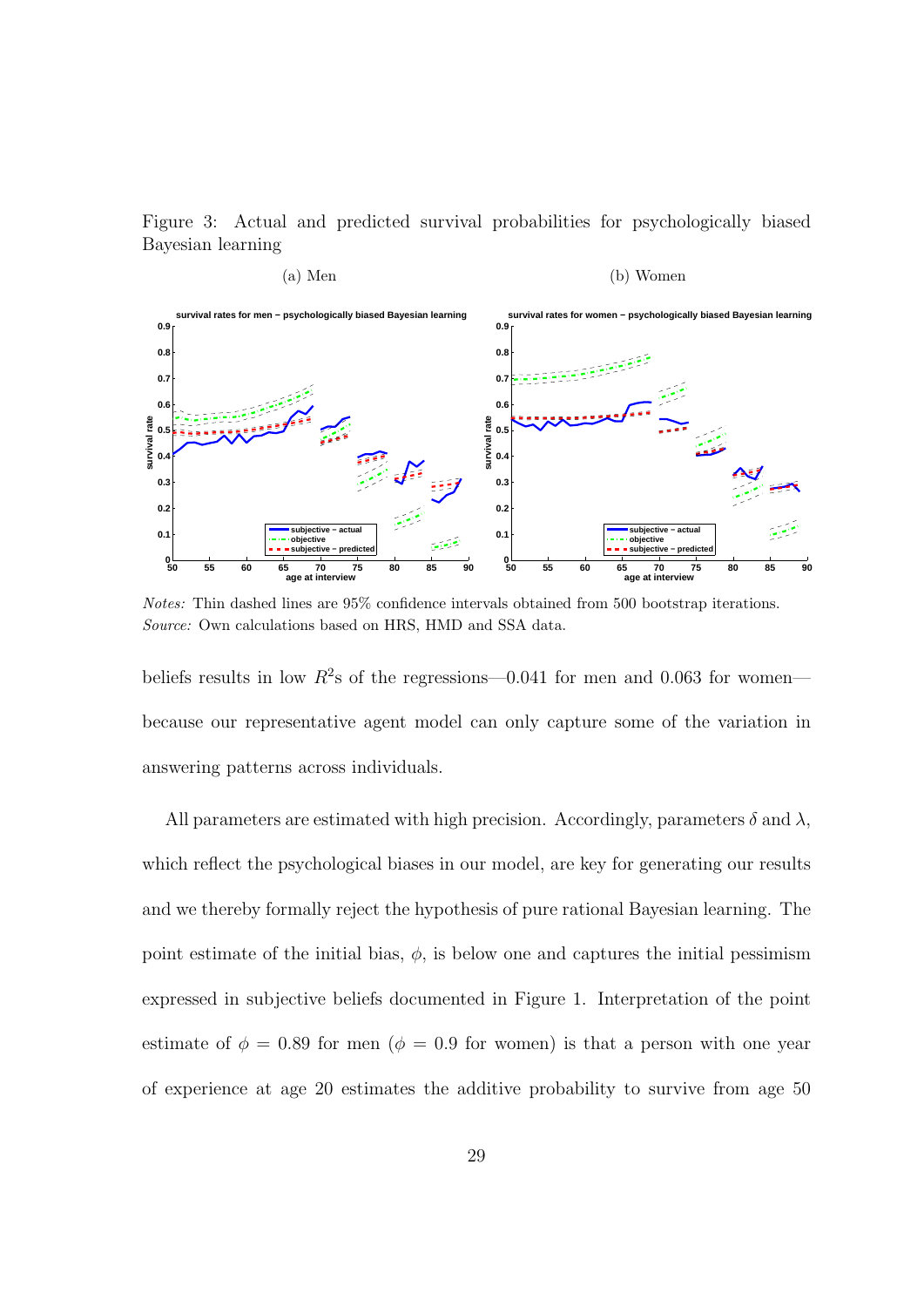Figure 3: Actual and predicted survival probabilities for psychologically biased Bayesian learning



*Notes:* Thin dashed lines are 95% confidence intervals obtained from 500 bootstrap iterations. *Source:* Own calculations based on HRS, HMD and SSA data.

beliefs results in low  $R^2$ s of the regressions—0.041 for men and 0.063 for women because our representative agent model can only capture some of the variation in answering patterns across individuals.

All parameters are estimated with high precision. Accordingly, parameters  $\delta$  and  $\lambda$ , which reflect the psychological biases in our model, are key for generating our results and we thereby formally reject the hypothesis of pure rational Bayesian learning. The point estimate of the initial bias,  $\phi$ , is below one and captures the initial pessimism expressed in subjective beliefs documented in Figure 1. Interpretation of the point estimate of  $\phi = 0.89$  for men ( $\phi = 0.9$  for women) is that a person with one year of experience at age 20 estimates the additive probability to survive from age 50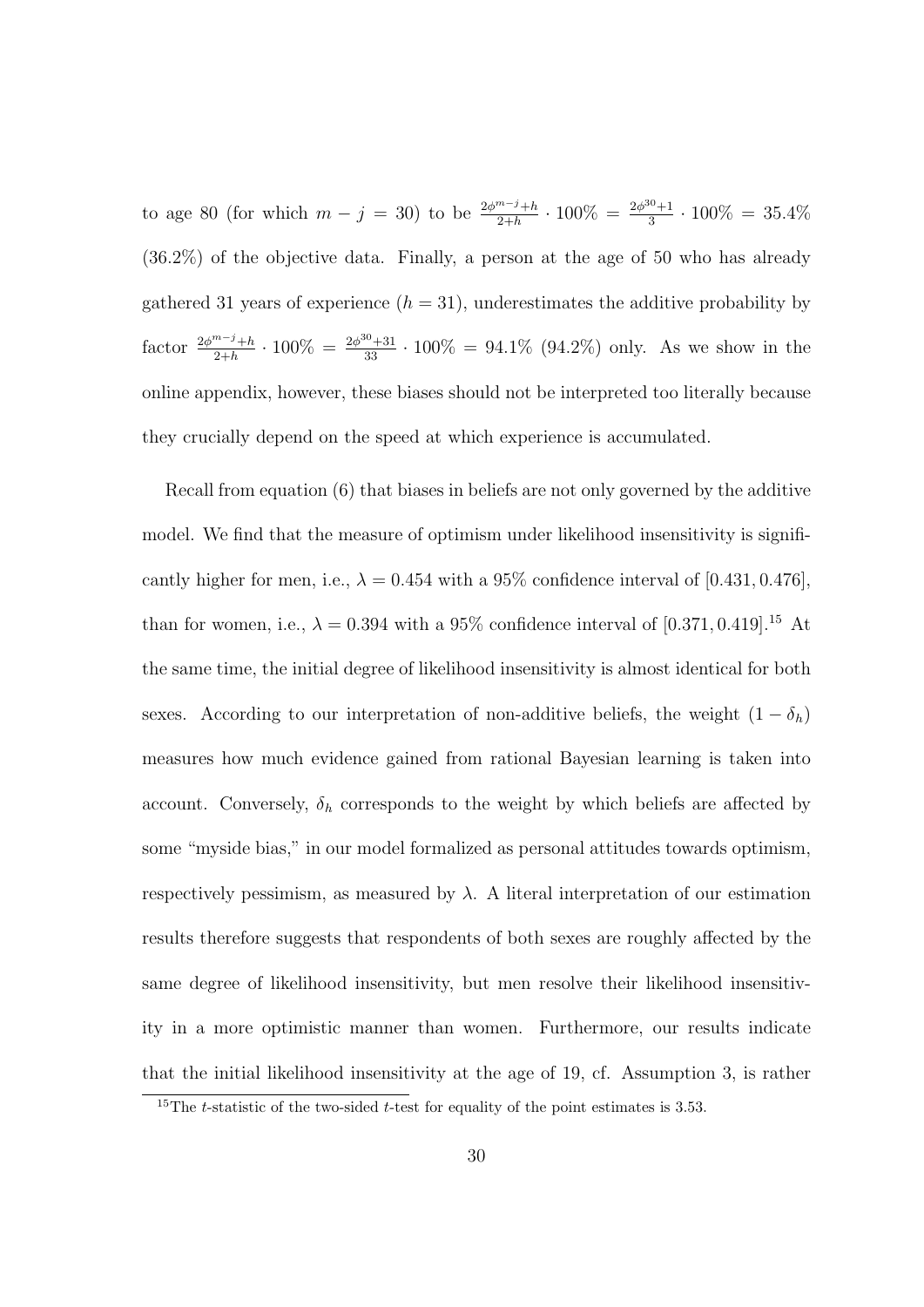to age 80 (for which  $m - j = 30$ ) to be  $\frac{2\phi^{m-j} + h}{2+h} \cdot 100\% = \frac{2\phi^{30} + 1}{3}$  $\frac{3}{3}$  · 100\% = 35.4\% (36*.*2%) of the objective data. Finally, a person at the age of 50 who has already gathered 31 years of experience  $(h = 31)$ , underestimates the additive probability by factor  $\frac{2\phi^{m-j}+h}{2+h} \cdot 100\% = \frac{2\phi^{30}+31}{33} \cdot 100\% = 94.1\%$  (94.2%) only. As we show in the online appendix, however, these biases should not be interpreted too literally because they crucially depend on the speed at which experience is accumulated.

Recall from equation (6) that biases in beliefs are not only governed by the additive model. We find that the measure of optimism under likelihood insensitivity is significantly higher for men, i.e.,  $\lambda = 0.454$  with a 95% confidence interval of [0.431, 0.476], than for women, i.e.,  $\lambda = 0.394$  with a 95% confidence interval of [0.371, 0.419].<sup>15</sup> At the same time, the initial degree of likelihood insensitivity is almost identical for both sexes. According to our interpretation of non-additive beliefs, the weight  $(1 - \delta_h)$ measures how much evidence gained from rational Bayesian learning is taken into account. Conversely,  $\delta_h$  corresponds to the weight by which beliefs are affected by some "myside bias," in our model formalized as personal attitudes towards optimism, respectively pessimism, as measured by  $\lambda$ . A literal interpretation of our estimation results therefore suggests that respondents of both sexes are roughly affected by the same degree of likelihood insensitivity, but men resolve their likelihood insensitivity in a more optimistic manner than women. Furthermore, our results indicate that the initial likelihood insensitivity at the age of 19, cf. Assumption 3, is rather

<sup>15</sup>The *t*-statistic of the two-sided *t*-test for equality of the point estimates is 3*.*53.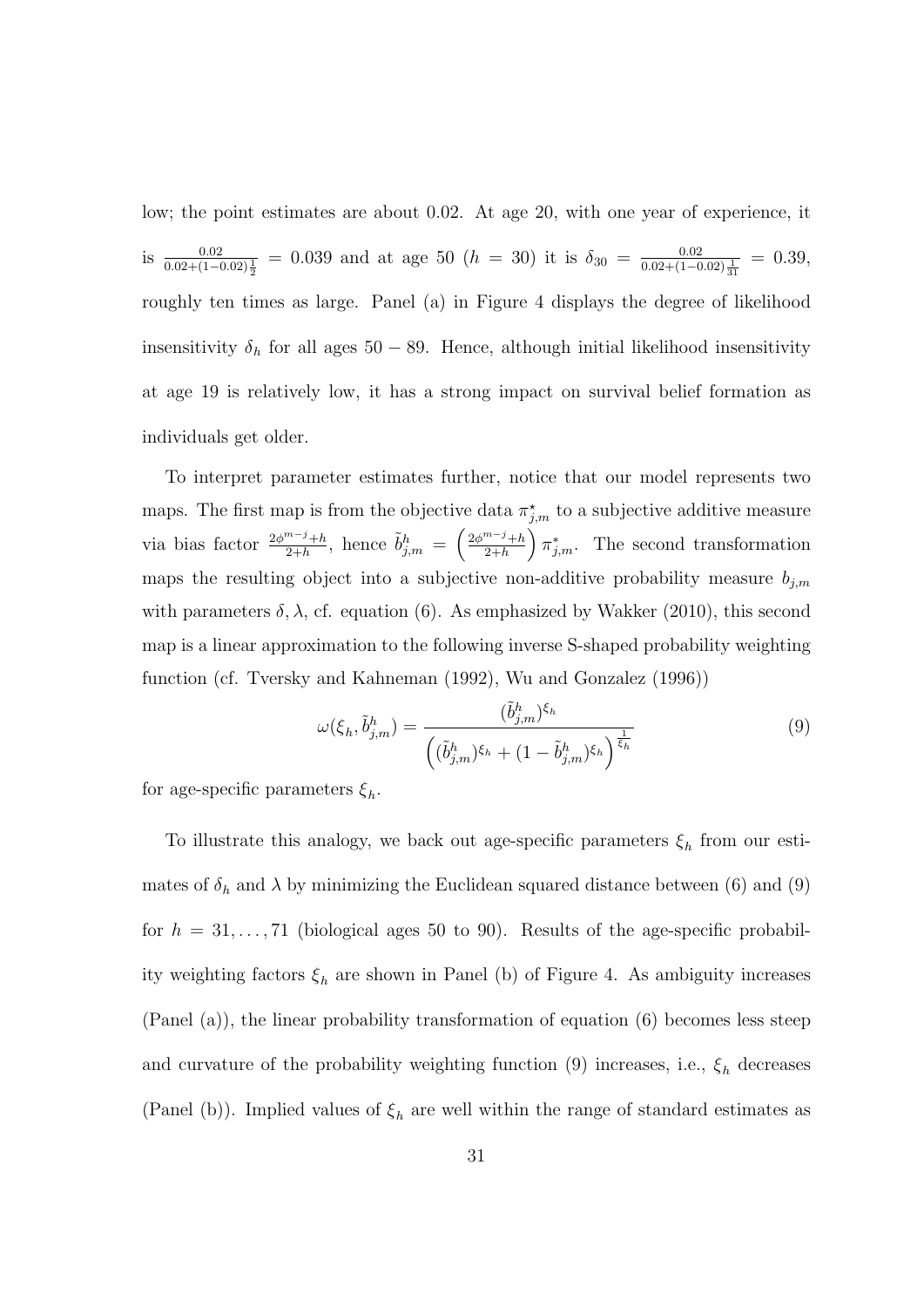low; the point estimates are about 0*.*02. At age 20, with one year of experience, it is  $\frac{0.02}{0.02 + (1 - 0.02)\frac{1}{2}} = 0.039$  and at age 50 (*h* = 30) it is  $\delta_{30} = \frac{0.02}{0.02 + (1 - 0.02)\frac{1}{31}} = 0.39$ , roughly ten times as large. Panel (a) in Figure 4 displays the degree of likelihood insensitivity  $\delta_h$  for all ages 50 − 89. Hence, although initial likelihood insensitivity at age 19 is relatively low, it has a strong impact on survival belief formation as individuals get older.

To interpret parameter estimates further, notice that our model represents two maps. The first map is from the objective data  $\pi^*_{j,m}$  to a subjective additive measure via bias factor  $\frac{2\phi^{m-j}+h}{2+h}$ , hence  $\tilde{b}^h_{j,m} = \left(\frac{2\phi^{m-j}+h}{2+h}\right)$ 2+*h*  $\int \pi^*_{j,m}$ . The second transformation maps the resulting object into a subjective non-additive probability measure *bj,m* with parameters  $\delta$ ,  $\lambda$ , cf. equation (6). As emphasized by Wakker (2010), this second map is a linear approximation to the following inverse S-shaped probability weighting function (cf. Tversky and Kahneman (1992), Wu and Gonzalez (1996))

$$
\omega(\xi_h, \tilde{b}_{j,m}^h) = \frac{(\tilde{b}_{j,m}^h)^{\xi_h}}{\left( (\tilde{b}_{j,m}^h)^{\xi_h} + (1 - \tilde{b}_{j,m}^h)^{\xi_h} \right)^{\frac{1}{\xi_h}}} \tag{9}
$$

for age-specific parameters  $\xi_h$ .

To illustrate this analogy, we back out age-specific parameters  $\xi_h$  from our estimates of  $\delta_h$  and  $\lambda$  by minimizing the Euclidean squared distance between (6) and (9) for  $h = 31, \ldots, 71$  (biological ages 50 to 90). Results of the age-specific probability weighting factors  $\xi_h$  are shown in Panel (b) of Figure 4. As ambiguity increases (Panel (a)), the linear probability transformation of equation (6) becomes less steep and curvature of the probability weighting function (9) increases, i.e.,  $\xi_h$  decreases (Panel (b)). Implied values of  $\xi_h$  are well within the range of standard estimates as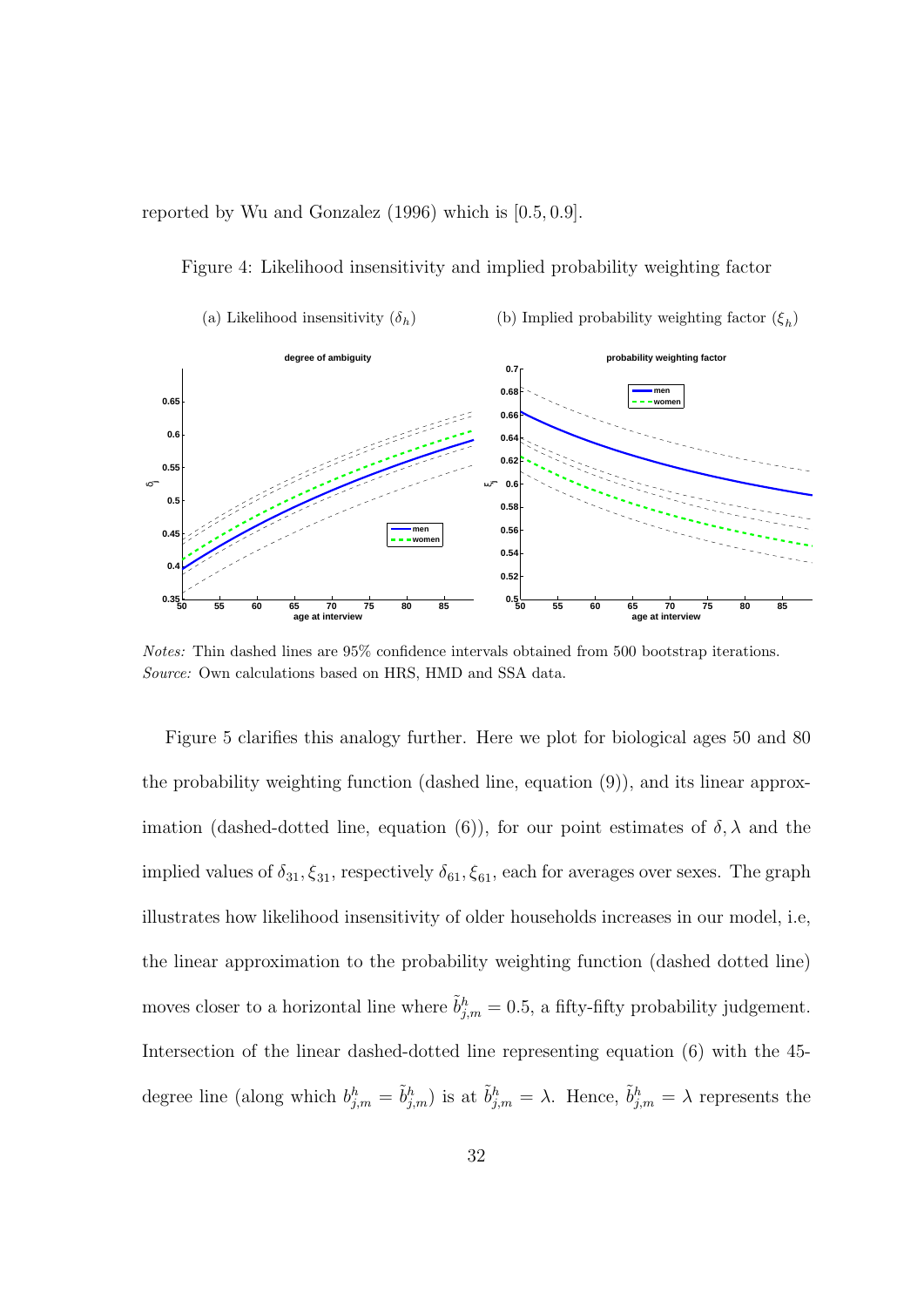reported by Wu and Gonzalez (1996) which is [0*.*5*,* 0*.*9].

Figure 4: Likelihood insensitivity and implied probability weighting factor



*Notes:* Thin dashed lines are 95% confidence intervals obtained from 500 bootstrap iterations. *Source:* Own calculations based on HRS, HMD and SSA data.

Figure 5 clarifies this analogy further. Here we plot for biological ages 50 and 80 the probability weighting function (dashed line, equation (9)), and its linear approximation (dashed-dotted line, equation (6)), for our point estimates of  $\delta$ ,  $\lambda$  and the implied values of  $\delta_{31}, \xi_{31}$ , respectively  $\delta_{61}, \xi_{61}$ , each for averages over sexes. The graph illustrates how likelihood insensitivity of older households increases in our model, i.e, the linear approximation to the probability weighting function (dashed dotted line) moves closer to a horizontal line where  $\tilde{b}^h_{j,m} = 0.5$ , a fifty-fifty probability judgement. Intersection of the linear dashed-dotted line representing equation (6) with the 45 degree line (along which  $b_{j,m}^h = \tilde{b}_{j,m}^h$ ) is at  $\tilde{b}_{j,m}^h = \lambda$ . Hence,  $\tilde{b}_{j,m}^h = \lambda$  represents the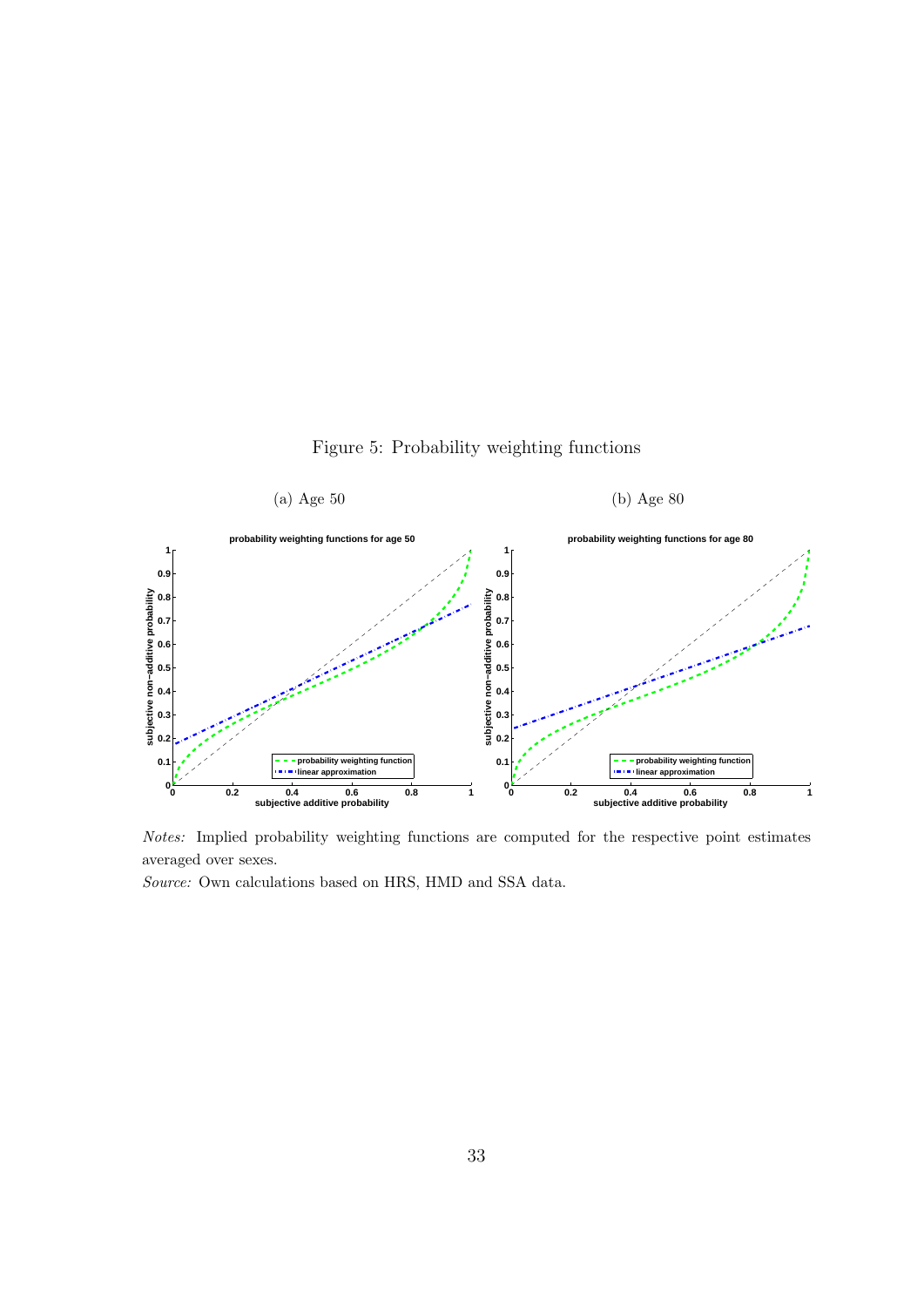



*Notes:* Implied probability weighting functions are computed for the respective point estimates averaged over sexes.

*Source:* Own calculations based on HRS, HMD and SSA data.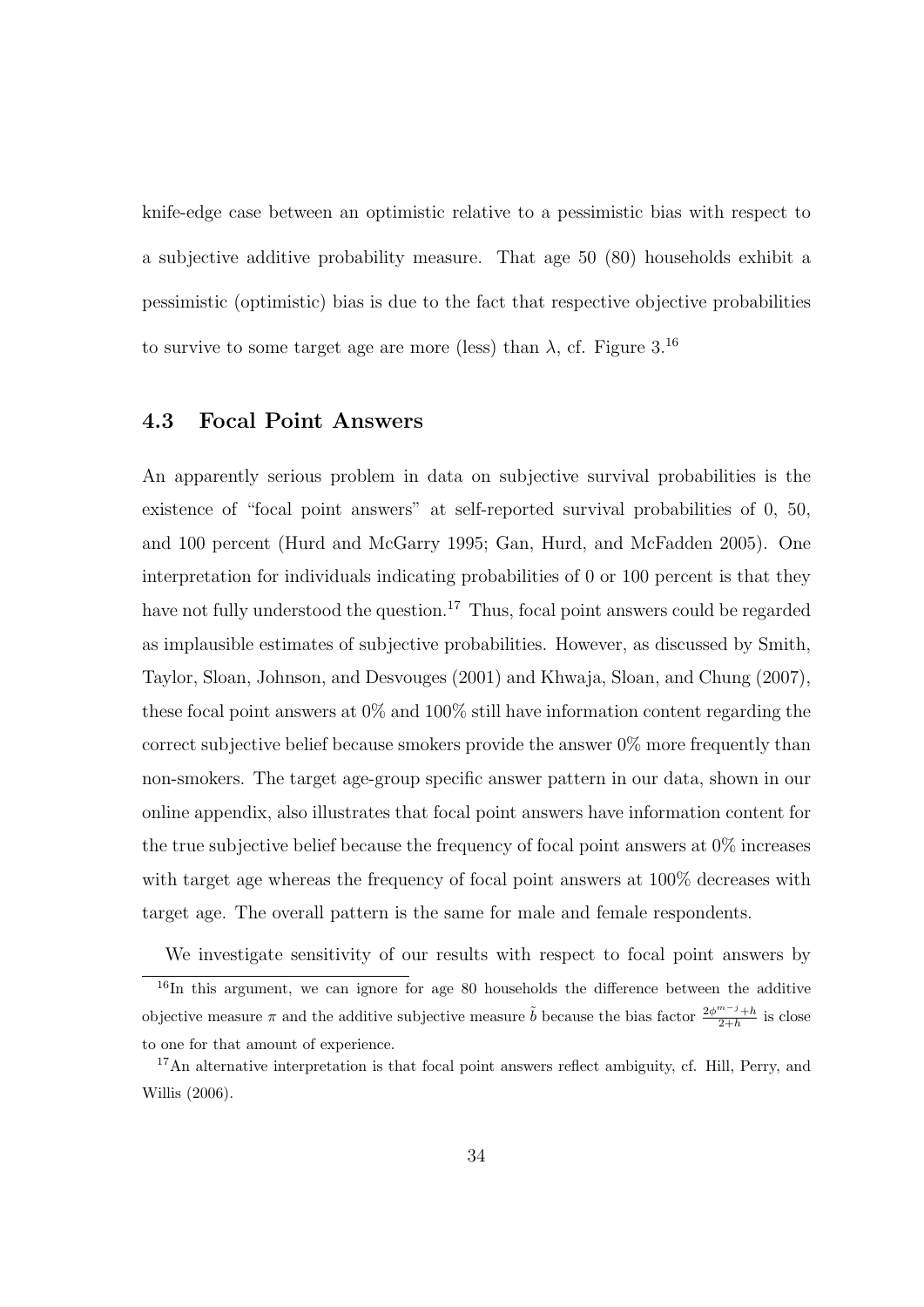knife-edge case between an optimistic relative to a pessimistic bias with respect to a subjective additive probability measure. That age 50 (80) households exhibit a pessimistic (optimistic) bias is due to the fact that respective objective probabilities to survive to some target age are more (less) than  $\lambda$ , cf. Figure 3.<sup>16</sup>

## **4.3 Focal Point Answers**

An apparently serious problem in data on subjective survival probabilities is the existence of "focal point answers" at self-reported survival probabilities of 0, 50, and 100 percent (Hurd and McGarry 1995; Gan, Hurd, and McFadden 2005). One interpretation for individuals indicating probabilities of 0 or 100 percent is that they have not fully understood the question.<sup>17</sup> Thus, focal point answers could be regarded as implausible estimates of subjective probabilities. However, as discussed by Smith, Taylor, Sloan, Johnson, and Desvouges (2001) and Khwaja, Sloan, and Chung (2007), these focal point answers at 0% and 100% still have information content regarding the correct subjective belief because smokers provide the answer 0% more frequently than non-smokers. The target age-group specific answer pattern in our data, shown in our online appendix, also illustrates that focal point answers have information content for the true subjective belief because the frequency of focal point answers at 0% increases with target age whereas the frequency of focal point answers at 100% decreases with target age. The overall pattern is the same for male and female respondents.

We investigate sensitivity of our results with respect to focal point answers by  $16$ In this argument, we can ignore for age 80 households the difference between the additive objective measure  $\pi$  and the additive subjective measure  $\tilde{b}$  because the bias factor  $\frac{2\phi^{m-j}+h}{2+h}$  is close to one for that amount of experience.

<sup>&</sup>lt;sup>17</sup>An alternative interpretation is that focal point answers reflect ambiguity, cf. Hill, Perry, and Willis (2006).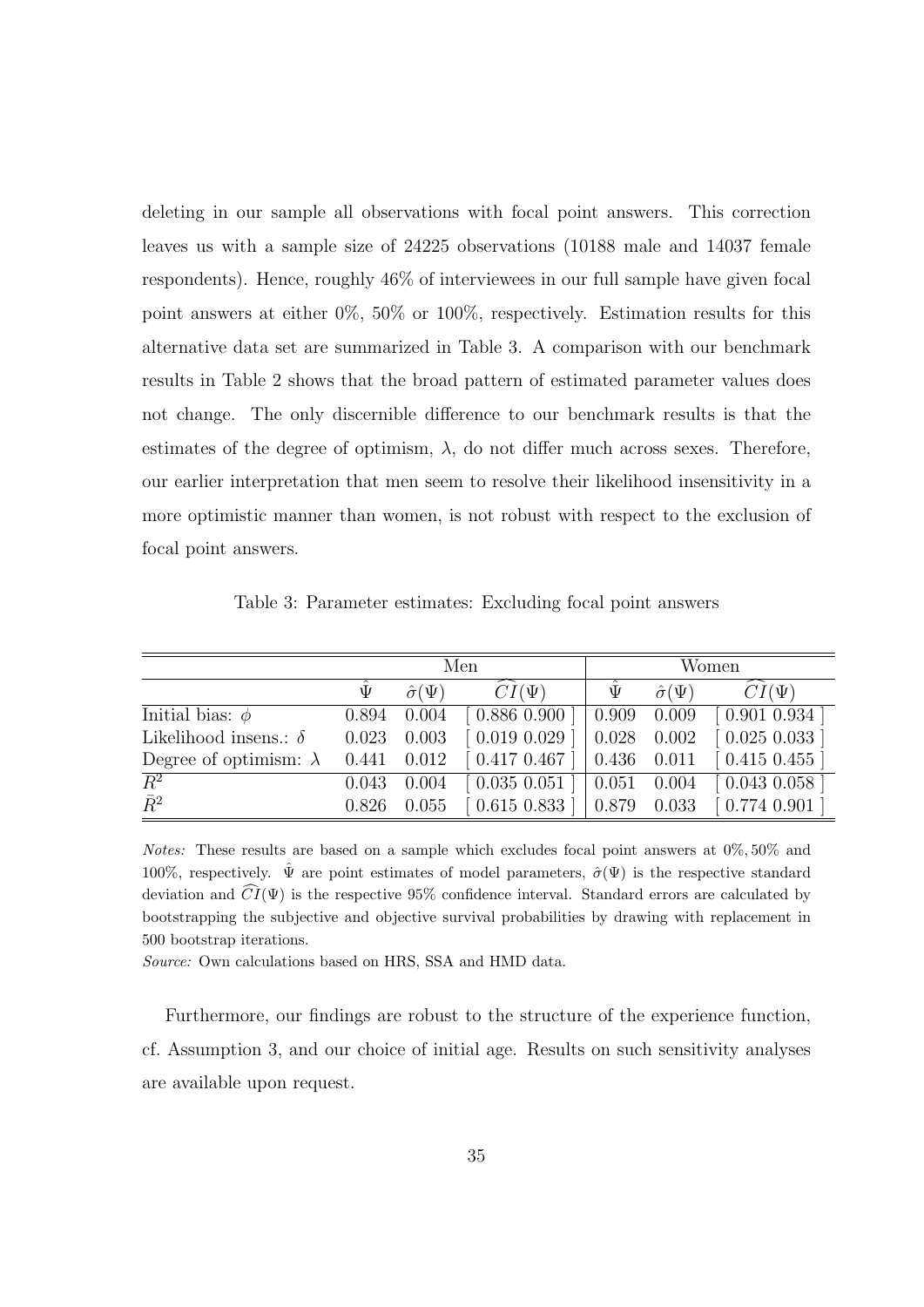deleting in our sample all observations with focal point answers. This correction leaves us with a sample size of 24225 observations (10188 male and 14037 female respondents). Hence, roughly 46% of interviewees in our full sample have given focal point answers at either 0%, 50% or 100%, respectively. Estimation results for this alternative data set are summarized in Table 3. A comparison with our benchmark results in Table 2 shows that the broad pattern of estimated parameter values does not change. The only discernible difference to our benchmark results is that the estimates of the degree of optimism,  $\lambda$ , do not differ much across sexes. Therefore, our earlier interpretation that men seem to resolve their likelihood insensitivity in a more optimistic manner than women, is not robust with respect to the exclusion of focal point answers.

Table 3: Parameter estimates: Excluding focal point answers

|                               | Men            |                      |                               | Women           |                      |                             |
|-------------------------------|----------------|----------------------|-------------------------------|-----------------|----------------------|-----------------------------|
|                               | $\tilde{\Psi}$ | $\hat{\sigma}(\Psi)$ | $CI(\Psi)$                    | $\tilde{\Psi}$  | $\hat{\sigma}(\Psi)$ | $CI(\Psi)$                  |
| Initial bias: $\phi$          | 0.894          | 0.004                | [0.886 0.900]                 | 0.909 0.009     |                      | [0.901 0.934]               |
| Likelihood insens.: $\delta$  | 0.023          | 0.003                | $[0.019\ 0.029]$              | $0.028$ 0.002   |                      | $[0.025\ 0.033\ ]$          |
| Degree of optimism: $\lambda$ | 0.441          | 0.012                | [0.4170.467]                  | $0.436$ $0.011$ |                      | $\left[0.415\;0.455\right]$ |
| $\overline{R^2}$              | 0.043          | 0.004                | $\left[0.035\ 0.051\ \right]$ | $0.051$ 0.004   |                      | $[0.043\ 0.058]$            |
| $\bar{R}^2$                   | 0.826          | 0.055                | $[0.615\ 0.833]$              | $0.879$ 0.033   |                      | $[0.774\ 0.901]$            |

*Notes:* These results are based on a sample which excludes focal point answers at 0%*,* 50% and 100%, respectively.  $\hat{\Psi}$  are point estimates of model parameters,  $\hat{\sigma}(\Psi)$  is the respective standard deviation and  $\widehat{CI}(\Psi)$  is the respective 95% confidence interval. Standard errors are calculated by bootstrapping the subjective and objective survival probabilities by drawing with replacement in 500 bootstrap iterations.

*Source:* Own calculations based on HRS, SSA and HMD data.

Furthermore, our findings are robust to the structure of the experience function, cf. Assumption 3, and our choice of initial age. Results on such sensitivity analyses are available upon request.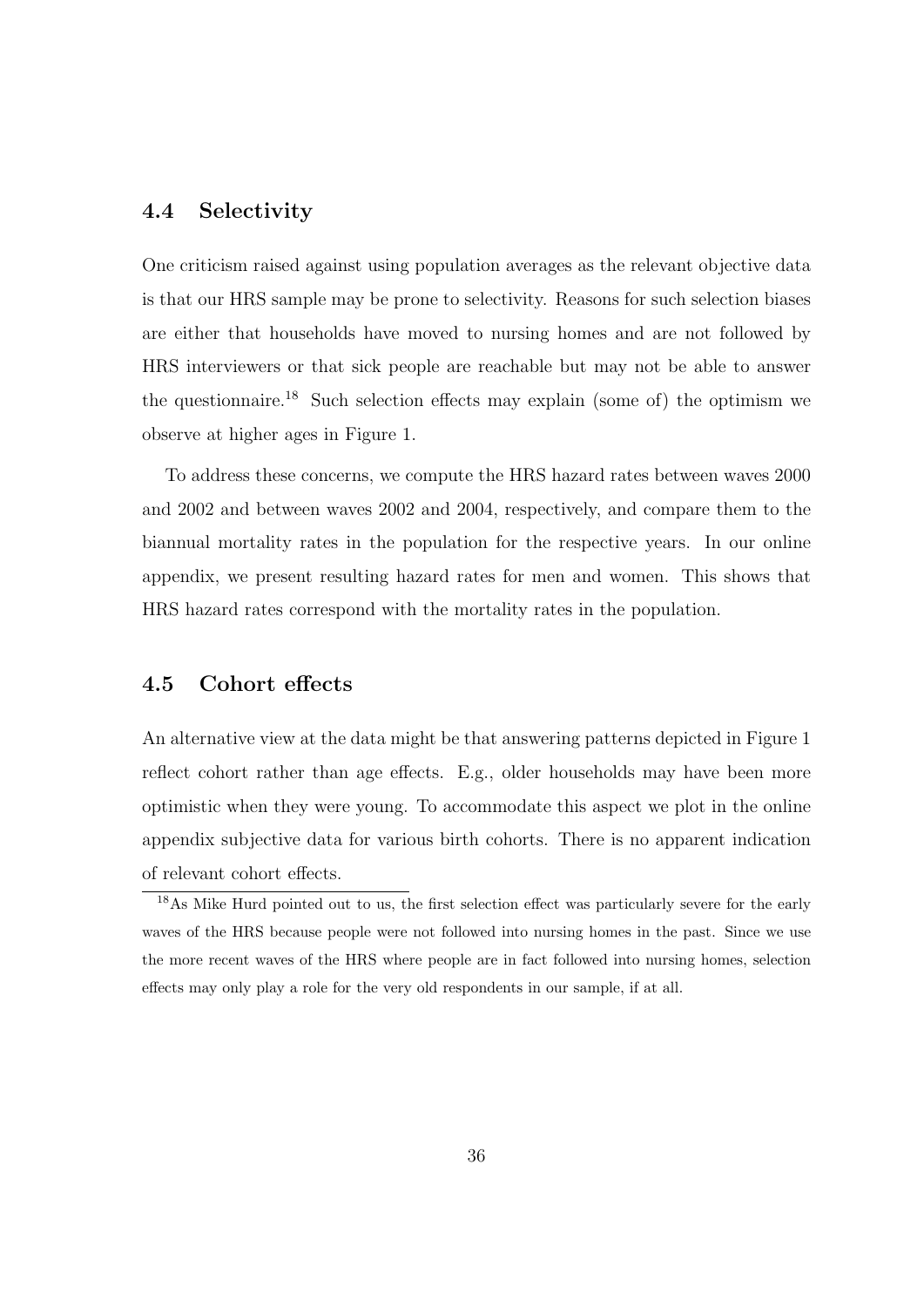#### **4.4 Selectivity**

One criticism raised against using population averages as the relevant objective data is that our HRS sample may be prone to selectivity. Reasons for such selection biases are either that households have moved to nursing homes and are not followed by HRS interviewers or that sick people are reachable but may not be able to answer the questionnaire.<sup>18</sup> Such selection effects may explain (some of) the optimism we observe at higher ages in Figure 1.

To address these concerns, we compute the HRS hazard rates between waves 2000 and 2002 and between waves 2002 and 2004, respectively, and compare them to the biannual mortality rates in the population for the respective years. In our online appendix, we present resulting hazard rates for men and women. This shows that HRS hazard rates correspond with the mortality rates in the population.

#### **4.5 Cohort effects**

An alternative view at the data might be that answering patterns depicted in Figure 1 reflect cohort rather than age effects. E.g., older households may have been more optimistic when they were young. To accommodate this aspect we plot in the online appendix subjective data for various birth cohorts. There is no apparent indication of relevant cohort effects.

<sup>18</sup>As Mike Hurd pointed out to us, the first selection effect was particularly severe for the early waves of the HRS because people were not followed into nursing homes in the past. Since we use the more recent waves of the HRS where people are in fact followed into nursing homes, selection effects may only play a role for the very old respondents in our sample, if at all.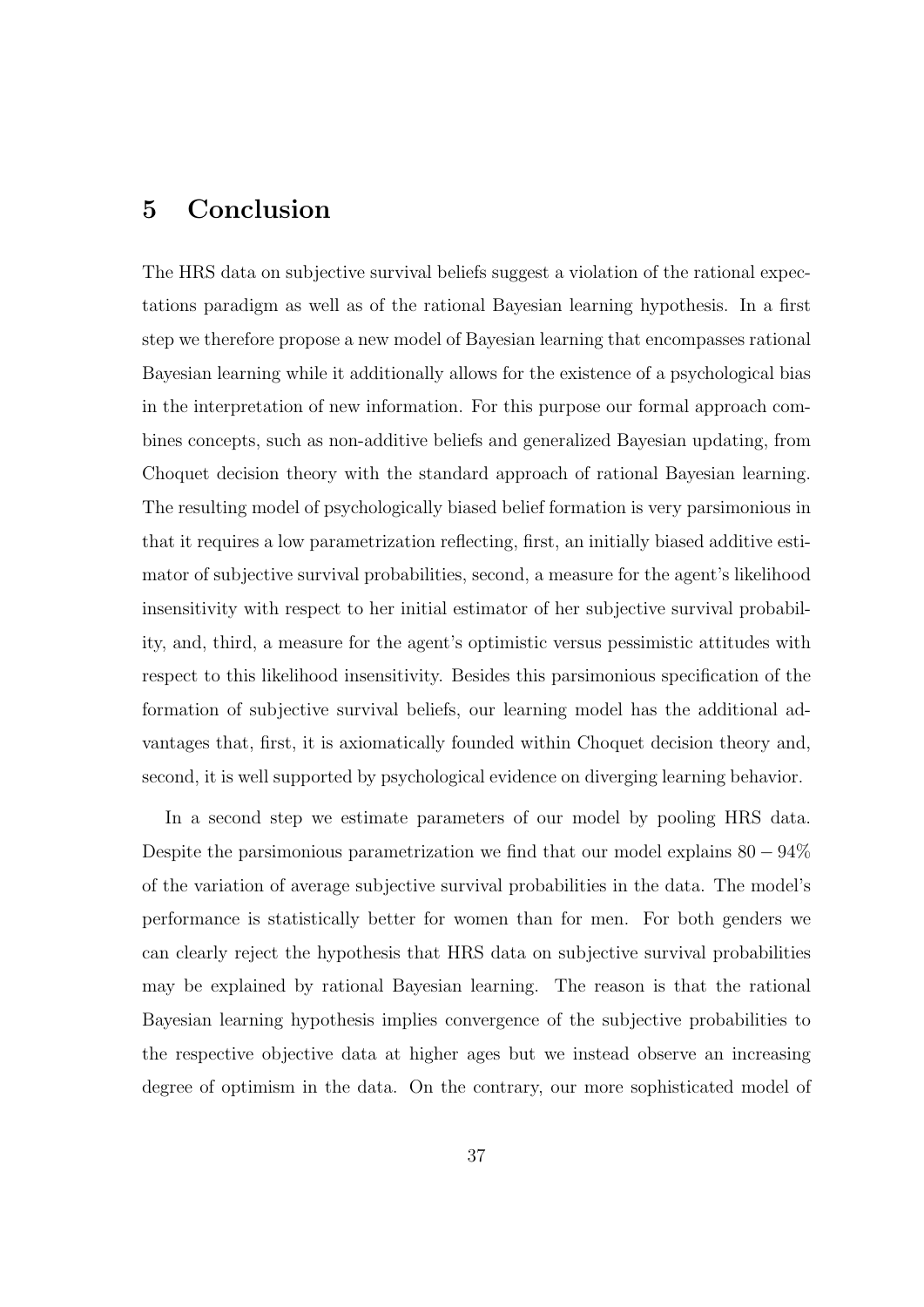## **5 Conclusion**

The HRS data on subjective survival beliefs suggest a violation of the rational expectations paradigm as well as of the rational Bayesian learning hypothesis. In a first step we therefore propose a new model of Bayesian learning that encompasses rational Bayesian learning while it additionally allows for the existence of a psychological bias in the interpretation of new information. For this purpose our formal approach combines concepts, such as non-additive beliefs and generalized Bayesian updating, from Choquet decision theory with the standard approach of rational Bayesian learning. The resulting model of psychologically biased belief formation is very parsimonious in that it requires a low parametrization reflecting, first, an initially biased additive estimator of subjective survival probabilities, second, a measure for the agent's likelihood insensitivity with respect to her initial estimator of her subjective survival probability, and, third, a measure for the agent's optimistic versus pessimistic attitudes with respect to this likelihood insensitivity. Besides this parsimonious specification of the formation of subjective survival beliefs, our learning model has the additional advantages that, first, it is axiomatically founded within Choquet decision theory and, second, it is well supported by psychological evidence on diverging learning behavior.

In a second step we estimate parameters of our model by pooling HRS data. Despite the parsimonious parametrization we find that our model explains 80 *−* 94% of the variation of average subjective survival probabilities in the data. The model's performance is statistically better for women than for men. For both genders we can clearly reject the hypothesis that HRS data on subjective survival probabilities may be explained by rational Bayesian learning. The reason is that the rational Bayesian learning hypothesis implies convergence of the subjective probabilities to the respective objective data at higher ages but we instead observe an increasing degree of optimism in the data. On the contrary, our more sophisticated model of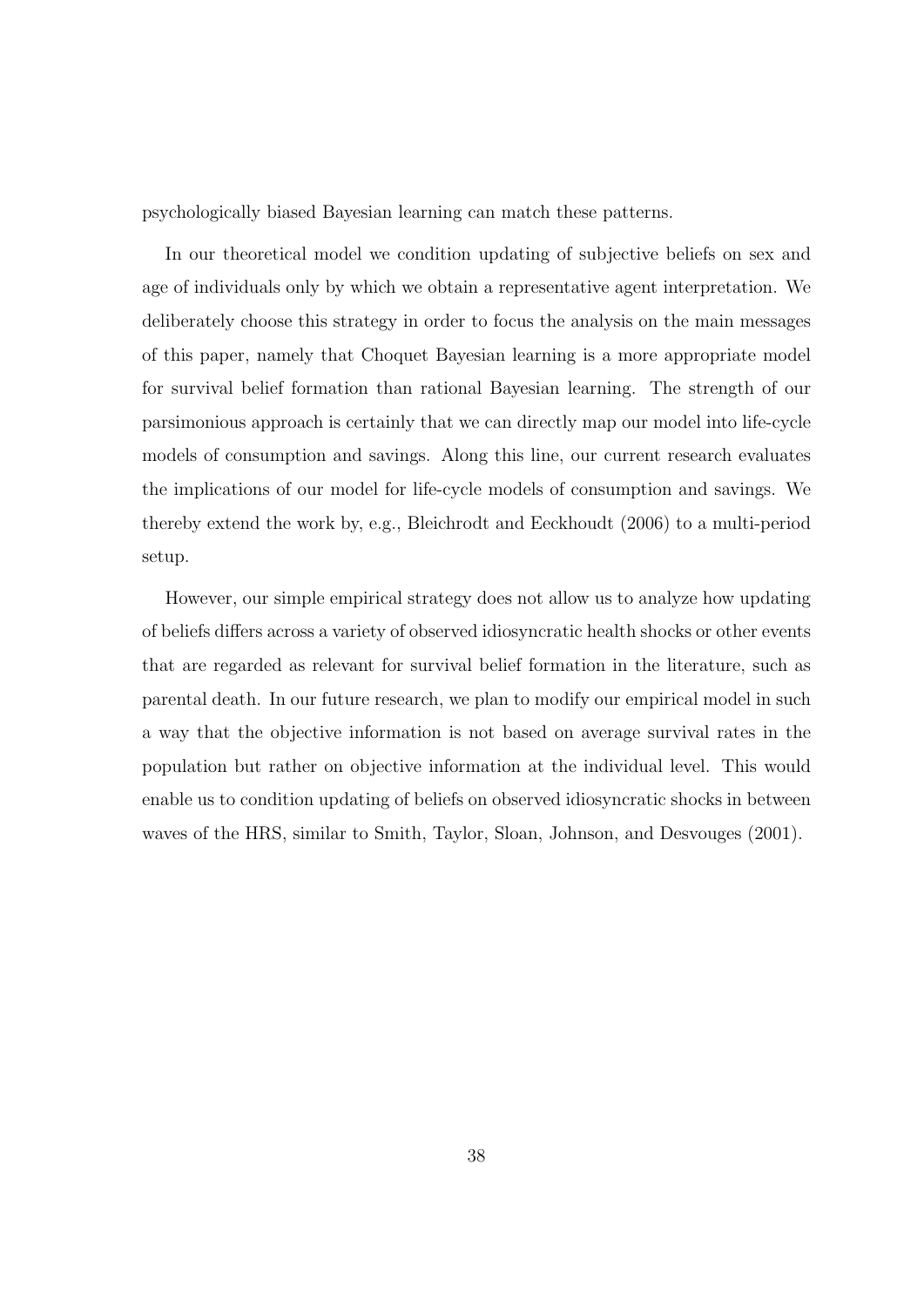psychologically biased Bayesian learning can match these patterns.

In our theoretical model we condition updating of subjective beliefs on sex and age of individuals only by which we obtain a representative agent interpretation. We deliberately choose this strategy in order to focus the analysis on the main messages of this paper, namely that Choquet Bayesian learning is a more appropriate model for survival belief formation than rational Bayesian learning. The strength of our parsimonious approach is certainly that we can directly map our model into life-cycle models of consumption and savings. Along this line, our current research evaluates the implications of our model for life-cycle models of consumption and savings. We thereby extend the work by, e.g., Bleichrodt and Eeckhoudt (2006) to a multi-period setup.

However, our simple empirical strategy does not allow us to analyze how updating of beliefs differs across a variety of observed idiosyncratic health shocks or other events that are regarded as relevant for survival belief formation in the literature, such as parental death. In our future research, we plan to modify our empirical model in such a way that the objective information is not based on average survival rates in the population but rather on objective information at the individual level. This would enable us to condition updating of beliefs on observed idiosyncratic shocks in between waves of the HRS, similar to Smith, Taylor, Sloan, Johnson, and Desvouges (2001).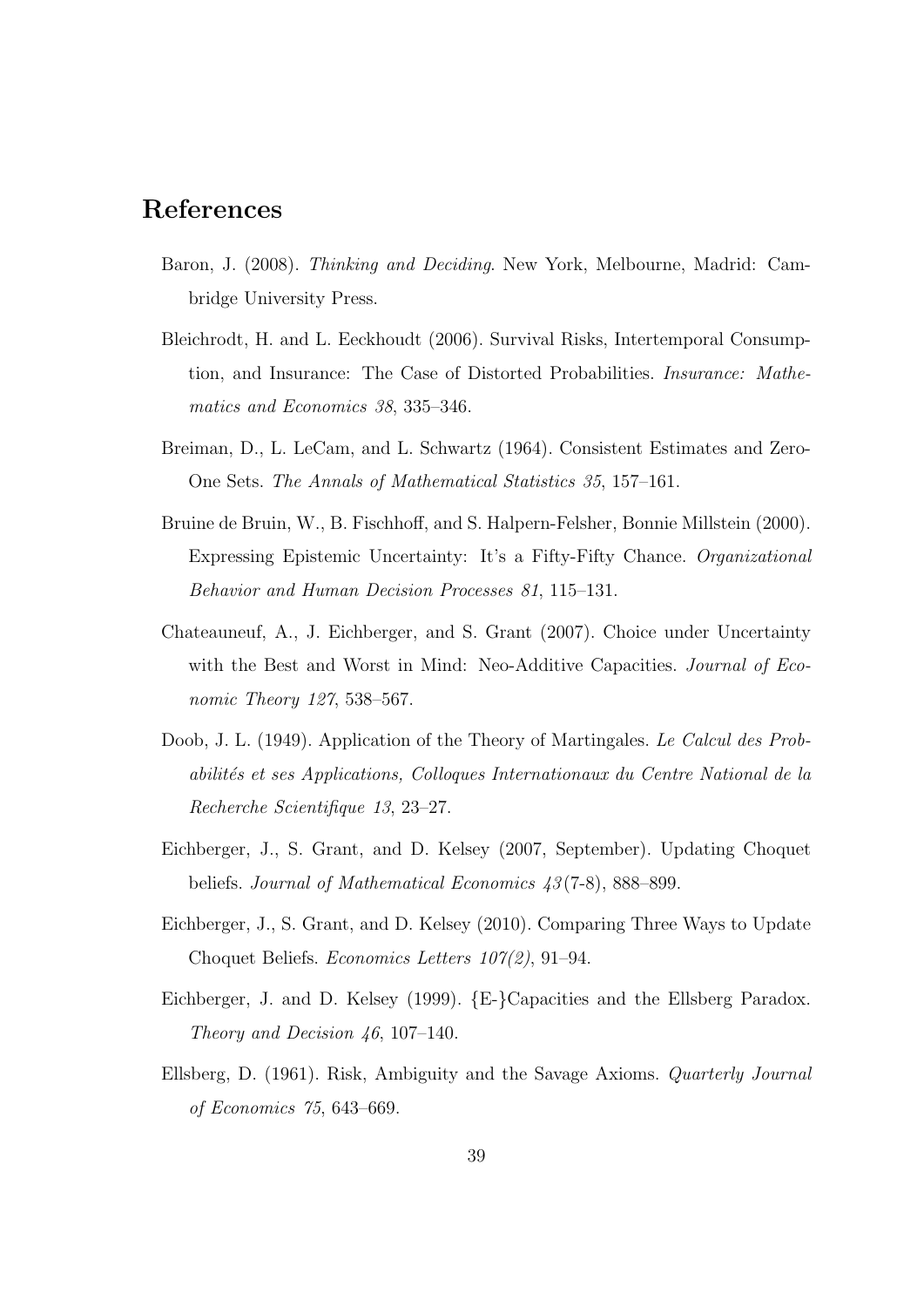# **References**

- Baron, J. (2008). *Thinking and Deciding*. New York, Melbourne, Madrid: Cambridge University Press.
- Bleichrodt, H. and L. Eeckhoudt (2006). Survival Risks, Intertemporal Consumption, and Insurance: The Case of Distorted Probabilities. *Insurance: Mathematics and Economics 38*, 335–346.
- Breiman, D., L. LeCam, and L. Schwartz (1964). Consistent Estimates and Zero-One Sets. *The Annals of Mathematical Statistics 35*, 157–161.
- Bruine de Bruin, W., B. Fischhoff, and S. Halpern-Felsher, Bonnie Millstein (2000). Expressing Epistemic Uncertainty: It's a Fifty-Fifty Chance. *Organizational Behavior and Human Decision Processes 81*, 115–131.
- Chateauneuf, A., J. Eichberger, and S. Grant (2007). Choice under Uncertainty with the Best and Worst in Mind: Neo-Additive Capacities. *Journal of Economic Theory 127*, 538–567.
- Doob, J. L. (1949). Application of the Theory of Martingales. *Le Calcul des Probabilit´es et ses Applications, Colloques Internationaux du Centre National de la Recherche Scientifique 13*, 23–27.
- Eichberger, J., S. Grant, and D. Kelsey (2007, September). Updating Choquet beliefs. *Journal of Mathematical Economics 43* (7-8), 888–899.
- Eichberger, J., S. Grant, and D. Kelsey (2010). Comparing Three Ways to Update Choquet Beliefs. *Economics Letters 107(2)*, 91–94.
- Eichberger, J. and D. Kelsey (1999). *{*E-*}*Capacities and the Ellsberg Paradox. *Theory and Decision 46*, 107–140.
- Ellsberg, D. (1961). Risk, Ambiguity and the Savage Axioms. *Quarterly Journal of Economics 75*, 643–669.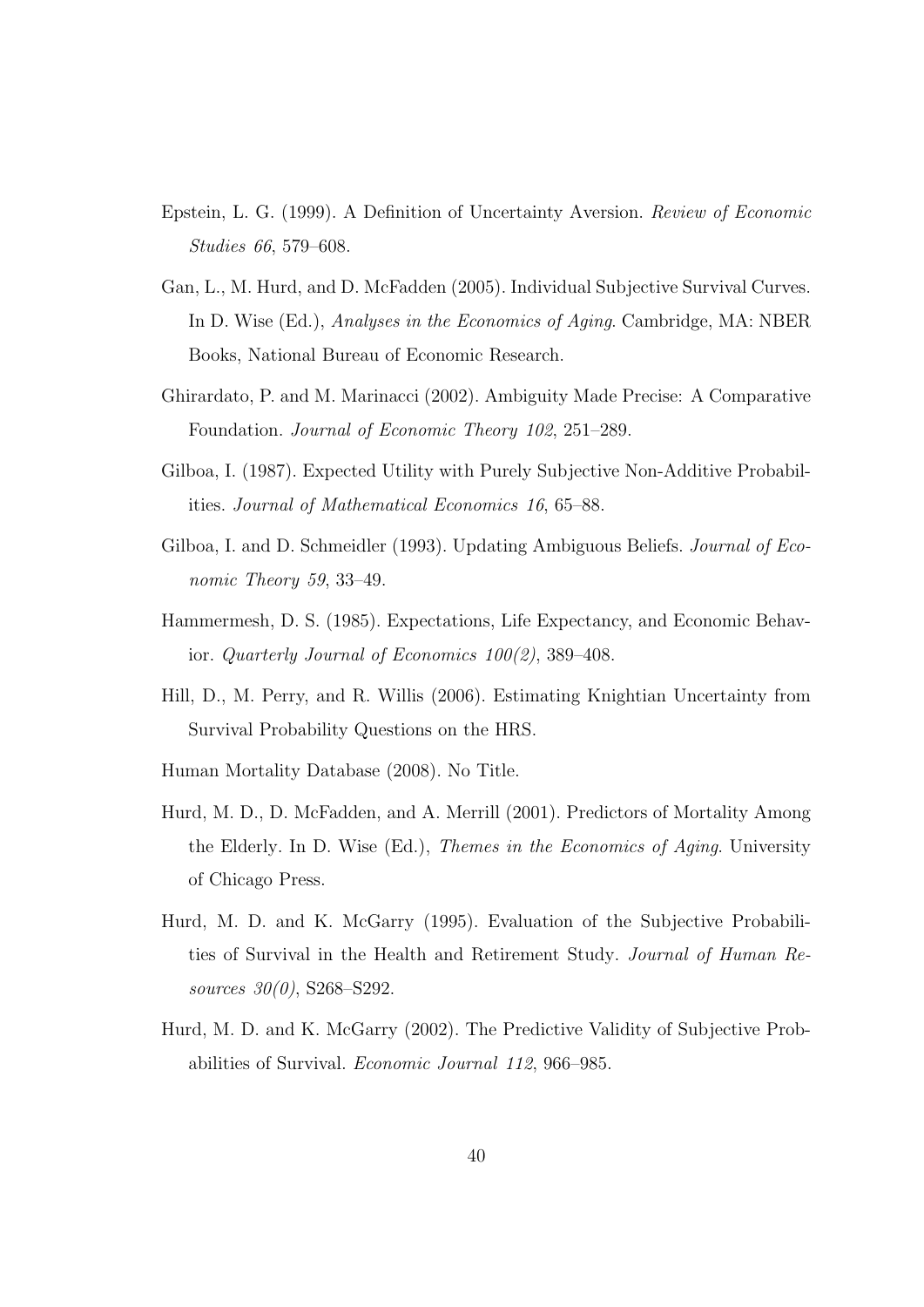- Epstein, L. G. (1999). A Definition of Uncertainty Aversion. *Review of Economic Studies 66*, 579–608.
- Gan, L., M. Hurd, and D. McFadden (2005). Individual Subjective Survival Curves. In D. Wise (Ed.), *Analyses in the Economics of Aging*. Cambridge, MA: NBER Books, National Bureau of Economic Research.
- Ghirardato, P. and M. Marinacci (2002). Ambiguity Made Precise: A Comparative Foundation. *Journal of Economic Theory 102*, 251–289.
- Gilboa, I. (1987). Expected Utility with Purely Subjective Non-Additive Probabilities. *Journal of Mathematical Economics 16*, 65–88.
- Gilboa, I. and D. Schmeidler (1993). Updating Ambiguous Beliefs. *Journal of Economic Theory 59*, 33–49.
- Hammermesh, D. S. (1985). Expectations, Life Expectancy, and Economic Behavior. *Quarterly Journal of Economics 100(2)*, 389–408.
- Hill, D., M. Perry, and R. Willis (2006). Estimating Knightian Uncertainty from Survival Probability Questions on the HRS.
- Human Mortality Database (2008). No Title.
- Hurd, M. D., D. McFadden, and A. Merrill (2001). Predictors of Mortality Among the Elderly. In D. Wise (Ed.), *Themes in the Economics of Aging*. University of Chicago Press.
- Hurd, M. D. and K. McGarry (1995). Evaluation of the Subjective Probabilities of Survival in the Health and Retirement Study. *Journal of Human Resources 30(0)*, S268–S292.
- Hurd, M. D. and K. McGarry (2002). The Predictive Validity of Subjective Probabilities of Survival. *Economic Journal 112*, 966–985.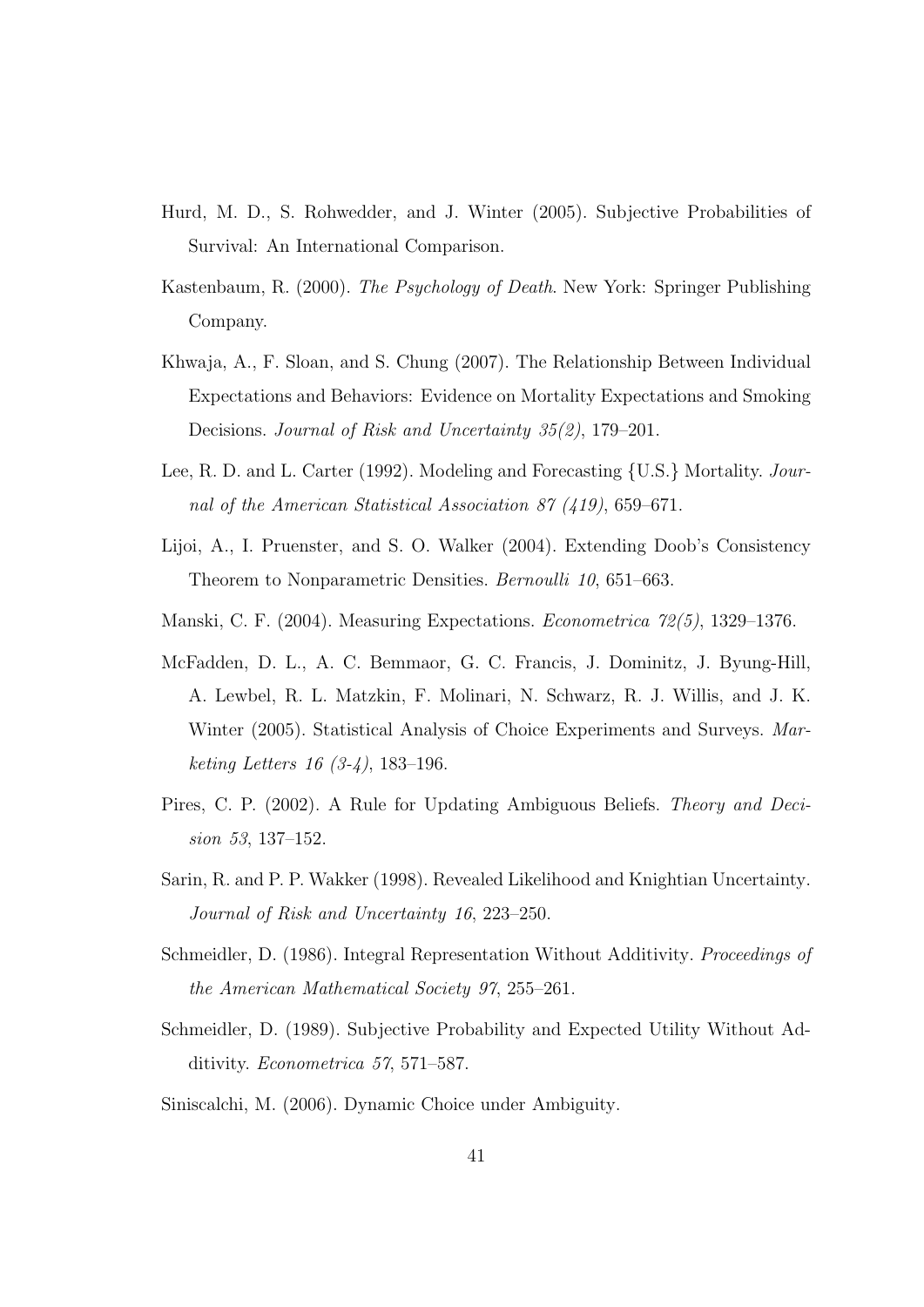- Hurd, M. D., S. Rohwedder, and J. Winter (2005). Subjective Probabilities of Survival: An International Comparison.
- Kastenbaum, R. (2000). *The Psychology of Death*. New York: Springer Publishing Company.
- Khwaja, A., F. Sloan, and S. Chung (2007). The Relationship Between Individual Expectations and Behaviors: Evidence on Mortality Expectations and Smoking Decisions. *Journal of Risk and Uncertainty 35(2)*, 179–201.
- Lee, R. D. and L. Carter (1992). Modeling and Forecasting *{*U.S.*}* Mortality. *Journal of the American Statistical Association 87 (419)*, 659–671.
- Lijoi, A., I. Pruenster, and S. O. Walker (2004). Extending Doob's Consistency Theorem to Nonparametric Densities. *Bernoulli 10*, 651–663.
- Manski, C. F. (2004). Measuring Expectations. *Econometrica 72(5)*, 1329–1376.
- McFadden, D. L., A. C. Bemmaor, G. C. Francis, J. Dominitz, J. Byung-Hill, A. Lewbel, R. L. Matzkin, F. Molinari, N. Schwarz, R. J. Willis, and J. K. Winter (2005). Statistical Analysis of Choice Experiments and Surveys. *Marketing Letters 16 (3-4)*, 183–196.
- Pires, C. P. (2002). A Rule for Updating Ambiguous Beliefs. *Theory and Decision 53*, 137–152.
- Sarin, R. and P. P. Wakker (1998). Revealed Likelihood and Knightian Uncertainty. *Journal of Risk and Uncertainty 16*, 223–250.
- Schmeidler, D. (1986). Integral Representation Without Additivity. *Proceedings of the American Mathematical Society 97*, 255–261.
- Schmeidler, D. (1989). Subjective Probability and Expected Utility Without Additivity. *Econometrica 57*, 571–587.
- Siniscalchi, M. (2006). Dynamic Choice under Ambiguity.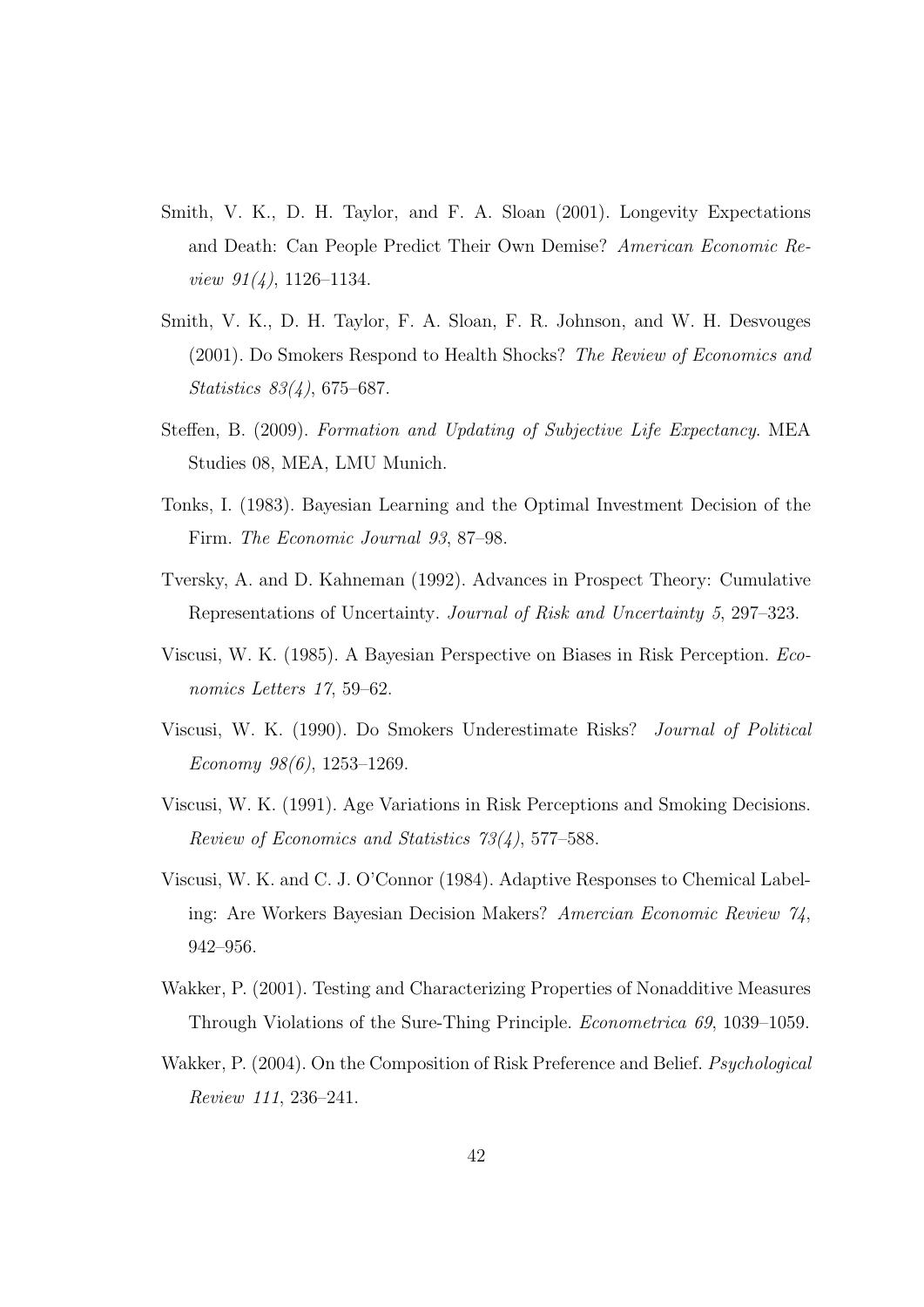- Smith, V. K., D. H. Taylor, and F. A. Sloan (2001). Longevity Expectations and Death: Can People Predict Their Own Demise? *American Economic Review 91(4)*, 1126–1134.
- Smith, V. K., D. H. Taylor, F. A. Sloan, F. R. Johnson, and W. H. Desvouges (2001). Do Smokers Respond to Health Shocks? *The Review of Economics and Statistics 83(4)*, 675–687.
- Steffen, B. (2009). *Formation and Updating of Subjective Life Expectancy*. MEA Studies 08, MEA, LMU Munich.
- Tonks, I. (1983). Bayesian Learning and the Optimal Investment Decision of the Firm. *The Economic Journal 93*, 87–98.
- Tversky, A. and D. Kahneman (1992). Advances in Prospect Theory: Cumulative Representations of Uncertainty. *Journal of Risk and Uncertainty 5*, 297–323.
- Viscusi, W. K. (1985). A Bayesian Perspective on Biases in Risk Perception. *Economics Letters 17*, 59–62.
- Viscusi, W. K. (1990). Do Smokers Underestimate Risks? *Journal of Political Economy 98(6)*, 1253–1269.
- Viscusi, W. K. (1991). Age Variations in Risk Perceptions and Smoking Decisions. *Review of Economics and Statistics 73(4)*, 577–588.
- Viscusi, W. K. and C. J. O'Connor (1984). Adaptive Responses to Chemical Labeling: Are Workers Bayesian Decision Makers? *Amercian Economic Review 74*, 942–956.
- Wakker, P. (2001). Testing and Characterizing Properties of Nonadditive Measures Through Violations of the Sure-Thing Principle. *Econometrica 69*, 1039–1059.
- Wakker, P. (2004). On the Composition of Risk Preference and Belief. *Psychological Review 111*, 236–241.